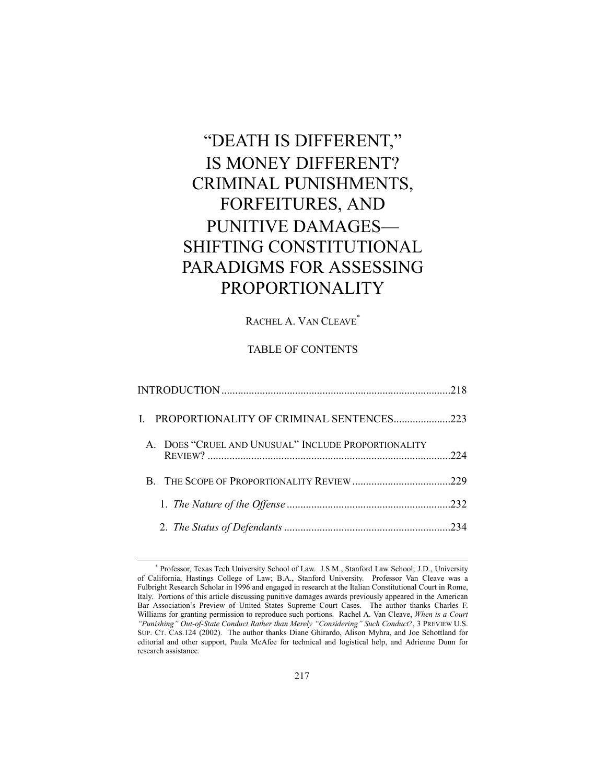# "DEATH IS DIFFERENT," IS MONEY DIFFERENT? CRIMINAL PUNISHMENTS, FORFEITURES, AND PUNITIVE DAMAGES-SHIFTING CONSTITUTIONAL PARADIGMS FOR ASSESSING PROPORTIONALITY

# RACHEL A. VAN CLEAVE<sup>\*</sup>

# TABLE OF CONTENTS

| I. PROPORTIONALITY OF CRIMINAL SENTENCES223         |     |
|-----------------------------------------------------|-----|
| A. DOES "CRUEL AND UNUSUAL" INCLUDE PROPORTIONALITY | 224 |
|                                                     |     |
|                                                     |     |
|                                                     |     |

 <sup>\*</sup> Professor, Texas Tech University School of Law. J.S.M., Stanford Law School; J.D., University of California, Hastings College of Law; B.A., Stanford University. Professor Van Cleave was a Fulbright Research Scholar in 1996 and engaged in research at the Italian Constitutional Court in Rome, Italy. Portions of this article discussing punitive damages awards previously appeared in the American Bar Association's Preview of United States Supreme Court Cases. The author thanks Charles F. Williams for granting permission to reproduce such portions. Rachel A. Van Cleave, *When is a Court* <sup>"</sup>Punishing" Out-of-State Conduct Rather than Merely "Considering" Such Conduct?, 3 PREVIEW U.S. SUP. CT. CAS.124 (2002). The author thanks Diane Ghirardo, Alison Myhra, and Joe Schottland for editorial and other support, Paula McAfee for technical and logistical help, and Adrienne Dunn for research assistance.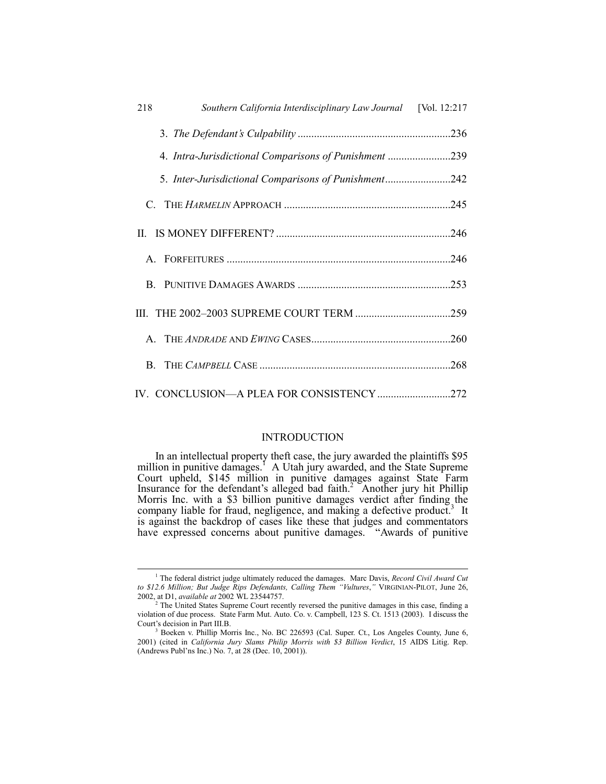| 218<br>Southern California Interdisciplinary Law Journal [Vol. 12:217 |  |
|-----------------------------------------------------------------------|--|
|                                                                       |  |
| 4. Intra-Jurisdictional Comparisons of Punishment 239                 |  |
| 5. Inter-Jurisdictional Comparisons of Punishment242                  |  |
|                                                                       |  |
|                                                                       |  |
|                                                                       |  |
|                                                                       |  |
|                                                                       |  |
|                                                                       |  |
|                                                                       |  |
|                                                                       |  |

# INTRODUCTION

In an intellectual property theft case, the jury awarded the plaintiffs \$95 million in punitive damages.<sup>1</sup> A Utah jury awarded, and the State Supreme Court upheld, \$145 million in punitive damages against State Farm Insurance for the defendant's alleged bad faith.<sup>2</sup> Another jury hit Phillip Morris Inc. with a \$3 billion punitive damages verdict after finding the company liable for fraud, negligence, and making a defective product.<sup>3</sup> It is against the backdrop of cases like these that judges and commentators have expressed concerns about punitive damages. "Awards of punitive

 $\overline{\phantom{a}}$ <sup>1</sup> The federal district judge ultimately reduced the damages. Marc Davis, *Record Civil Award Cut* to \$12.6 Million; But Judge Rips Defendants, Calling Them "Vultures," VIRGINIAN-PILOT, June 26, 2002, at D1, *available at* 2002 WL 23544757.

<sup>&</sup>lt;sup>2</sup> The United States Supreme Court recently reversed the punitive damages in this case, finding a violation of due process. State Farm Mut. Auto. Co. v. Campbell, 123 S. Ct. 1513 (2003). I discuss the Court's decision in Part III.B.

<sup>3</sup> Boeken v. Phillip Morris Inc., No. BC 226593 (Cal. Super. Ct., Los Angeles County, June 6, 2001) (cited in *California Jury Slams Philip Morris with \$3 Billion Verdict*, 15 AIDS Litig. Rep. (Andrews Publ'ns Inc.) No. 7, at 28 (Dec. 10, 2001)).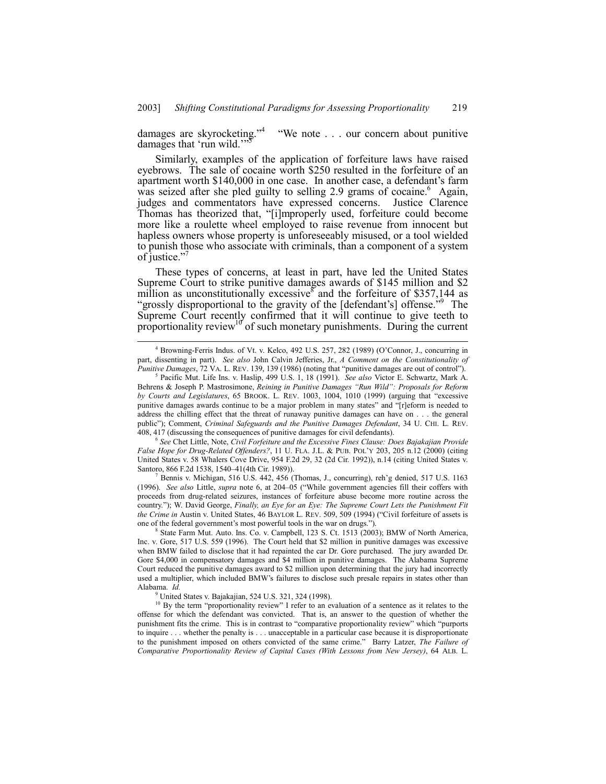damages are skyrocketing."<sup>4</sup> ìWe note . . . our concern about punitive damages that 'run wild.'

Similarly, examples of the application of forfeiture laws have raised eyebrows. The sale of cocaine worth \$250 resulted in the forfeiture of an apartment worth \$140,000 in one case. In another case, a defendant's farm was seized after she pled guilty to selling 2.9 grams of cocaine.<sup>6</sup> Again, judges and commentators have expressed concerns. Justice Clarence Thomas has theorized that, "[i]mproperly used, forfeiture could become more like a roulette wheel employed to raise revenue from innocent but hapless owners whose property is unforeseeably misused, or a tool wielded to punish those who associate with criminals, than a component of a system of justice."

These types of concerns, at least in part, have led the United States Supreme Court to strike punitive damages awards of \$145 million and \$2 million as unconstitutionally excessive and the forfeiture of \$357,144 as "grossly disproportional to the gravity of the [defendant's] offense.<sup>39</sup> The Supreme Court recently confirmed that it will continue to give teeth to proportionality review<sup>10</sup> of such monetary punishments. During the current

<sup>6</sup> *See* Chet Little, Note, *Civil Forfeiture and the Excessive Fines Clause: Does Bajakajian Provide* False Hope for Drug-Related Offenders?, 11 U. FLA. J.L. & PUB. POL'Y 203, 205 n.12 (2000) (citing United States v. 58 Whalers Cove Drive, 954 F.2d 29, 32 (2d Cir. 1992)), n.14 (citing United States v. Santoro, 866 F.2d 1538, 1540-41(4th Cir. 1989)).

7 Bennis v. Michigan, 516 U.S. 442, 456 (Thomas, J., concurring), reh'g denied, 517 U.S. 1163 (1996). *See also* Little, *supra* note 6, at 204-05 ("While government agencies fill their coffers with proceeds from drug-related seizures, instances of forfeiture abuse become more routine across the country.î); W. David George, *Finally, an Eye for an Eye: The Supreme Court Lets the Punishment Fit the Crime in Austin v. United States, 46 BAYLOR L. REV. 509, 509 (1994) ("Civil forfeiture of assets is* one of the federal government's most powerful tools in the war on drugs.").

8 State Farm Mut. Auto. Ins. Co. v. Campbell, 123 S. Ct. 1513 (2003); BMW of North America, Inc. v. Gore, 517 U.S. 559 (1996). The Court held that \$2 million in punitive damages was excessive when BMW failed to disclose that it had repainted the car Dr. Gore purchased. The jury awarded Dr. Gore \$4,000 in compensatory damages and \$4 million in punitive damages. The Alabama Supreme Court reduced the punitive damages award to \$2 million upon determining that the jury had incorrectly used a multiplier, which included BMW's failures to disclose such presale repairs in states other than Alabama. *Id.*

9 United States v. Bajakajian, 524 U.S. 321, 324 (1998).

<sup>10</sup> By the term "proportionality review" I refer to an evaluation of a sentence as it relates to the offense for which the defendant was convicted. That is, an answer to the question of whether the punishment fits the crime. This is in contrast to "comparative proportionality review" which "purports" to inquire . . . whether the penalty is . . . unacceptable in a particular case because it is disproportionate to the punishment imposed on others convicted of the same crime." Barry Latzer, *The Failure of Comparative Proportionality Review of Capital Cases (With Lessons from New Jersey)*, 64 ALB. L.

 $\overline{4}$ <sup>4</sup> Browning-Ferris Indus. of Vt. v. Kelco, 492 U.S. 257, 282 (1989) (O'Connor, J., concurring in part, dissenting in part). *See also* John Calvin Jefferies, Jr., *A Comment on the Constitutionality of Punitive Damages*, 72 VA. L. REV. 139, 139 (1986) (noting that "punitive damages are out of control").

<sup>5</sup> Pacific Mut. Life Ins. v. Haslip, 499 U.S. 1, 18 (1991). *See also* Victor E. Schwartz, Mark A. Behrens & Joseph P. Mastrosimone, *Reining in Punitive Damages "Run Wild": Proposals for Reform* by Courts and Legislatures, 65 BROOK. L. REV. 1003, 1004, 1010 (1999) (arguing that "excessive punitive damages awards continue to be a major problem in many states" and "[r]eform is needed to address the chilling effect that the threat of runaway punitive damages can have on . . . the general publicî); Comment, *Criminal Safeguards and the Punitive Damages Defendant*, 34 U. CHI. L. REV. 408, 417 (discussing the consequences of punitive damages for civil defendants).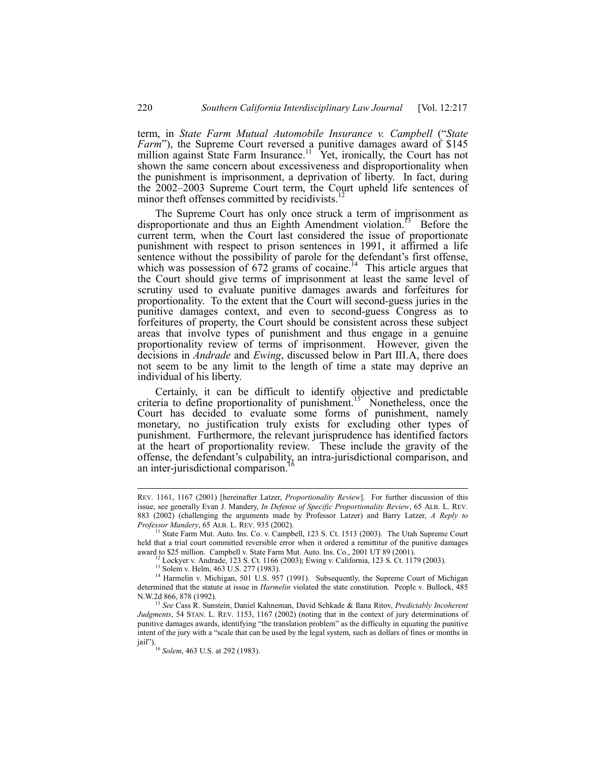term, in *State Farm Mutual Automobile Insurance v. Campbell* (ì*State Farm*<sup>n</sup>), the Supreme Court reversed a punitive damages award of \$145 million against State Farm Insurance.<sup>11</sup> Yet, ironically, the Court has not shown the same concern about excessiveness and disproportionality when the punishment is imprisonment, a deprivation of liberty. In fact, during the 2002–2003 Supreme Court term, the Court upheld life sentences of minor theft offenses committed by recidivists.<sup>1</sup>

The Supreme Court has only once struck a term of imprisonment as disproportionate and thus an Eighth Amendment violation.<sup>15</sup> Before the current term, when the Court last considered the issue of proportionate punishment with respect to prison sentences in 1991, it affirmed a life sentence without the possibility of parole for the defendant's first offense, which was possession of 672 grams of cocaine.<sup>14</sup> This article argues that the Court should give terms of imprisonment at least the same level of scrutiny used to evaluate punitive damages awards and forfeitures for proportionality. To the extent that the Court will second-guess juries in the punitive damages context, and even to second-guess Congress as to forfeitures of property, the Court should be consistent across these subject areas that involve types of punishment and thus engage in a genuine proportionality review of terms of imprisonment. However, given the decisions in *Andrade* and *Ewing*, discussed below in Part III.A, there does not seem to be any limit to the length of time a state may deprive an individual of his liberty.

Certainly, it can be difficult to identify objective and predictable criteria to define proportionality of punishment.<sup>15</sup> Nonetheless, once the Court has decided to evaluate some forms of punishment, namely monetary, no justification truly exists for excluding other types of punishment. Furthermore, the relevant jurisprudence has identified factors at the heart of proportionality review. These include the gravity of the offense, the defendant's culpability, an intra-jurisdictional comparison, and an inter-jurisdictional comparison.<sup>1</sup>

REV. 1161, 1167 (2001) [hereinafter Latzer, *Proportionality Review*]. For further discussion of this issue, see generally Evan J. Mandery, *In Defense of Specific Proportionality Review*, 65 ALB. L. REV. 883 (2002) (challenging the arguments made by Professor Latzer) and Barry Latzer, *A Reply to Professor Mandery*, 65 ALB. L. REV. 935 (2002).

<sup>&</sup>lt;sup>11</sup> State Farm Mut. Auto. Ins. Co. v. Campbell, 123 S. Ct. 1513 (2003). The Utah Supreme Court held that a trial court committed reversible error when it ordered a remittitur of the punitive damages

award to \$25 million. Campbell v. State Farm Mut. Auto. Ins. Co., 2001 UT 89 (2001). 12 Lockyer v. Andrade, 123 S. Ct. 1166 (2003); Ewing v. California, 123 S. Ct. 1179 (2003).

<sup>&</sup>lt;sup>13</sup> Solem v. Helm, 463 U.S. 277 (1983).

<sup>&</sup>lt;sup>14</sup> Harmelin v. Michigan, 501 U.S. 957 (1991). Subsequently, the Supreme Court of Michigan determined that the statute at issue in *Harmelin* violated the state constitution. People v. Bullock, 485 N.W.2d 866, 878 (1992).

<sup>15</sup> *See* Cass R. Sunstein, Daniel Kahneman, David Schkade & Ilana Ritov, *Predictably Incoherent Judgments*, 54 STAN. L. REV. 1153, 1167 (2002) (noting that in the context of jury determinations of punitive damages awards, identifying "the translation problem" as the difficulty in equating the punitive intent of the jury with a "scale that can be used by the legal system, such as dollars of fines or months in jail").<br><sup>16</sup> *Solem*, 463 U.S. at 292 (1983).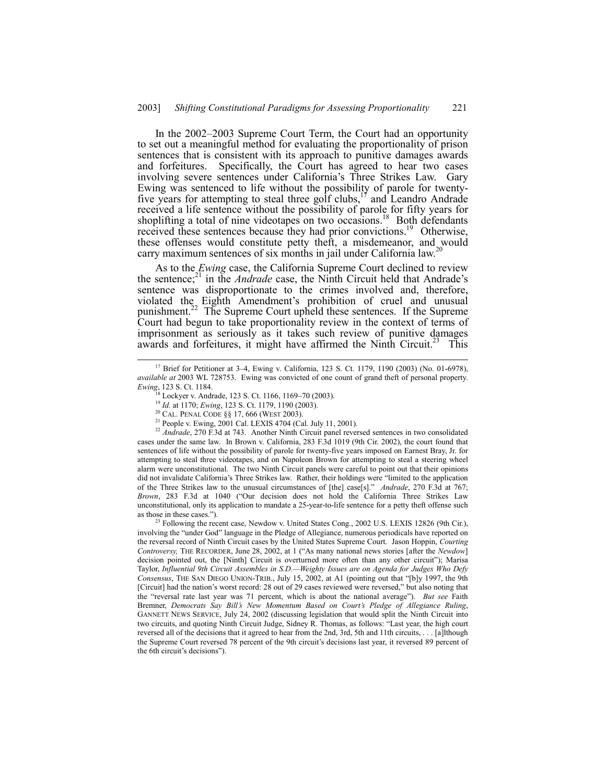In the 2002–2003 Supreme Court Term, the Court had an opportunity to set out a meaningful method for evaluating the proportionality of prison sentences that is consistent with its approach to punitive damages awards and forfeitures. Specifically, the Court has agreed to hear two cases involving severe sentences under California's Three Strikes Law. Gary Ewing was sentenced to life without the possibility of parole for twenty-Five years for attempting to steal three golf clubs, $\frac{17}{17}$  and Leandro Andrade received a life sentence without the possibility of parole for fifty years for shoplifting a total of nine videotapes on two occasions.<sup>18</sup> Both defendants received these sentences because they had prior convictions.<sup>19</sup> Otherwise, these offenses would constitute petty theft, a misdemeanor, and would carry maximum sentences of six months in jail under California law.<sup>2</sup>

As to the *Ewing* case, the California Supreme Court declined to review the sentence;<sup>21</sup> in the *Andrade* case, the Ninth Circuit held that Andrade's sentence was disproportionate to the crimes involved and, therefore, violated the Eighth Amendment's prohibition of cruel and unusual punishment.<sup>22</sup> The Supreme Court upheld these sentences. If the Supreme Court had begun to take proportionality review in the context of terms of imprisonment as seriously as it takes such review of punitive damages awards and forfeitures, it might have affirmed the Ninth Circuit.<sup>23</sup> This

<sup>22</sup> Andrade, 270 F.3d at 743. Another Ninth Circuit panel reversed sentences in two consolidated cases under the same law. In Brown v. California, 283 F.3d 1019 (9th Cir. 2002), the court found that sentences of life without the possibility of parole for twenty-five years imposed on Earnest Bray, Jr. for attempting to steal three videotapes, and on Napoleon Brown for attempting to steal a steering wheel alarm were unconstitutional. The two Ninth Circuit panels were careful to point out that their opinions did not invalidate California's Three Strikes law. Rather, their holdings were "limited to the application of the Three Strikes law to the unusual circumstances of [the] case[s].î *Andrade*, 270 F.3d at 767; Brown, 283 F.3d at 1040 ("Our decision does not hold the California Three Strikes Law unconstitutional, only its application to mandate a 25-year-to-life sentence for a petty theft offense such as those in these cases.").

<sup>23</sup> Following the recent case, Newdow v. United States Cong., 2002 U.S. LEXIS 12826 (9th Cir.), involving the "under God" language in the Pledge of Allegiance, numerous periodicals have reported on the reversal record of Ninth Circuit cases by the United States Supreme Court. Jason Hoppin, *Courting Controversy,* THE RECORDER, June 28, 2002, at 1 ("As many national news stories [after the *Newdow*] decision pointed out, the [Ninth] Circuit is overturned more often than any other circuit"); Marisa Taylor, *Influential 9th Circuit Assembles in S.D.Weighty Issues are on Agenda for Judges Who Defy Consensus*, THE SAN DIEGO UNION-TRIB., July 15, 2002, at A1 (pointing out that "[b]y 1997, the 9th [Circuit] had the nation's worst record: 28 out of 29 cases reviewed were reversed," but also noting that the "reversal rate last year was 71 percent, which is about the national average"). *But see* Faith Bremner, *Democrats Say Billís New Momentum Based on Courtís Pledge of Allegiance Ruling*, GANNETT NEWS SERVICE, July 24, 2002 (discussing legislation that would split the Ninth Circuit into two circuits, and quoting Ninth Circuit Judge, Sidney R. Thomas, as follows: "Last year, the high court reversed all of the decisions that it agreed to hear from the 2nd, 3rd, 5th and 11th circuits, . . . [a]lthough the Supreme Court reversed 78 percent of the 9th circuit's decisions last year, it reversed 89 percent of the 6th circuit's decisions").

<sup>&</sup>lt;sup>17</sup> Brief for Petitioner at 3–4, Ewing v. California, 123 S. Ct. 1179, 1190 (2003) (No. 01-6978), *available at* 2003 WL 728753. Ewing was convicted of one count of grand theft of personal property. *Ewing*, 123 S. Ct. 1184.

Lockyer v. Andrade, 123 S. Ct. 1166, 1169-70 (2003).

<sup>19</sup> *Id.* at 1170; *Ewing*, 123 S. Ct. 1179, 1190 (2003).

<sup>20</sup> CAL. PENAL CODE ßß 17, 666 (WEST 2003).

<sup>&</sup>lt;sup>21</sup> People v. Ewing,  $2001$  Cal. LEXIS 4704 (Cal. July 11, 2001).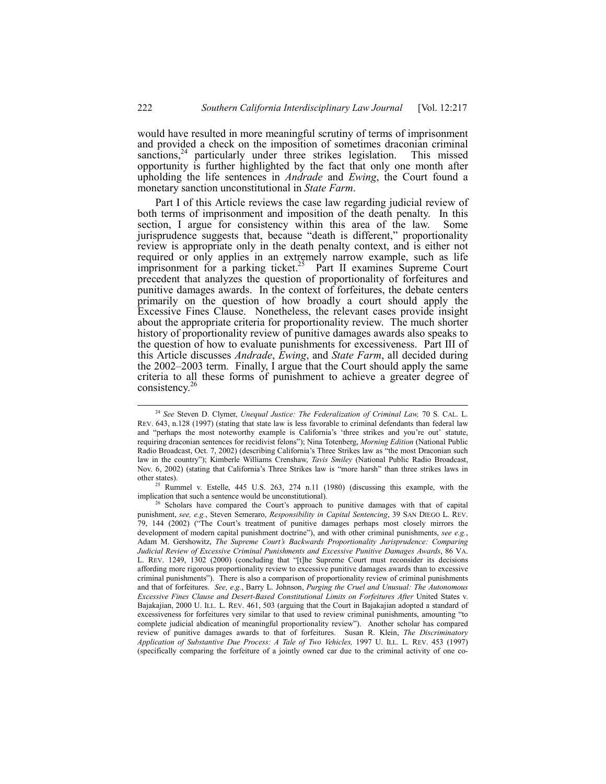would have resulted in more meaningful scrutiny of terms of imprisonment and provided a check on the imposition of sometimes draconian criminal sanctions,  $24$  particularly under three strikes legislation. This missed opportunity is further highlighted by the fact that only one month after upholding the life sentences in *Andrade* and *Ewing*, the Court found a monetary sanction unconstitutional in *State Farm*.

Part I of this Article reviews the case law regarding judicial review of both terms of imprisonment and imposition of the death penalty. In this section, I argue for consistency within this area of the law. Some jurisprudence suggests that, because "death is different," proportionality review is appropriate only in the death penalty context, and is either not required or only applies in an extremely narrow example, such as life imprisonment for  $\hat{a}$  parking ticket.<sup>25</sup> Part II examines Supreme Court precedent that analyzes the question of proportionality of forfeitures and punitive damages awards. In the context of forfeitures, the debate centers primarily on the question of how broadly a court should apply the Excessive Fines Clause. Nonetheless, the relevant cases provide insight about the appropriate criteria for proportionality review. The much shorter history of proportionality review of punitive damages awards also speaks to the question of how to evaluate punishments for excessiveness. Part III of this Article discusses *Andrade*, *Ewing*, and *State Farm*, all decided during the  $2002-2003$  term. Finally, I argue that the Court should apply the same criteria to all these forms of punishment to achieve a greater degree of consistency. $2$ 

 <sup>24</sup> *See* Steven D. Clymer, *Unequal Justice: The Federalization of Criminal Law,* 70 S. CAL. L. REV. 643, n.128 (1997) (stating that state law is less favorable to criminal defendants than federal law and "perhaps the most noteworthy example is California's 'three strikes and you're out' statute, requiring draconian sentences for recidivist felonsî); Nina Totenberg, *Morning Edition* (National Public Radio Broadcast, Oct. 7, 2002) (describing California's Three Strikes law as "the most Draconian such law in the countryî); Kimberle Williams Crenshaw, *Tavis Smiley* (National Public Radio Broadcast, Nov. 6, 2002) (stating that California's Three Strikes law is "more harsh" than three strikes laws in other states).

<sup>25</sup> Rummel v. Estelle, 445 U.S. 263, 274 n.11 (1980) (discussing this example, with the implication that such a sentence would be unconstitutional).

 $26$  Scholars have compared the Court's approach to punitive damages with that of capital punishment, *see, e.g.*, Steven Semeraro, *Responsibility in Capital Sentencing*, 39 SAN DIEGO L. REV. 79, 144 (2002) ("The Court's treatment of punitive damages perhaps most closely mirrors the development of modern capital punishment doctrine<sup>29</sup>), and with other criminal punishments, *see e.g.*, Adam M. Gershowitz, *The Supreme Courtís Backwards Proportionality Jurisprudence: Comparing Judicial Review of Excessive Criminal Punishments and Excessive Punitive Damages Awards*, 86 VA. L. REV. 1249, 1302 (2000) (concluding that "[t]he Supreme Court must reconsider its decisions affording more rigorous proportionality review to excessive punitive damages awards than to excessive criminal punishmentsî). There is also a comparison of proportionality review of criminal punishments and that of forfeitures. *See, e.g.*, Barry L. Johnson, *Purging the Cruel and Unusual: The Autonomous* Excessive Fines Clause and Desert-Based Constitutional Limits on Forfeitures After United States v. Bajakajian, 2000 U. ILL. L. REV. 461, 503 (arguing that the Court in Bajakajian adopted a standard of excessiveness for forfeitures very similar to that used to review criminal punishments, amounting "to complete judicial abdication of meaningful proportionality review"). Another scholar has compared review of punitive damages awards to that of forfeitures. Susan R. Klein, *The Discriminatory Application of Substantive Due Process: A Tale of Two Vehicles,* 1997 U. ILL. L. REV. 453 (1997) (specifically comparing the forfeiture of a jointly owned car due to the criminal activity of one co-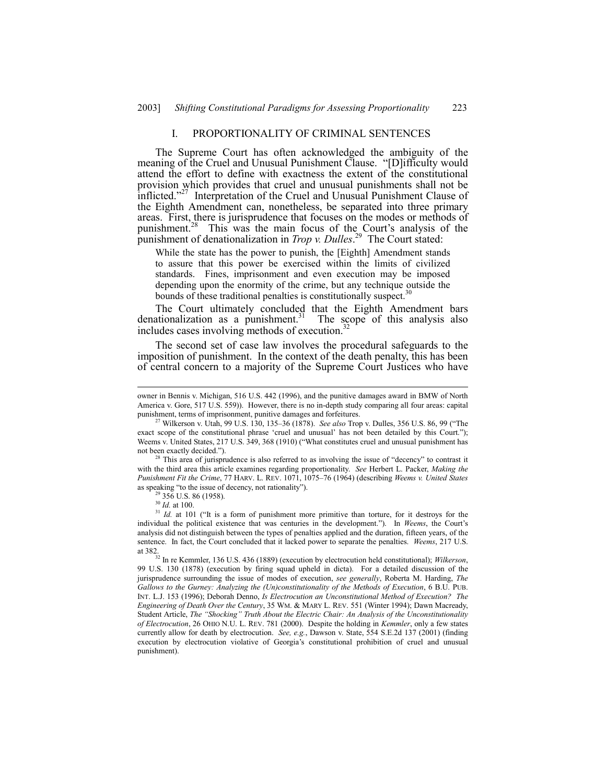## I. PROPORTIONALITY OF CRIMINAL SENTENCES

The Supreme Court has often acknowledged the ambiguity of the meaning of the Cruel and Unusual Punishment Clause. "[D]ifficulty would attend the effort to define with exactness the extent of the constitutional provision which provides that cruel and unusual punishments shall not be inflicted.<sup>227</sup> Interpretation of the Cruel and Unusual Punishment Clause of the Eighth Amendment can, nonetheless, be separated into three primary areas. First, there is jurisprudence that focuses on the modes or methods of punishment.<sup>28</sup> This was the main focus of the Court's analysis of the punishment of denationalization in *Trop v. Dulles*. 29 The Court stated:

While the state has the power to punish, the [Eighth] Amendment stands to assure that this power be exercised within the limits of civilized standards. Fines, imprisonment and even execution may be imposed depending upon the enormity of the crime, but any technique outside the bounds of these traditional penalties is constitutionally suspect.<sup>30</sup>

The Court ultimately concluded that the Eighth Amendment bars denationalization as a punishment.<sup>31</sup> The scope of this analysis also The scope of this analysis also includes cases involving methods of execution.

The second set of case law involves the procedural safeguards to the imposition of punishment. In the context of the death penalty, this has been of central concern to a majority of the Supreme Court Justices who have

This area of jurisprudence is also referred to as involving the issue of "decency" to contrast it with the third area this article examines regarding proportionality. *See* Herbert L. Packer, *Making the Punishment Fit the Crime, 77 HARV. L. REV. 1071, 1075-76 (1964) (describing Weems v. United States* as speaking "to the issue of decency, not rationality").

356 U.S. 86 (1958).

owner in Bennis v. Michigan, 516 U.S. 442 (1996), and the punitive damages award in BMW of North America v. Gore, 517 U.S. 559)). However, there is no in-depth study comparing all four areas: capital punishment, terms of imprisonment, punitive damages and forfeitures.

Wilkerson v. Utah, 99 U.S. 130, 135–36 (1878). *See also* Trop v. Dulles, 356 U.S. 86, 99 ("The exact scope of the constitutional phrase 'cruel and unusual' has not been detailed by this Court."); Weems v. United States, 217 U.S. 349, 368 (1910) ("What constitutes cruel and unusual punishment has not been exactly decided.").

<sup>30</sup> *Id.* at 100.

 $31$  *Id.* at 101 ("It is a form of punishment more primitive than torture, for it destroys for the individual the political existence that was centuries in the development.<sup>2</sup>). In *Weems*, the Court's analysis did not distinguish between the types of penalties applied and the duration, fifteen years, of the sentence. In fact, the Court concluded that it lacked power to separate the penalties. *Weems*, 217 U.S. at 382.<br><sup>32</sup> In re Kemmler, 136 U.S. 436 (1889) (execution by electrocution held constitutional); *Wilkerson*,

<sup>99</sup> U.S. 130 (1878) (execution by firing squad upheld in dicta). For a detailed discussion of the jurisprudence surrounding the issue of modes of execution, *see generally*, Roberta M. Harding, *The* Gallows to the Gurney: Analyzing the (Un)constitutionality of the Methods of Execution, 6 B.U. PUB. INT. L.J. 153 (1996); Deborah Denno, *Is Electrocution an Unconstitutional Method of Execution? The Engineering of Death Over the Century*, 35 WM. & MARY L. REV. 551 (Winter 1994); Dawn Macready, Student Article, *The "Shocking" Truth About the Electric Chair: An Analysis of the Unconstitutionality of Electrocution*, 26 OHIO N.U. L. REV. 781 (2000). Despite the holding in *Kemmler*, only a few states currently allow for death by electrocution. *See, e.g.*, Dawson v. State, 554 S.E.2d 137 (2001) (finding execution by electrocution violative of Georgia's constitutional prohibition of cruel and unusual punishment).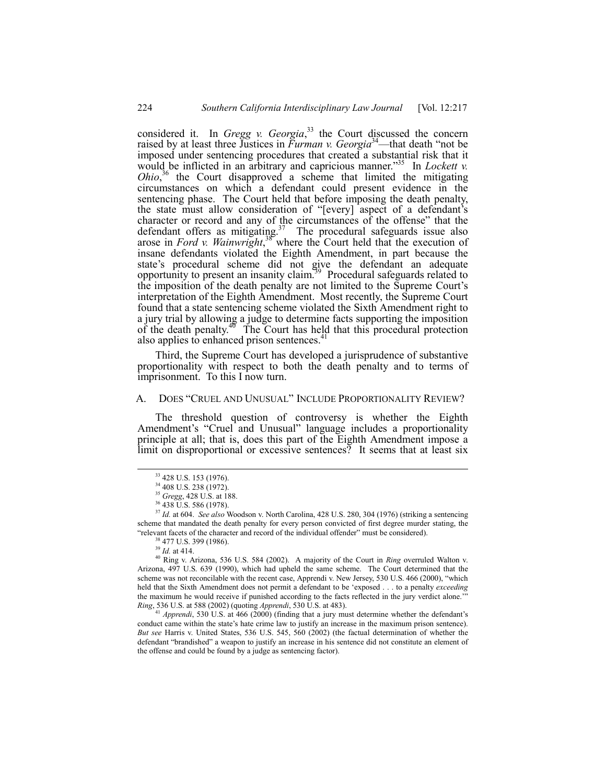considered it. In *Gregg v. Georgia*, 33 the Court discussed the concern raised by at least three Justices in *Furman v. Georgia*<sup>34</sup>—that death "not be imposed under sentencing procedures that created a substantial risk that it would be inflicted in an arbitrary and capricious manner.<sup>35</sup> In *Lockett v. Ohio*<sup>36</sup> the Court disapproved a scheme that limited the mitigating circumstances on which a defendant could present evidence in the sentencing phase. The Court held that before imposing the death penalty, the state must allow consideration of "[every] aspect of a defendant's character or record and any of the circumstances of the offense" that the defendant offers as mitigating.<sup>37</sup> The procedural safeguards issue also arose in *Ford v. Wainwright*, 38 where the Court held that the execution of insane defendants violated the Eighth Amendment, in part because the state's procedural scheme did not give the defendant an adequate opportunity to present an insanity claim.<sup>39</sup> Procedural safeguards related to the imposition of the death penalty are not limited to the Supreme Court's interpretation of the Eighth Amendment. Most recently, the Supreme Court found that a state sentencing scheme violated the Sixth Amendment right to a jury trial by allowing a judge to determine facts supporting the imposition of the death penalty. $40^{\circ}$  The Court has held that this procedural protection also applies to enhanced prison sentences.<sup>4</sup>

Third, the Supreme Court has developed a jurisprudence of substantive proportionality with respect to both the death penalty and to terms of imprisonment. To this I now turn.

# A. DOES "CRUEL AND UNUSUAL" INCLUDE PROPORTIONALITY REVIEW?

The threshold question of controversy is whether the Eighth Amendment's "Cruel and Unusual" language includes a proportionality principle at all; that is, does this part of the Eighth Amendment impose a limit on disproportional or excessive sentences? It seems that at least six

<sup>37</sup> *Id.* at 604. *See also* Woodson v. North Carolina, 428 U.S. 280, 304 (1976) (striking a sentencing scheme that mandated the death penalty for every person convicted of first degree murder stating, the "relevant facets of the character and record of the individual offender" must be considered).

40 Ring v. Arizona, 536 U.S. 584 (2002). A majority of the Court in *Ring* overruled Walton v. Arizona, 497 U.S. 639 (1990), which had upheld the same scheme. The Court determined that the scheme was not reconcilable with the recent case, Apprendi v. New Jersey, 530 U.S. 466 (2000), "which held that the Sixth Amendment does not permit a defendant to be ëexposed . . . to a penalty *exceeding* the maximum he would receive if punished according to the facts reflected in the jury verdict alone. *Ring*, 536 U.S. at 588 (2002) (quoting *Apprendi*, 530 U.S. at 483).

<sup>41</sup> *Apprendi*, 530 U.S. at 466 (2000) (finding that a jury must determine whether the defendant's conduct came within the state's hate crime law to justify an increase in the maximum prison sentence). *But see* Harris v. United States, 536 U.S. 545, 560 (2002) (the factual determination of whether the defendant "brandished" a weapon to justify an increase in his sentence did not constitute an element of the offense and could be found by a judge as sentencing factor).

 <sup>33 428</sup> U.S. 153 (1976).

<sup>34 408</sup> U.S. 238 (1972).

<sup>35</sup> *Gregg*, 428 U.S. at 188.

<sup>36 438</sup> U.S. 586 (1978).

<sup>38 477</sup> U.S. 399 (1986).

<sup>39</sup> *Id.* at 414.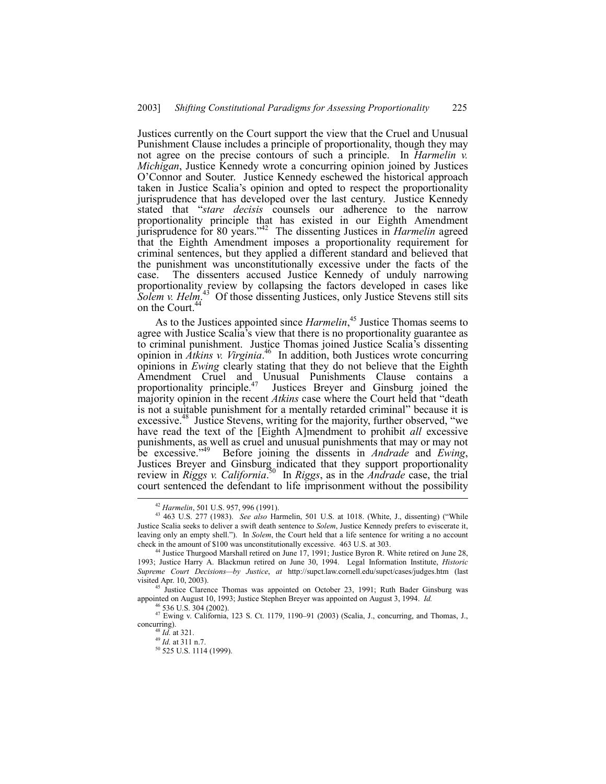Justices currently on the Court support the view that the Cruel and Unusual Punishment Clause includes a principle of proportionality, though they may not agree on the precise contours of such a principle. In *Harmelin v. Michigan*, Justice Kennedy wrote a concurring opinion joined by Justices OíConnor and Souter. Justice Kennedy eschewed the historical approach taken in Justice Scaliaís opinion and opted to respect the proportionality jurisprudence that has developed over the last century. Justice Kennedy stated that "stare decisis counsels our adherence to the narrow proportionality principle that has existed in our Eighth Amendment jurisprudence for 80 years.<sup>742</sup> The dissenting Justices in *Harmelin* agreed that the Eighth Amendment imposes a proportionality requirement for criminal sentences, but they applied a different standard and believed that the punishment was unconstitutionally excessive under the facts of the case. The dissenters accused Justice Kennedy of unduly narrowing The dissenters accused Justice Kennedy of unduly narrowing proportionality review by collapsing the factors developed in cases like Solem v. Helm.<sup>43</sup> Of those dissenting Justices, only Justice Stevens still sits on the Court.<sup>44</sup>

As to the Justices appointed since *Harmelin*, 45 Justice Thomas seems to agree with Justice Scalia<sup>3</sup>s view that there is no proportionality guarantee as to criminal punishment. Justice Thomas joined Justice Scalia's dissenting opinion in *Atkins v. Virginia*. 46 In addition, both Justices wrote concurring opinions in *Ewing* clearly stating that they do not believe that the Eighth Amendment Cruel and Unusual Punishments Clause contains a proportionality principle.<sup>47</sup> Justices Breyer and Ginsburg joined the majority opinion in the recent *Atkins* case where the Court held that "death" is not a suitable punishment for a mentally retarded criminal" because it is excessive.<sup>48</sup> Justice Stevens, writing for the majority, further observed, "we have read the text of the [Eighth A]mendment to prohibit *all* excessive punishments, as well as cruel and unusual punishments that may or may not be excessive.<sup>749</sup> Before joining the dissents in *Andrade* and *Ewing*, be excessive.<sup>749</sup> review in *Riggs v. California*. 50 In *Riggs*, as in the *Andrade* case, the trial court sentenced the defendant to life imprisonment without the possibility

 <sup>42</sup> *Harmelin*, 501 U.S. 957, 996 (1991).

<sup>43 463</sup> U.S. 277 (1983). *See also* Harmelin, 501 U.S. at 1018. (White, J., dissenting) ("While Justice Scalia seeks to deliver a swift death sentence to *Solem*, Justice Kennedy prefers to eviscerate it, leaving only an empty shell."). In *Solem*, the Court held that a life sentence for writing a no account check in the amount of \$100 was unconstitutionally excessive. 463 U.S. at 303.

<sup>44</sup> Justice Thurgood Marshall retired on June 17, 1991; Justice Byron R. White retired on June 28, 1993; Justice Harry A. Blackmun retired on June 30, 1994. Legal Information Institute, *Historic Supreme Court Decisions-by Justice, at http://supct.law.cornell.edu/supct/cases/judges.htm (last* visited Apr. 10, 2003).

<sup>&</sup>lt;sup>45</sup> Justice Clarence Thomas was appointed on October 23, 1991; Ruth Bader Ginsburg was appointed on August 10, 1993; Justice Stephen Breyer was appointed on August 3, 1994. *Id.*

 $\frac{47}{25000}$  S. 304 (2002). 123 S. Ct. 1179, 1190–91 (2003) (Scalia, J., concurring, and Thomas, J., concurring).

<sup>48</sup> *Id.* at 321.

<sup>49</sup> *Id.* at 311 n.7.

<sup>50 525</sup> U.S. 1114 (1999).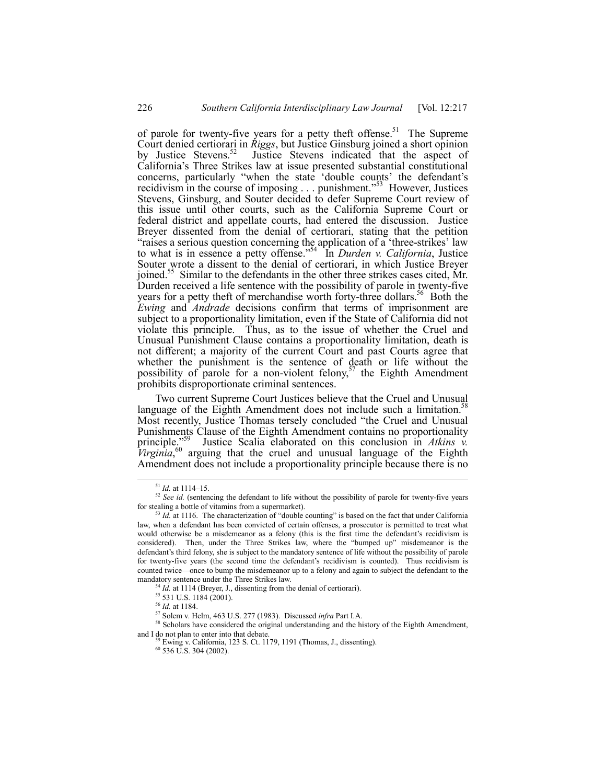of parole for twenty-five years for a petty theft offense.<sup>51</sup> The Supreme Court denied certiorari in *Riggs*, but Justice Ginsburg joined a short opinion by Justice Stevens.<sup>52</sup> Justice Stevens indicated that the aspect of Californiaís Three Strikes law at issue presented substantial constitutional concerns, particularly "when the state 'double counts' the defendant's recidivism in the course of imposing  $\ldots$  punishment.<sup>553</sup> However, Justices Stevens, Ginsburg, and Souter decided to defer Supreme Court review of this issue until other courts, such as the California Supreme Court or federal district and appellate courts, had entered the discussion. Justice Breyer dissented from the denial of certiorari, stating that the petition "raises a serious question concerning the application of a 'three-strikes' law to what is in essence a petty offense.<sup>554</sup> In *Durden v. California*, Justice Souter wrote a dissent to the denial of certiorari, in which Justice Breyer joined.55 Similar to the defendants in the other three strikes cases cited, Mr. Durden received a life sentence with the possibility of parole in twenty-five years for a petty theft of merchandise worth forty-three dollars.<sup>56</sup> Both the *Ewing* and *Andrade* decisions confirm that terms of imprisonment are subject to a proportionality limitation, even if the State of California did not violate this principle. Thus, as to the issue of whether the Cruel and Unusual Punishment Clause contains a proportionality limitation, death is not different; a majority of the current Court and past Courts agree that whether the punishment is the sentence of death or life without the possibility of parole for a non-violent felony,<sup>57</sup> the Eighth Amendment prohibits disproportionate criminal sentences.

Two current Supreme Court Justices believe that the Cruel and Unusual language of the Eighth Amendment does not include such a limitation.<sup>58</sup> Most recently, Justice Thomas tersely concluded "the Cruel and Unusual Punishments Clause of the Eighth Amendment contains no proportionality principle.<sup>559</sup> Justice Scalia elaborated on this conclusion in *Atkins v. Virginia*, 60 arguing that the cruel and unusual language of the Eighth Amendment does not include a proportionality principle because there is no

<sup>58</sup> Scholars have considered the original understanding and the history of the Eighth Amendment, and I do not plan to enter into that debate. 59 Ewing v. California, 123 S. Ct. 1179, 1191 (Thomas, J., dissenting).

 $^{51}$  *Id.* at 1114–15.

<sup>&</sup>lt;sup>52</sup> See id. (sentencing the defendant to life without the possibility of parole for twenty-five years for stealing a bottle of vitamins from a supermarket).

 $53$  *Id.* at 1116. The characterization of "double counting" is based on the fact that under California law, when a defendant has been convicted of certain offenses, a prosecutor is permitted to treat what would otherwise be a misdemeanor as a felony (this is the first time the defendant's recidivism is considered). Then, under the Three Strikes law, where the "bumped up" misdemeanor is the defendant's third felony, she is subject to the mandatory sentence of life without the possibility of parole for twenty-five years (the second time the defendant's recidivism is counted). Thus recidivism is counted twice—once to bump the misdemeanor up to a felony and again to subject the defendant to the mandatory sentence under the Three Strikes law.

<sup>&</sup>lt;sup>54</sup> *Id.* at 1114 (Breyer, J., dissenting from the denial of certiorari).

<sup>55 531</sup> U.S. 1184 (2001).

<sup>56</sup> *Id.* at 1184.

<sup>57</sup> Solem v. Helm, 463 U.S. 277 (1983). Discussed *infra* Part I.A.

 $^{60}$  536 U.S. 304 (2002).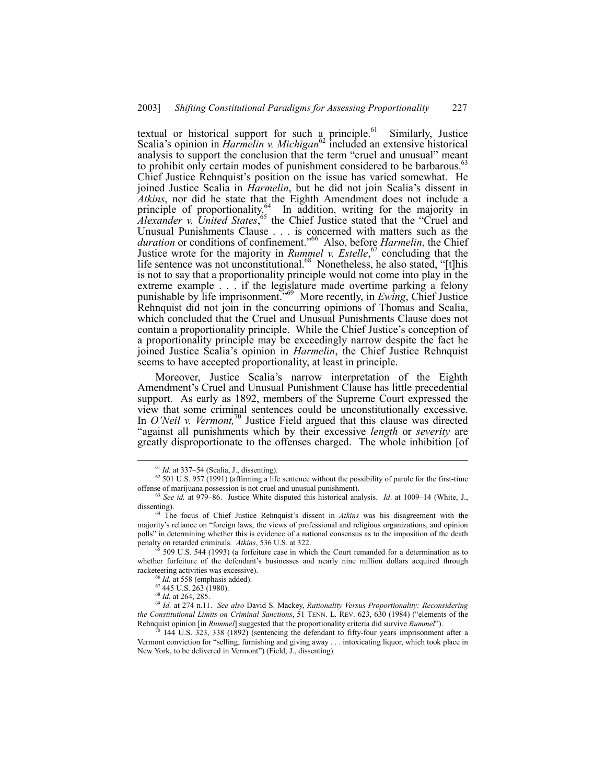textual or historical support for such a principle.<sup>61</sup> Similarly, Justice Scalia's opinion in *Harmelin v. Michigan*<sup>62</sup> included an extensive historical analysis to support the conclusion that the term "cruel and unusual" meant to prohibit only certain modes of punishment considered to be barbarous.<sup>63</sup> Chief Justice Rehnquist's position on the issue has varied somewhat. He joined Justice Scalia in *Harmelin*, but he did not join Scalia's dissent in *Atkins*, nor did he state that the Eighth Amendment does not include a principle of proportionality.<sup>64</sup> In addition, writing for the majority in *Alexander v. United States*,<sup>65</sup> the Chief Justice stated that the "Cruel and Unusual Punishments Clause . . . is concerned with matters such as the *duration* or conditions of confinement.<sup>766</sup> Also, before *Harmelin*, the Chief Justice wrote for the majority in *Rummel v. Estelle*, 67 concluding that the life sentence was not unconstitutional.<sup>68</sup> Nonetheless, he also stated, "[t]his is not to say that a proportionality principle would not come into play in the extreme example . . . if the legislature made overtime parking a felony punishable by life imprisonment.<sup>369</sup> More recently, in *Ewing*, Chief Justice Rehnquist did not join in the concurring opinions of Thomas and Scalia, which concluded that the Cruel and Unusual Punishments Clause does not contain a proportionality principle. While the Chief Justice's conception of a proportionality principle may be exceedingly narrow despite the fact he joined Justice Scaliaís opinion in *Harmelin*, the Chief Justice Rehnquist seems to have accepted proportionality, at least in principle.

Moreover, Justice Scalia's narrow interpretation of the Eighth Amendment's Cruel and Unusual Punishment Clause has little precedential support. As early as 1892, members of the Supreme Court expressed the view that some criminal sentences could be unconstitutionally excessive. In *O'Neil v. Vermont*,<sup>70</sup> Justice Field argued that this clause was directed ìagainst all punishments which by their excessive *length* or *severity* are greatly disproportionate to the offenses charged. The whole inhibition [of

 $61$  *Id.* at 337–54 (Scalia, J., dissenting).

 $62$  501 U.S. 957 (1991) (affirming a life sentence without the possibility of parole for the first-time offense of marijuana possession is not cruel and unusual punishment).

<sup>&</sup>lt;sup>63</sup> See id. at 979–86. Justice White disputed this historical analysis. *Id.* at 1009–14 (White, J., dissenting).

<sup>&</sup>lt;sup>64</sup> The focus of Chief Justice Rehnquist's dissent in *Atkins* was his disagreement with the majority's reliance on "foreign laws, the views of professional and religious organizations, and opinion polls" in determining whether this is evidence of a national consensus as to the imposition of the death penalty on retarded criminals. *Atkins*, 536 U.S. at 322.

 $65$  509 U.S. 544 (1993) (a forfeiture case in which the Court remanded for a determination as to whether forfeiture of the defendant's businesses and nearly nine million dollars acquired through racketeering activities was excessive).

 $^{66}$  *Id.* at 558 (emphasis added).<br> $^{67}$  445 U.S. 263 (1980).

<sup>67 445</sup> U.S. 263 (1980). <sup>68</sup> *Id.* at 264, 285. <sup>69</sup> *Id.* at 274 n.11. *See also* David S. Mackey, *Rationality Versus Proportionality: Reconsidering the Constitutional Limits on Criminal Sanctions*, 51 TENN, L. REV. 623, 630 (1984) ("elements of the Rehnquist opinion [in *Rummel*] suggested that the proportionality criteria did survive *Rummel*î).

<sup>70 144</sup> U.S. 323, 338 (1892) (sentencing the defendant to fifty-four years imprisonment after a Vermont conviction for "selling, furnishing and giving away . . . intoxicating liquor, which took place in New York, to be delivered in Vermont") (Field, J., dissenting).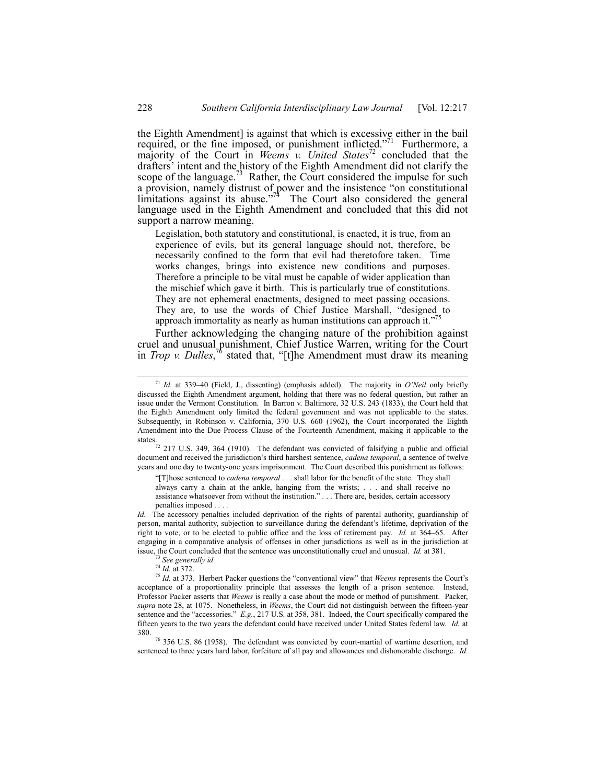the Eighth Amendment] is against that which is excessive either in the bail required, or the fine imposed, or punishment inflicted.<sup>771</sup> Furthermore, a majority of the Court in *Weems v. United States*<sup>72</sup> concluded that the drafters<sup>'</sup> intent and the history of the Eighth Amendment did not clarify the scope of the language.<sup>73</sup> Rather, the Court considered the impulse for such a provision, namely distrust of power and the insistence "on constitutional limitations against its abuse.<sup> $774$ </sup> The Court also considered the general language used in the Eighth Amendment and concluded that this did not support a narrow meaning.

Legislation, both statutory and constitutional, is enacted, it is true, from an experience of evils, but its general language should not, therefore, be necessarily confined to the form that evil had theretofore taken. Time works changes, brings into existence new conditions and purposes. Therefore a principle to be vital must be capable of wider application than the mischief which gave it birth. This is particularly true of constitutions. They are not ephemeral enactments, designed to meet passing occasions. They are, to use the words of Chief Justice Marshall, "designed to approach immortality as nearly as human institutions can approach it. $"$ <sup>7</sup>

Further acknowledging the changing nature of the prohibition against cruel and unusual punishment, Chief Justice Warren, writing for the Court in *Trop v. Dulles*,<sup>76</sup> stated that, "[t]he Amendment must draw its meaning

states.<br><sup>72</sup> 217 U.S. 349, 364 (1910). The defendant was convicted of falsifying a public and official document and received the jurisdiction's third harshest sentence, *cadena temporal*, a sentence of twelve years and one day to twenty-one years imprisonment. The Court described this punishment as follows:

ì[T]hose sentenced to *cadena temporal* . . . shall labor for the benefit of the state. They shall always carry a chain at the ankle, hanging from the wrists; . . . and shall receive no assistance whatsoever from without the institution." . . . There are, besides, certain accessory penalties imposed

*Id.* The accessory penalties included deprivation of the rights of parental authority, guardianship of person, marital authority, subjection to surveillance during the defendant's lifetime, deprivation of the right to vote, or to be elected to public office and the loss of retirement pay. *Id.* at 364–65. After engaging in a comparative analysis of offenses in other jurisdictions as well as in the jurisdiction at issue, the Court concluded that the sentence was unconstitutionally cruel and unusual. *Id.* at 381.

76 356 U.S. 86 (1958). The defendant was convicted by court-martial of wartime desertion, and sentenced to three years hard labor, forfeiture of all pay and allowances and dishonorable discharge. *Id.*

 $71$  *Id.* at 339-40 (Field, J., dissenting) (emphasis added). The majority in *O'Neil* only briefly discussed the Eighth Amendment argument, holding that there was no federal question, but rather an issue under the Vermont Constitution. In Barron v. Baltimore, 32 U.S. 243 (1833), the Court held that the Eighth Amendment only limited the federal government and was not applicable to the states. Subsequently, in Robinson v. California, 370 U.S. 660 (1962), the Court incorporated the Eighth Amendment into the Due Process Clause of the Fourteenth Amendment, making it applicable to the

See generally id.

<sup>74</sup> *Id.* at 372.

 $75$  *Id.* at 373. Herbert Packer questions the "conventional view" that *Weems* represents the Court's acceptance of a proportionality principle that assesses the length of a prison sentence. Instead, Professor Packer asserts that *Weems* is really a case about the mode or method of punishment. Packer, *supra* note 28, at 1075. Nonetheless, in *Weems*, the Court did not distinguish between the fifteen-year sentence and the "accessories." *E.g.*, 217 U.S. at 358, 381. Indeed, the Court specifically compared the fifteen years to the two years the defendant could have received under United States federal law. *Id.* at 380.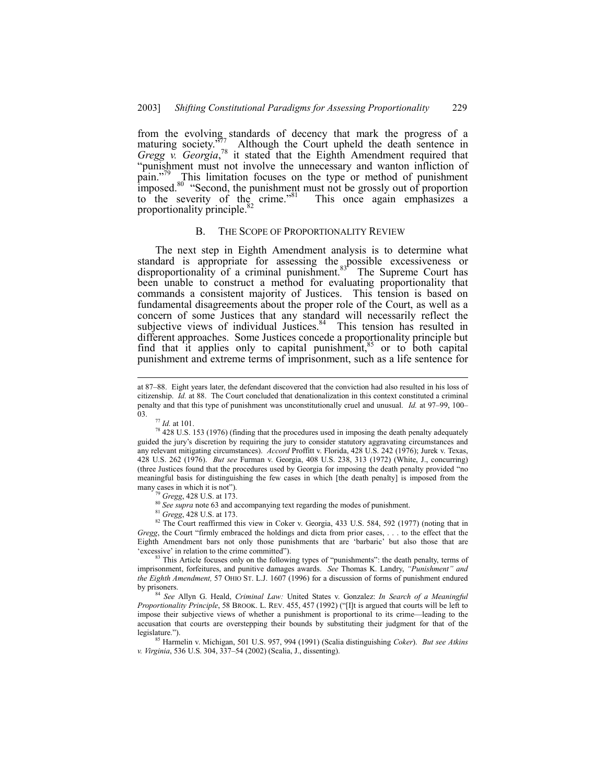from the evolving standards of decency that mark the progress of a maturing society.<sup> $\frac{377}{2}$ </sup> Although the Court upheld the death sentence in *Gregg v. Georgia*, 78 it stated that the Eighth Amendment required that ìpunishment must not involve the unnecessary and wanton infliction of pain.<sup>779</sup> This limitation focuses on the type or method of punishment imposed.<sup>80</sup> "Second, the punishment must not be grossly out of proportion to the severity of the crime.<sup> $81$ </sup> This once again emphasizes a proportionality principle.<sup>4</sup>

#### B. THE SCOPE OF PROPORTIONALITY REVIEW

The next step in Eighth Amendment analysis is to determine what standard is appropriate for assessing the possible excessiveness or disproportionality of a criminal punishment. $83<sup>r</sup>$  The Supreme Court has been unable to construct a method for evaluating proportionality that commands a consistent majority of Justices. This tension is based on fundamental disagreements about the proper role of the Court, as well as a concern of some Justices that any standard will necessarily reflect the subjective views of individual Justices. $84$  This tension has resulted in different approaches. Some Justices concede a proportionality principle but find that it applies only to capital punishment, $85$  or to both capital punishment and extreme terms of imprisonment, such as a life sentence for

at 87–88. Eight years later, the defendant discovered that the conviction had also resulted in his loss of citizenship. *Id.* at 88. The Court concluded that denationalization in this context constituted a criminal penalty and that this type of punishment was unconstitutionally cruel and unusual. *Id.* at 97–99, 100– 03.

<sup>77</sup> *Id.* at 101.

<sup>&</sup>lt;sup>78</sup> 428 U.S. 153 (1976) (finding that the procedures used in imposing the death penalty adequately guided the juryís discretion by requiring the jury to consider statutory aggravating circumstances and any relevant mitigating circumstances). *Accord* Proffitt v. Florida, 428 U.S. 242 (1976); Jurek v. Texas, 428 U.S. 262 (1976). *But see* Furman v. Georgia, 408 U.S. 238, 313 (1972) (White, J., concurring) (three Justices found that the procedures used by Georgia for imposing the death penalty provided "no meaningful basis for distinguishing the few cases in which [the death penalty] is imposed from the many cases in which it is not").

<sup>79</sup> *Gregg*, 428 U.S. at 173.

<sup>&</sup>lt;sup>80</sup> See supra note 63 and accompanying text regarding the modes of punishment.

<sup>81</sup> *Gregg*, 428 U.S. at 173.

<sup>&</sup>lt;sup>82</sup> The Court reaffirmed this view in Coker v. Georgia, 433 U.S. 584, 592 (1977) (noting that in *Gregg*, the Court "firmly embraced the holdings and dicta from prior cases, . . . to the effect that the Eighth Amendment bars not only those punishments that are 'barbaric' but also those that are 'excessive' in relation to the crime committed").

This Article focuses only on the following types of "punishments": the death penalty, terms of imprisonment, forfeitures, and punitive damages awards. *See Thomas K. Landry, "Punishment" and the Eighth Amendment,* 57 OHIO ST. L.J. 1607 (1996) for a discussion of forms of punishment endured by prisoners.

<sup>84</sup> *See* Allyn G. Heald, *Criminal Law:* United States v. Gonzalez: *In Search of a Meaningful Proportionality Principle*, 58 BROOK. L. REV. 455, 457 (1992) ("[I]t is argued that courts will be left to impose their subjective views of whether a punishment is proportional to its crime—leading to the accusation that courts are overstepping their bounds by substituting their judgment for that of the legislature.").

<sup>85</sup> Harmelin v. Michigan, 501 U.S. 957, 994 (1991) (Scalia distinguishing *Coker*). *But see Atkins v. Virginia*, 536 U.S. 304, 337–54 (2002) (Scalia, J., dissenting).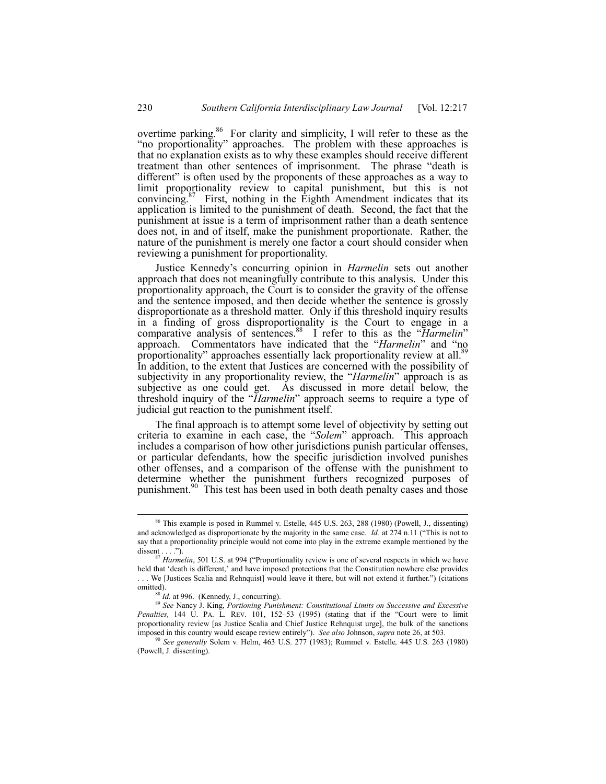overtime parking. $86$  For clarity and simplicity, I will refer to these as the "no proportionality" approaches. The problem with these approaches is that no explanation exists as to why these examples should receive different treatment than other sentences of imprisonment. The phrase "death is different" is often used by the proponents of these approaches as a way to limit proportionality review to capital punishment, but this is not convincing.<sup>87</sup> First, nothing in the Eighth Amendment indicates that its application is limited to the punishment of death. Second, the fact that the punishment at issue is a term of imprisonment rather than a death sentence does not, in and of itself, make the punishment proportionate. Rather, the nature of the punishment is merely one factor a court should consider when reviewing a punishment for proportionality.

Justice Kennedyís concurring opinion in *Harmelin* sets out another approach that does not meaningfully contribute to this analysis. Under this proportionality approach, the Court is to consider the gravity of the offense and the sentence imposed, and then decide whether the sentence is grossly disproportionate as a threshold matter. Only if this threshold inquiry results in a finding of gross disproportionality is the Court to engage in a comparative analysis of sentences.<sup>88</sup> I refer to this as the *'Harmelin*' approach. Commentators have indicated that the "*Harmelin*" and "no proportionality" approaches essentially lack proportionality review at all.<sup>89</sup> In addition, to the extent that Justices are concerned with the possibility of subjectivity in any proportionality review, the *"Harmelin*" approach is as subjective as one could get. As discussed in more detail below, the threshold inquiry of the *'Harmelin*' approach seems to require a type of judicial gut reaction to the punishment itself.

The final approach is to attempt some level of objectivity by setting out criteria to examine in each case, the "*Solem*" approach. This approach includes a comparison of how other jurisdictions punish particular offenses, or particular defendants, how the specific jurisdiction involved punishes other offenses, and a comparison of the offense with the punishment to determine whether the punishment furthers recognized purposes of punishment.<sup>90</sup> This test has been used in both death penalty cases and those

 <sup>86</sup> This example is posed in Rummel v. Estelle, 445 U.S. 263, 288 (1980) (Powell, J., dissenting) and acknowledged as disproportionate by the majority in the same case. *Id.* at 274 n.11 ("This is not to say that a proportionality principle would not come into play in the extreme example mentioned by the dissent  $\dots$ .").

 $87$  *Harmelin*, 501 U.S. at 994 ("Proportionality review is one of several respects in which we have held that 'death is different,' and have imposed protections that the Constitution nowhere else provides

<sup>...</sup> We [Justices Scalia and Rehnquist] would leave it there, but will not extend it further.") (citations omitted).

*Id.* at 996. (Kennedy, J., concurring).

<sup>89</sup> See Nancy J. King, *Portioning Punishment: Constitutional Limits on Successive and Excessive Penalties,* 144 U. PA. L. REV. 101, 152–53 (1995) (stating that if the "Court were to limit proportionality review [as Justice Scalia and Chief Justice Rehnquist urge], the bulk of the sanctions imposed in this country would escape review entirelyî). *See also* Johnson, *supra* note 26, at 503.

<sup>90</sup> *See generally* Solem v. Helm, 463 U.S. 277 (1983); Rummel v. Estelle*,* 445 U.S. 263 (1980) (Powell, J. dissenting).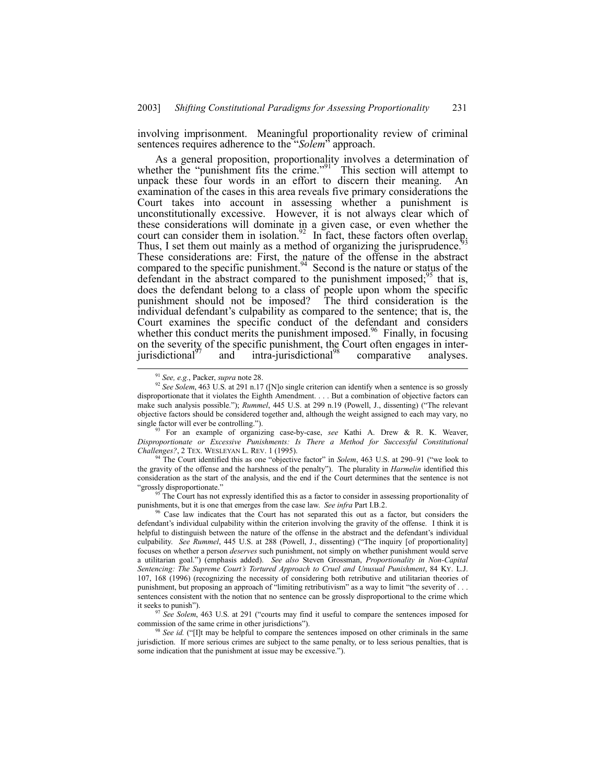involving imprisonment. Meaningful proportionality review of criminal sentences requires adherence to the "*Solem*<sup>3</sup> approach.

As a general proposition, proportionality involves a determination of whether the "punishment fits the crime." $91$  This section will attempt to unpack these four words in an effort to discern their meaning. An examination of the cases in this area reveals five primary considerations the Court takes into account in assessing whether a punishment is unconstitutionally excessive. However, it is not always clear which of these considerations will dominate in a given case, or even whether the court can consider them in isolation.<sup>92</sup> In fact, these factors often overlap. Thus, I set them out mainly as a method of organizing the jurisprudence.<sup>5</sup> These considerations are: First, the nature of the offense in the abstract compared to the specific punishment.  $94$  Second is the nature or status of the defendant in the abstract compared to the punishment imposed;  $95$  that is, does the defendant belong to a class of people upon whom the specific punishment should not be imposed? The third consideration is the individual defendant's culpability as compared to the sentence; that is, the Court examines the specific conduct of the defendant and considers whether this conduct merits the punishment imposed.<sup>96</sup> Finally, in focusing on the severity of the specific punishment, the Court often engages in interjurisdictional<sup>97</sup> and intra-jurisdictional<sup>98</sup> comparative analyses.

<sup>93</sup> For an example of organizing case-by-case, see Kathi A. Drew & R. K. Weaver, *Disproportionate or Excessive Punishments: Is There a Method for Successful Constitutional Challenges?*, 2 TEX. WESLEYAN L. REV. 1 (1995).

The Court identified this as one "objective factor" in *Solem*, 463 U.S. at 290–91 ("we look to the gravity of the offense and the harshness of the penalty"). The plurality in *Harmelin* identified this consideration as the start of the analysis, and the end if the Court determines that the sentence is not "grossly disproportionate."

The Court has not expressly identified this as a factor to consider in assessing proportionality of punishments, but it is one that emerges from the case law. *See infra* Part I.B.2.

 <sup>91</sup> *See, e.g.*, Packer, *supra* note 28.

<sup>92</sup> *See Solem*, 463 U.S. at 291 n.17 ([N]o single criterion can identify when a sentence is so grossly disproportionate that it violates the Eighth Amendment. . . . But a combination of objective factors can make such analysis possible."); *Rummel*, 445 U.S. at 299 n.19 (Powell, J., dissenting) ("The relevant objective factors should be considered together and, although the weight assigned to each may vary, no single factor will ever be controlling.").

 $96$  Case law indicates that the Court has not separated this out as a factor, but considers the defendant's individual culpability within the criterion involving the gravity of the offense. I think it is helpful to distinguish between the nature of the offense in the abstract and the defendant's individual culpability. *See Rummel*, 445 U.S. at 288 (Powell, J., dissenting) ("The inquiry [of proportionality] focuses on whether a person *deserves* such punishment, not simply on whether punishment would serve a utilitarian goal.î) (emphasis added). *See also* Steven Grossman, *Proportionality in Non-Capital Sentencing: The Supreme Courtís Tortured Approach to Cruel and Unusual Punishment*, 84 KY. L.J. 107, 168 (1996) (recognizing the necessity of considering both retributive and utilitarian theories of punishment, but proposing an approach of "limiting retributivism" as a way to limit "the severity of . . . sentences consistent with the notion that no sentence can be grossly disproportional to the crime which it seeks to punish").

<sup>&</sup>lt;sup>97</sup> See Solem, 463 U.S. at 291 ("courts may find it useful to compare the sentences imposed for commission of the same crime in other jurisdictions").

See *id.* ("Ilt may be helpful to compare the sentences imposed on other criminals in the same jurisdiction. If more serious crimes are subject to the same penalty, or to less serious penalties, that is some indication that the punishment at issue may be excessive.").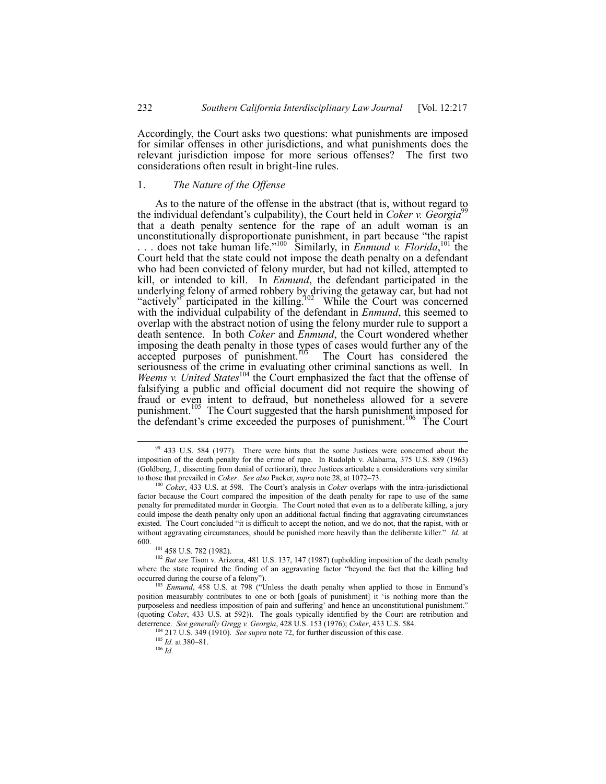Accordingly, the Court asks two questions: what punishments are imposed for similar offenses in other jurisdictions, and what punishments does the relevant jurisdiction impose for more serious offenses? The first two considerations often result in bright-line rules.

# 1. *The Nature of the Offense*

As to the nature of the offense in the abstract (that is, without regard to the individual defendant's culpability), the Court held in *Coker v. Georgia*<sup>99</sup> that a death penalty sentence for the rape of an adult woman is an unconstitutionally disproportionate punishment, in part because "the rapist ... does not take human life."<sup>100</sup> Similarly, in *Enmund v. Florida*, <sup>101</sup> the Court held that the state could not impose the death penalty on a defendant who had been convicted of felony murder, but had not killed, attempted to kill, or intended to kill. In *Enmund*, the defendant participated in the underlying felony of armed robbery by driving the getaway car, but had not "actively" participated in the killing.<sup>102</sup> While the Court was concerned with the individual culpability of the defendant in *Enmund*, this seemed to overlap with the abstract notion of using the felony murder rule to support a death sentence. In both *Coker* and *Enmund*, the Court wondered whether imposing the death penalty in those types of cases would further any of the accepted purposes of punishment. $105$  The Court has considered the seriousness of the crime in evaluating other criminal sanctions as well. In *Weems v. United States*<sup>104</sup> the Court emphasized the fact that the offense of falsifying a public and official document did not require the showing of fraud or even intent to defraud, but nonetheless allowed for a severe punishment.<sup>105</sup> The Court suggested that the harsh punishment imposed for the defendant's crime exceeded the purposes of punishment.<sup>106</sup> The Court

<sup>&</sup>lt;sup>99</sup> 433 U.S. 584 (1977). There were hints that the some Justices were concerned about the imposition of the death penalty for the crime of rape. In Rudolph v. Alabama, 375 U.S. 889 (1963) (Goldberg, J., dissenting from denial of certiorari), three Justices articulate a considerations very similar to those that prevailed in *Coker. See also* Packer, *supra* note 28, at 1072-73.

<sup>&</sup>lt;sup>100</sup> *Coker*, 433 U.S. at 598. The Court's analysis in *Coker* overlaps with the intra-jurisdictional factor because the Court compared the imposition of the death penalty for rape to use of the same penalty for premeditated murder in Georgia. The Court noted that even as to a deliberate killing, a jury could impose the death penalty only upon an additional factual finding that aggravating circumstances existed. The Court concluded "it is difficult to accept the notion, and we do not, that the rapist, with or without aggravating circumstances, should be punished more heavily than the deliberate killer.<sup>n</sup> *Id.* at 600.

<sup>101 458</sup> U.S. 782 (1982).

<sup>&</sup>lt;sup>102</sup> *But see* Tison v. Arizona, 481 U.S. 137, 147 (1987) (upholding imposition of the death penalty where the state required the finding of an aggravating factor "beyond the fact that the killing had occurred during the course of a felony").

<sup>&</sup>lt;sup>103</sup> *Enmund*, 458 U.S. at 798 ("Unless the death penalty when applied to those in Enmund's position measurably contributes to one or both [goals of punishment] it ëis nothing more than the purposeless and needless imposition of pain and suffering' and hence an unconstitutional punishment." (quoting *Coker*, 433 U.S. at 592)). The goals typically identified by the Court are retribution and deterrence. *See generally Gregg v. Georgia*, 428 U.S. 153 (1976); *Coker*, 433 U.S. 584.

<sup>&</sup>lt;sup>1</sup> 217 U.S. 349 (1910). *See supra* note 72, for further discussion of this case.

 $\frac{105}{Id}$ . at 380–81.

<sup>106</sup> *Id.*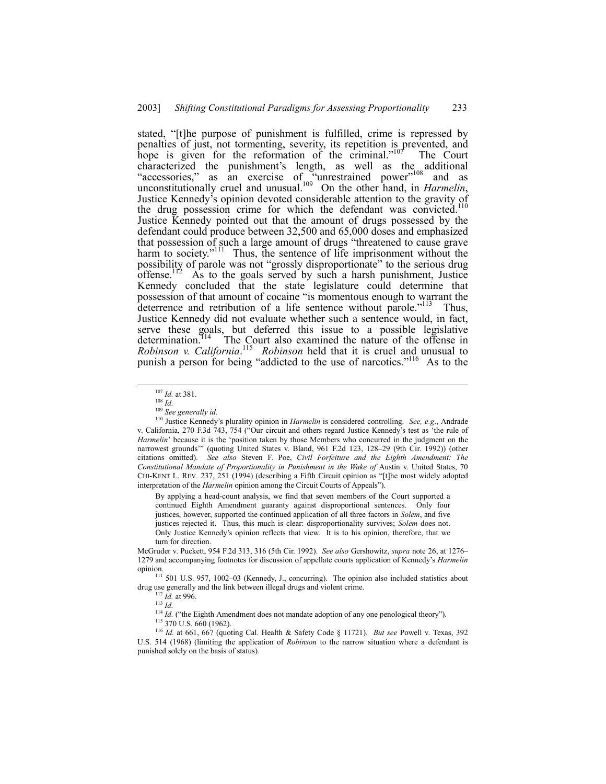stated, "[t]he purpose of punishment is fulfilled, crime is repressed by penalties of just, not tormenting, severity, its repetition is prevented, and hope is given for the reformation of the criminal.<sup> $107$ </sup> The Court characterized the punishment's length, as well as the additional "accessories," as an exercise of "unrestrained power"<sup>108</sup> and as unconstitutionally cruel and unusual.<sup>109</sup> On the other hand, in *Harmelin*, Justice Kennedy's opinion devoted considerable attention to the gravity of Justice Kennedy's opinion devoted considerable attention to the gravity of the drug possession crime for which the defendant was convicted.<sup>110</sup> Justice Kennedy pointed out that the amount of drugs possessed by the defendant could produce between 32,500 and 65,000 doses and emphasized that possession of such a large amount of drugs "threatened to cause grave harm to society."<sup>111</sup> Thus, the sentence of life imprisonment without the possibility of parole was not "grossly disproportionate" to the serious drug offense.<sup>112</sup> As to the goals served by such a harsh punishment, Justice Kennedy concluded that the state legislature could determine that possession of that amount of cocaine "is momentous enough to warrant the deterrence and retribution of a life sentence without parole.<sup>7113</sup> Thus, Justice Kennedy did not evaluate whether such a sentence would, in fact, serve these goals, but deferred this issue to a possible legislative determination.<sup>114</sup> The Court also examined the nature of the offense in *Robinson v. California*. 115 *Robinson* held that it is cruel and unusual to punish a person for being "addicted to the use of narcotics."<sup>116</sup> As to the

By applying a head-count analysis, we find that seven members of the Court supported a continued Eighth Amendment guaranty against disproportional sentences. Only four justices, however, supported the continued application of all three factors in *Solem*, and five justices rejected it. Thus, this much is clear: disproportionality survives; *Solem* does not. Only Justice Kennedyís opinion reflects that view. It is to his opinion, therefore, that we turn for direction.

McGruder v. Puckett, 954 F.2d 313, 316 (5th Cir. 1992). *See also* Gershowitz, *supra* note 26, at 1276-1279 and accompanying footnotes for discussion of appellate courts application of Kennedyís *Harmelin* opinion.

 $111$  501 U.S. 957, 1002–03 (Kennedy, J., concurring). The opinion also included statistics about drug use generally and the link between illegal drugs and violent crime.

 $114$  *Id.* ("the Eighth Amendment does not mandate adoption of any one penological theory").

<sup>116</sup> *Id.* at 661, 667 (quoting Cal. Health & Safety Code ß 11721). *But see* Powell v. Texas, 392 U.S. 514 (1968) (limiting the application of *Robinson* to the narrow situation where a defendant is punished solely on the basis of status).

 <sup>107</sup> *Id.* at 381.

<sup>108</sup> *Id.*

<sup>109</sup> *See generally id.*

<sup>110</sup> Justice Kennedyís plurality opinion in *Harmelin* is considered controlling. *See, e.g*., Andrade v. California, 270 F.3d 743, 754 ("Our circuit and others regard Justice Kennedy's test as 'the rule of *Harmelin*' because it is the 'position taken by those Members who concurred in the judgment on the narrowest grounds<sup>22</sup> (quoting United States v. Bland, 961 F.2d 123, 128–29 (9th Cir. 1992)) (other citations omitted). *See also* Steven F. Poe, *Civil Forfeiture and the Eighth Amendment: The Constitutional Mandate of Proportionality in Punishment in the Wake of* Austin v. United States, 70 CHI-KENT L. REV. 237, 251 (1994) (describing a Fifth Circuit opinion as "[t]he most widely adopted interpretation of the *Harmelin* opinion among the Circuit Courts of Appeals").

*Id.* at 996. <sup>113</sup> *Id.*

<sup>115 370</sup> U.S. 660 (1962).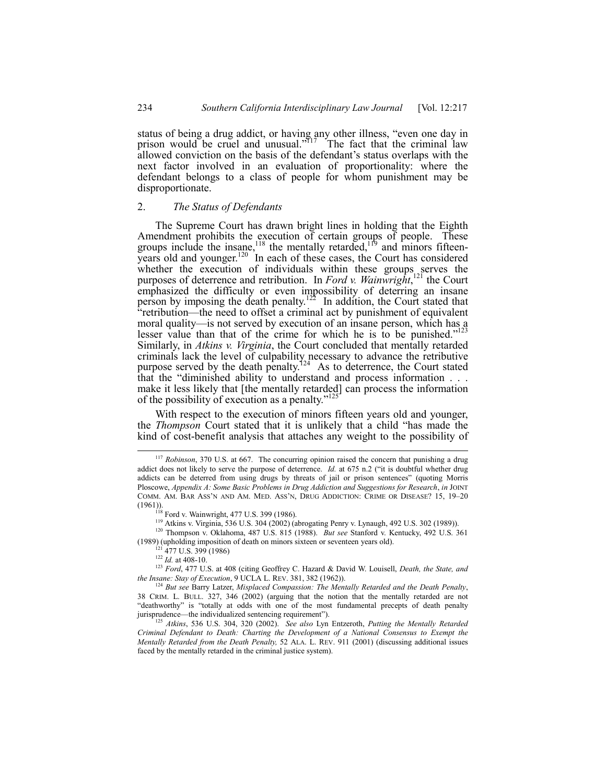status of being a drug addict, or having any other illness, "even one day in prison would be cruel and unusual.<sup> $5117$ </sup> The fact that the criminal law allowed conviction on the basis of the defendant's status overlaps with the next factor involved in an evaluation of proportionality: where the defendant belongs to a class of people for whom punishment may be disproportionate.

# 2. *The Status of Defendants*

The Supreme Court has drawn bright lines in holding that the Eighth Amendment prohibits the execution of certain groups of people. These groups include the insane,<sup>118</sup> the mentally retarded,<sup>119</sup> and minors fifteenyears old and younger.<sup>120</sup> In each of these cases, the Court has considered whether the execution of individuals within these groups serves the purposes of deterrence and retribution. In *Ford v. Wainwright*, 121 the Court emphasized the difficulty or even impossibility of deterring an insane person by imposing the death penalty.<sup>122</sup> In addition, the Court stated that  $i$ <sup>t</sup>retribution—the need to offset a criminal act by punishment of equivalent moral quality—is not served by execution of an insane person, which has a lesser value than that of the crime for which he is to be punished.<sup>7123</sup> Similarly, in *Atkins v. Virginia*, the Court concluded that mentally retarded criminals lack the level of culpability necessary to advance the retributive purpose served by the death penalty.<sup>124</sup> As to deterrence, the Court stated that the "diminished ability to understand and process information  $\ldots$ make it less likely that [the mentally retarded] can process the information of the possibility of execution as a penalty.<sup> $11$ </sup>

With respect to the execution of minors fifteen years old and younger, the *Thompson* Court stated that it is unlikely that a child "has made the kind of cost-benefit analysis that attaches any weight to the possibility of

<sup>118</sup> Ford v. Wainwright, 477 U.S. 399 (1986).

119 Atkins v. Virginia, 536 U.S. 304 (2002) (abrogating Penry v. Lynaugh, 492 U.S. 302 (1989)).

- 120 Thompson v. Oklahoma, 487 U.S. 815 (1988). *But see* Stanford v. Kentucky, 492 U.S. 361 (1989) (upholding imposition of death on minors sixteen or seventeen years old).
	- $\frac{1}{1}$  477 U.S. 399 (1986)

<sup>122</sup> *Id.* at 408-10.

<sup>123</sup> *Ford*, 477 U.S. at 408 (citing Geoffrey C. Hazard & David W. Louisell, *Death, the State, and the Insane: Stay of Execution*, 9 UCLA L. REV. 381, 382 (1962)).

<sup>124</sup> *But see* Barry Latzer, *Misplaced Compassion: The Mentally Retarded and the Death Penalty*, 38 CRIM. L. BULL. 327, 346 (2002) (arguing that the notion that the mentally retarded are not "deathworthy" is "totally at odds with one of the most fundamental precepts of death penalty jurisprudence—the individualized sentencing requirement").

<sup>125</sup> *Atkins*, 536 U.S. 304, 320 (2002). *See also* Lyn Entzeroth, *Putting the Mentally Retarded Criminal Defendant to Death: Charting the Development of a National Consensus to Exempt the Mentally Retarded from the Death Penalty,* 52 ALA. L. REV. 911 (2001) (discussing additional issues faced by the mentally retarded in the criminal justice system).

 <sup>117</sup> *Robinson*, 370 U.S. at 667. The concurring opinion raised the concern that punishing a drug addict does not likely to serve the purpose of deterrence. *Id.* at 675 n.2 ("it is doubtful whether drug addicts can be deterred from using drugs by threats of jail or prison sentences" (quoting Morris Ploscowe, *Appendix A: Some Basic Problems in Drug Addiction and Suggestions for Research*, *in* JOINT COMM. AM. BAR ASS'N AND AM. MED. ASS'N, DRUG ADDICTION: CRIME OR DISEASE? 15, 19-20 (1961)).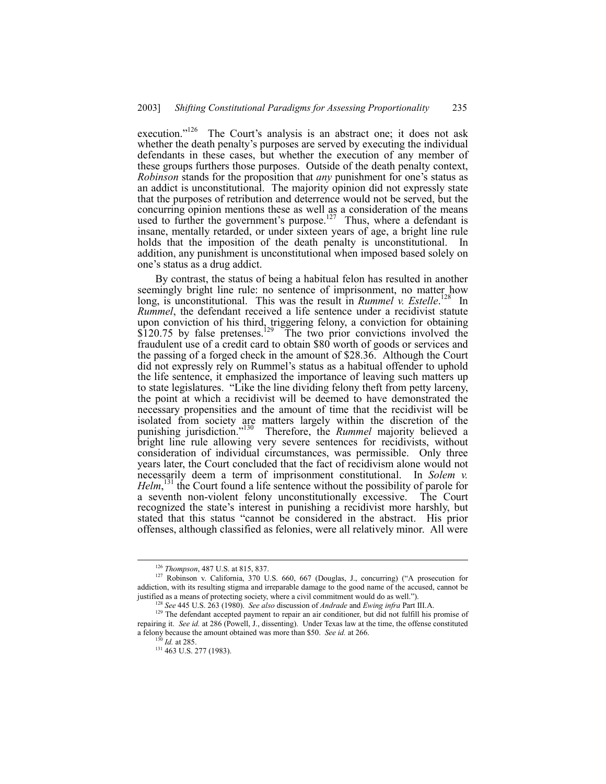execution.<sup> $126$ </sup> The Court's analysis is an abstract one; it does not ask whether the death penalty's purposes are served by executing the individual defendants in these cases, but whether the execution of any member of these groups furthers those purposes. Outside of the death penalty context, *Robinson* stands for the proposition that *any* punishment for one's status as an addict is unconstitutional. The majority opinion did not expressly state that the purposes of retribution and deterrence would not be served, but the concurring opinion mentions these as well as a consideration of the means used to further the government's purpose.<sup>127</sup> Thus, where a defendant is insane, mentally retarded, or under sixteen years of age, a bright line rule holds that the imposition of the death penalty is unconstitutional. In addition, any punishment is unconstitutional when imposed based solely on one's status as a drug addict.

By contrast, the status of being a habitual felon has resulted in another seemingly bright line rule: no sentence of imprisonment, no matter how long, is unconstitutional. This was the result in *Rummel v. Estelle*.<sup>128</sup> In *Rummel*, the defendant received a life sentence under a recidivist statute upon conviction of his third, triggering felony, a conviction for obtaining  $$120.75$  by false pretenses.<sup>129</sup> The two prior convictions involved the fraudulent use of a credit card to obtain \$80 worth of goods or services and the passing of a forged check in the amount of \$28.36. Although the Court did not expressly rely on Rummel's status as a habitual offender to uphold the life sentence, it emphasized the importance of leaving such matters up to state legislatures. "Like the line dividing felony theft from petty larceny, the point at which a recidivist will be deemed to have demonstrated the necessary propensities and the amount of time that the recidivist will be isolated from society are matters largely within the discretion of the punishing jurisdiction.<sup>7130</sup> Therefore, the *Rummel* majority believed a bright line rule allowing very severe sentences for recidivists, without consideration of individual circumstances, was permissible. Only three years later, the Court concluded that the fact of recidivism alone would not necessarily deem a term of imprisonment constitutional. In *Solem v. Helm*, 131 the Court found a life sentence without the possibility of parole for a seventh non-violent felony unconstitutionally excessive. The Court recognized the state's interest in punishing a recidivist more harshly, but stated that this status "cannot be considered in the abstract. His prior offenses, although classified as felonies, were all relatively minor. All were

 <sup>126</sup> *Thompson*, 487 U.S. at 815, 837.

 $127$  Robinson v. California,  $370$  U.S. 660, 667 (Douglas, J., concurring) ("A prosecution for addiction, with its resulting stigma and irreparable damage to the good name of the accused, cannot be justified as a means of protecting society, where a civil commitment would do as well.").

<sup>128</sup> *See* 445 U.S. 263 (1980). *See also* discussion of *Andrade* and *Ewing infra* Part III.A.

<sup>&</sup>lt;sup>129</sup> The defendant accepted payment to repair an air conditioner, but did not fulfill his promise of repairing it. *See id.* at 286 (Powell, J., dissenting). Under Texas law at the time, the offense constituted a felony because the amount obtained was more than \$50. *See id.* at 266.

<sup>130</sup> *Id.* at 285.

<sup>&</sup>lt;sup>131</sup> 463 U.S. 277 (1983).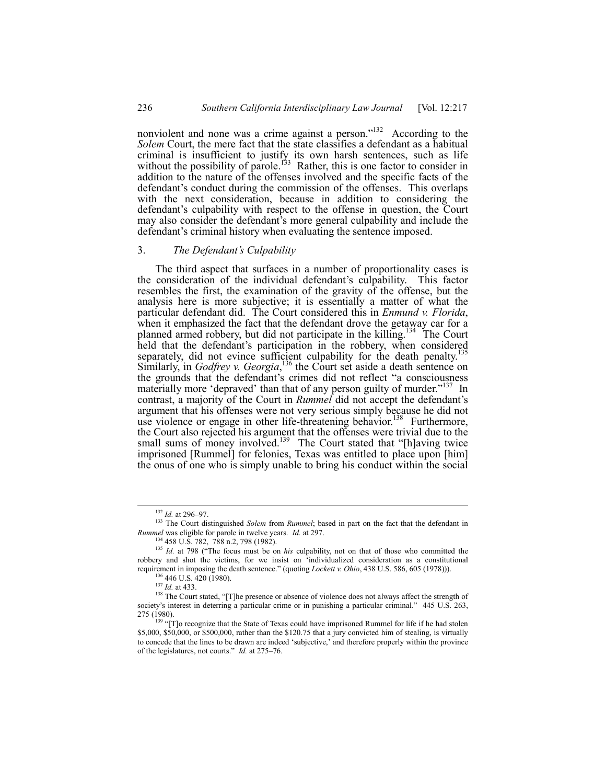nonviolent and none was a crime against a person.<sup> $132$ </sup> According to the *Solem* Court, the mere fact that the state classifies a defendant as a habitual criminal is insufficient to justify its own harsh sentences, such as life without the possibility of parole.<sup>133</sup> Rather, this is one factor to consider in addition to the nature of the offenses involved and the specific facts of the defendant's conduct during the commission of the offenses. This overlaps with the next consideration, because in addition to considering the defendant's culpability with respect to the offense in question, the Court may also consider the defendant's more general culpability and include the defendant's criminal history when evaluating the sentence imposed.

#### 3. *The Defendantís Culpability*

The third aspect that surfaces in a number of proportionality cases is the consideration of the individual defendant's culpability. This factor resembles the first, the examination of the gravity of the offense, but the analysis here is more subjective; it is essentially a matter of what the particular defendant did. The Court considered this in *Enmund v. Florida*, when it emphasized the fact that the defendant drove the getaway car for a planned armed robbery, but did not participate in the killing.<sup>134</sup> The Court held that the defendant's participation in the robbery, when considered separately, did not evince sufficient culpability for the death penalty.<sup>135</sup> Similarly, in *Godfrey v. Georgia*,<sup>136</sup> the Court set aside a death sentence on the grounds that the defendant's crimes did not reflect "a consciousness materially more 'depraved' than that of any person guilty of murder.<sup>"137</sup> In contrast, a majority of the Court in *Rummel* did not accept the defendant's argument that his offenses were not very serious simply because he did not use violence or engage in other life-threatening behavior.<sup>138</sup> Furthermore, the Court also rejected his argument that the offenses were trivial due to the small sums of money involved.<sup>139</sup> The Court stated that "[h]aving twice imprisoned [Rummel] for felonies, Texas was entitled to place upon [him] the onus of one who is simply unable to bring his conduct within the social

<sup>&</sup>lt;sup>132</sup> *Id.* at 296-97.

<sup>&</sup>lt;sup>133</sup> The Court distinguished *Solem* from *Rummel*; based in part on the fact that the defendant in *Rummel* was eligible for parole in twelve years. *Id.* at 297.

<sup>134 458</sup> U.S. 782, 788 n.2, 798 (1982).

<sup>&</sup>lt;sup>135</sup> *Id.* at 798 ("The focus must be on *his* culpability, not on that of those who committed the robbery and shot the victims, for we insist on ëindividualized consideration as a constitutional requirement in imposing the death sentence." (quoting *Lockett v. Ohio*, 438 U.S. 586, 605 (1978))).

<sup>136 446</sup> U.S. 420 (1980).

<sup>137</sup> *Id.* at 433.

<sup>&</sup>lt;sup>138</sup> The Court stated, "[T]he presence or absence of violence does not always affect the strength of society's interest in deterring a particular crime or in punishing a particular criminal." 445 U.S. 263, 275 (1980).

 $139$   $\cdot$  T<sub>139</sub>  $\cdot$  T<sub>1</sub><sub>0</sub> recognize that the State of Texas could have imprisoned Rummel for life if he had stolen \$5,000, \$50,000, or \$500,000, rather than the \$120.75 that a jury convicted him of stealing, is virtually to concede that the lines to be drawn are indeed 'subjective,' and therefore properly within the province of the legislatures, not courts.<sup>"</sup> *Id.* at 275–76.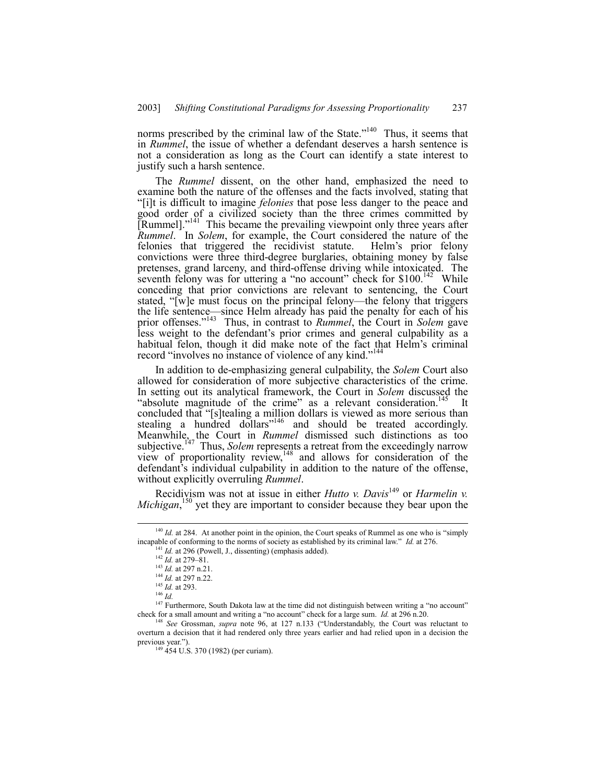norms prescribed by the criminal law of the State.<sup> $140$ </sup> Thus, it seems that in *Rummel*, the issue of whether a defendant deserves a harsh sentence is not a consideration as long as the Court can identify a state interest to justify such a harsh sentence.

The *Rummel* dissent, on the other hand, emphasized the need to examine both the nature of the offenses and the facts involved, stating that ì[i]t is difficult to imagine *felonies* that pose less danger to the peace and good order of a civilized society than the three crimes committed by [Rummel].<sup>3141</sup> This became the prevailing viewpoint only three years after *Rummel*. In *Solem*, for example, the Court considered the nature of the felonies that triggered the recidivist statute. Helm's prior felony convictions were three third-degree burglaries, obtaining money by false pretenses, grand larceny, and third-offense driving while intoxicated. The seventh felony was for uttering a "no account" check for  $$100$ .<sup>142</sup> While conceding that prior convictions are relevant to sentencing, the Court stated, "[w]e must focus on the principal felony—the felony that triggers the life sentence—since Helm already has paid the penalty for each of his prior offenses.<sup>"143</sup> Thus, in contrast to *Rummel*, the Court in *Solem* gave less weight to the defendant's prior crimes and general culpability as a habitual felon, though it did make note of the fact that Helm's criminal record "involves no instance of violence of any kind.<sup>7144</sup>

In addition to de-emphasizing general culpability, the *Solem* Court also allowed for consideration of more subjective characteristics of the crime. In setting out its analytical framework, the Court in *Solem* discussed the "absolute magnitude of the crime" as a relevant consideration.<sup>145</sup> It concluded that "[s]tealing a million dollars is viewed as more serious than stealing a hundred dollars<sup>"146</sup> and should be treated accordingly. Meanwhile, the Court in *Rummel* dismissed such distinctions as too subjective.<sup>147</sup> Thus, *Solem* represents a retreat from the exceedingly narrow view of proportionality review, $148$  and allows for consideration of the defendant's individual culpability in addition to the nature of the offense, without explicitly overruling *Rummel*.

Recidivism was not at issue in either *Hutto v. Davis*<sup>149</sup> or *Harmelin v. Michigan*,<sup>150</sup> yet they are important to consider because they bear upon the

<sup>&</sup>lt;sup>140</sup> *Id.* at 284. At another point in the opinion, the Court speaks of Rummel as one who is "simply incapable of conforming to the norms of society as established by its criminal law.<sup>n</sup> *Id.* at 276.

<sup>&</sup>lt;sup>141</sup> *Id.* at 296 (Powell, J., dissenting) (emphasis added).

 $^{142}$  *Id.* at 279–81.

<sup>143</sup> *Id.* at 297 n.21.

<sup>144</sup> *Id.* at 297 n.22.

<sup>145</sup> *Id.* at 293.

<sup>146</sup> *Id.*

 $147$  Furthermore, South Dakota law at the time did not distinguish between writing a "no account" check for a small amount and writing a "no account" check for a large sum. *Id.* at  $296$  n.  $20$ .

<sup>&</sup>lt;sup>148</sup> See Grossman, *supra* note 96, at 127 n.133 ("Understandably, the Court was reluctant to overturn a decision that it had rendered only three years earlier and had relied upon in a decision the previous year.").

<sup>149 454</sup> U.S. 370 (1982) (per curiam).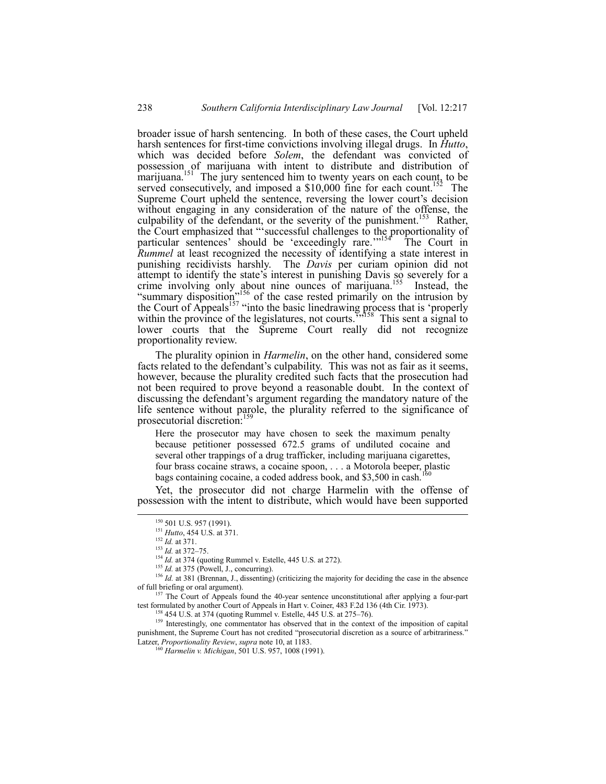broader issue of harsh sentencing. In both of these cases, the Court upheld harsh sentences for first-time convictions involving illegal drugs. In *Hutto*, which was decided before *Solem*, the defendant was convicted of possession of marijuana with intent to distribute and distribution of marijuana.<sup>151</sup> The jury sentenced him to twenty years on each count, to be served consecutively, and imposed a  $$10,000$  fine for each count.<sup>152</sup> The Supreme Court upheld the sentence, reversing the lower court's decision without engaging in any consideration of the nature of the offense, the culpability of the defendant, or the severity of the punishment.<sup>153</sup> Rather, the Court emphasized that "successful challenges to the proportionality of particular sentences' should be 'exceedingly rare."<sup>154</sup> The Court in *Rummel* at least recognized the necessity of identifying a state interest in punishing recidivists harshly. The *Davis* per curiam opinion did not attempt to identify the state's interest in punishing Davis so severely for a crime involving only about nine ounces of marijuana.<sup>155</sup> Instead, the "summary disposition<sup>"156</sup> of the case rested primarily on the intrusion by the Court of Appeals<sup>157</sup> "into the basic linedrawing process that is 'properly within the province of the legislatures, not courts.<sup>7558</sup> This sent a signal to lower courts that the Supreme Court really did not recognize proportionality review.

The plurality opinion in *Harmelin*, on the other hand, considered some facts related to the defendant's culpability. This was not as fair as it seems, however, because the plurality credited such facts that the prosecution had not been required to prove beyond a reasonable doubt. In the context of discussing the defendant's argument regarding the mandatory nature of the life sentence without parole, the plurality referred to the significance of prosecutorial discretion:<sup>15</sup>

Here the prosecutor may have chosen to seek the maximum penalty because petitioner possessed 672.5 grams of undiluted cocaine and several other trappings of a drug trafficker, including marijuana cigarettes, four brass cocaine straws, a cocaine spoon, . . . a Motorola beeper, plastic bags containing cocaine, a coded address book, and \$3,500 in cash.

Yet, the prosecutor did not charge Harmelin with the offense of possession with the intent to distribute, which would have been supported

<sup>156</sup> *Id.* at 381 (Brennan, J., dissenting) (criticizing the majority for deciding the case in the absence of full briefing or oral argument).

157 The Court of Appeals found the 40-year sentence unconstitutional after applying a four-part test formulated by another Court of Appeals in Hart v. Coiner, 483 F.2d 136 (4th Cir. 1973).

<sup>159</sup> Interestingly, one commentator has observed that in the context of the imposition of capital punishment, the Supreme Court has not credited "prosecutorial discretion as a source of arbitrariness." Latzer, *Proportionality Review*, *supra* note 10, at 1183.

<sup>&</sup>lt;sup>150</sup> 501 U.S. 957 (1991).

<sup>151</sup> *Hutto*, 454 U.S. at 371.

<sup>152</sup> *Id.* at 371.

 $153$  *Id.* at 372–75.

<sup>&</sup>lt;sup>154</sup> *Id.* at 374 (quoting Rummel v. Estelle, 445 U.S. at 272).

<sup>&</sup>lt;sup>155</sup> *Id.* at 375 (Powell, J., concurring).

 $158$  454 U.S. at 374 (quoting Rummel v. Estelle, 445 U.S. at 275–76).

<sup>160</sup> *Harmelin v. Michigan*, 501 U.S. 957, 1008 (1991).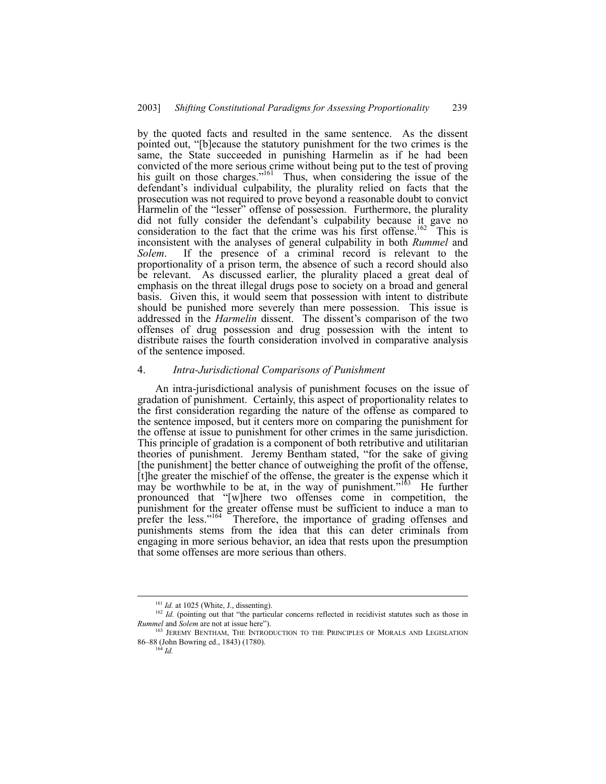by the quoted facts and resulted in the same sentence. As the dissent pointed out, "[b]ecause the statutory punishment for the two crimes is the same, the State succeeded in punishing Harmelin as if he had been convicted of the more serious crime without being put to the test of proving his guilt on those charges."<sup>161</sup> Thus, when considering the issue of the defendant's individual culpability, the plurality relied on facts that the prosecution was not required to prove beyond a reasonable doubt to convict Harmelin of the "lesser" offense of possession. Furthermore, the plurality did not fully consider the defendant's culpability because it gave no consideration to the fact that the crime was his first offense.<sup>162</sup> This is inconsistent with the analyses of general culpability in both *Rummel* and *Solem*. If the presence of a criminal record is relevant to the proportionality of a prison term, the absence of such a record should also be relevant. As discussed earlier, the plurality placed a great deal of emphasis on the threat illegal drugs pose to society on a broad and general basis. Given this, it would seem that possession with intent to distribute should be punished more severely than mere possession. This issue is addressed in the *Harmelin* dissent. The dissent's comparison of the two offenses of drug possession and drug possession with the intent to distribute raises the fourth consideration involved in comparative analysis of the sentence imposed.

## 4. *Intra-Jurisdictional Comparisons of Punishment*

An intra-jurisdictional analysis of punishment focuses on the issue of gradation of punishment. Certainly, this aspect of proportionality relates to the first consideration regarding the nature of the offense as compared to the sentence imposed, but it centers more on comparing the punishment for the offense at issue to punishment for other crimes in the same jurisdiction. This principle of gradation is a component of both retributive and utilitarian theories of punishment. Jeremy Bentham stated, "for the sake of giving [the punishment] the better chance of outweighing the profit of the offense, [t]he greater the mischief of the offense, the greater is the expense which it may be worthwhile to be at, in the way of punishment.<sup> $163$ </sup> He further pronounced that "[w]here two offenses come in competition, the punishment for the greater offense must be sufficient to induce a man to prefer the less.<sup> $164$ </sup> Therefore, the importance of grading offenses and punishments stems from the idea that this can deter criminals from engaging in more serious behavior, an idea that rests upon the presumption that some offenses are more serious than others.

<sup>&</sup>lt;sup>161</sup> *Id.* at 1025 (White, J., dissenting).

 $162$  *Id.* (pointing out that "the particular concerns reflected in recidivist statutes such as those in *Rummel* and *Solem* are not at issue here").

<sup>&</sup>lt;sup>163</sup> JEREMY BENTHAM, THE INTRODUCTION TO THE PRINCIPLES OF MORALS AND LEGISLATION 86–88 (John Bowring ed., 1843) (1780).  $^{164}$  *Id.*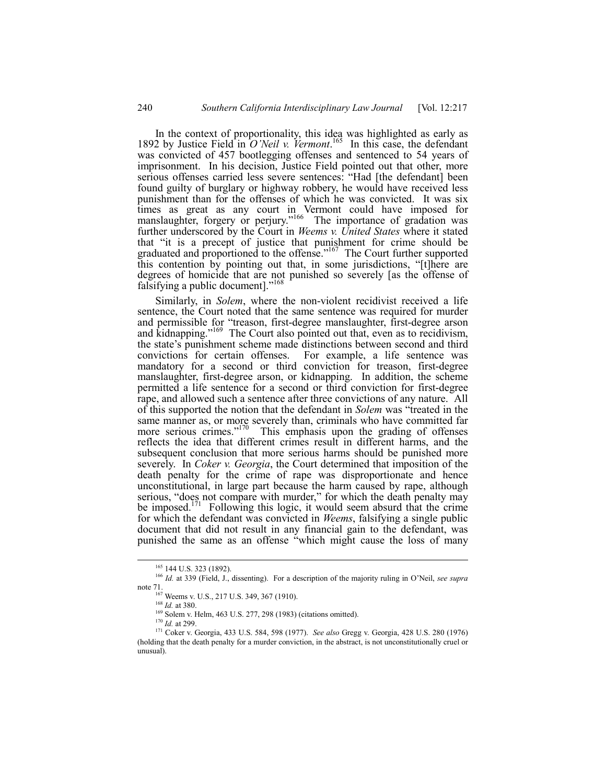In the context of proportionality, this idea was highlighted as early as 1892 by Justice Field in *OíNeil v. Vermont*. In this case, the defendant was convicted of 457 bootlegging offenses and sentenced to 54 years of imprisonment. In his decision, Justice Field pointed out that other, more serious offenses carried less severe sentences: "Had [the defendant] been found guilty of burglary or highway robbery, he would have received less punishment than for the offenses of which he was convicted. It was six times as great as any court in Vermont could have imposed for manslaughter, forgery or perjury."<sup>166</sup> The importance of gradation was further underscored by the Court in *Weems v. United States* where it stated that "it is a precept of justice that punishment for crime should be graduated and proportioned to the offense.<sup> $167$ </sup> The Court further supported this contention by pointing out that, in some jurisdictions, "[t]here are degrees of homicide that are not punished so severely [as the offense of falsifying a public document]."<sup>168</sup>

Similarly, in *Solem*, where the non-violent recidivist received a life sentence, the Court noted that the same sentence was required for murder and permissible for "treason, first-degree manslaughter, first-degree arson and kidnapping.<sup> $169$ </sup> The Court also pointed out that, even as to recidivism, the state's punishment scheme made distinctions between second and third convictions for certain offenses. For example, a life sentence was mandatory for a second or third conviction for treason, first-degree manslaughter, first-degree arson, or kidnapping. In addition, the scheme permitted a life sentence for a second or third conviction for first-degree rape, and allowed such a sentence after three convictions of any nature. All of this supported the notion that the defendant in *Solem* was "treated in the same manner as, or more severely than, criminals who have committed far more serious crimes.<sup> $170$ </sup> This emphasis upon the grading of offenses reflects the idea that different crimes result in different harms, and the subsequent conclusion that more serious harms should be punished more severely. In *Coker v. Georgia*, the Court determined that imposition of the death penalty for the crime of rape was disproportionate and hence unconstitutional, in large part because the harm caused by rape, although serious, "does not compare with murder," for which the death penalty may be imposed.<sup>171</sup> Following this logic, it would seem absurd that the crime for which the defendant was convicted in *Weems*, falsifying a single public document that did not result in any financial gain to the defendant, was punished the same as an offense "which might cause the loss of many

<sup>165 144</sup> U.S. 323 (1892).

<sup>&</sup>lt;sup>166</sup> *Id.* at 339 (Field, J., dissenting). For a description of the majority ruling in O'Neil, see supra note 71.

<sup>&</sup>lt;sup>167</sup> Weems v. U.S., 217 U.S. 349, 367 (1910).

<sup>168</sup> *Id.* at 380.

<sup>169</sup> Solem v. Helm, 463 U.S. 277, 298 (1983) (citations omitted).

<sup>170</sup> *Id.* at 299.

<sup>171</sup> Coker v. Georgia, 433 U.S. 584, 598 (1977). *See also* Gregg v. Georgia, 428 U.S. 280 (1976) (holding that the death penalty for a murder conviction, in the abstract, is not unconstitutionally cruel or unusual).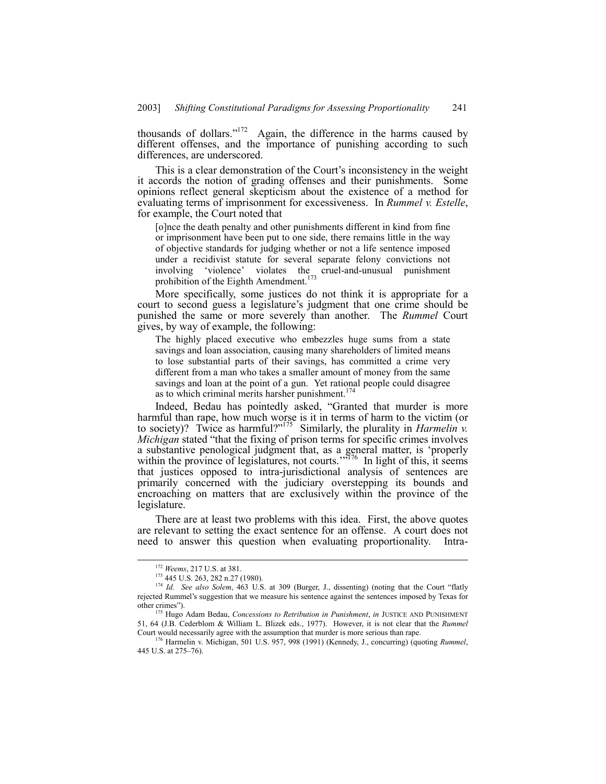thousands of dollars." $172$  Again, the difference in the harms caused by different offenses, and the importance of punishing according to such differences, are underscored.

This is a clear demonstration of the Court's inconsistency in the weight it accords the notion of grading offenses and their punishments. Some opinions reflect general skepticism about the existence of a method for evaluating terms of imprisonment for excessiveness. In *Rummel v. Estelle*, for example, the Court noted that

[o]nce the death penalty and other punishments different in kind from fine or imprisonment have been put to one side, there remains little in the way of objective standards for judging whether or not a life sentence imposed under a recidivist statute for several separate felony convictions not involving 'violence' violates the cruel-and-unusual punishment prohibition of the Eighth Amendment.<sup>173</sup>

More specifically, some justices do not think it is appropriate for a court to second guess a legislature's judgment that one crime should be punished the same or more severely than another. The *Rummel* Court gives, by way of example, the following:

The highly placed executive who embezzles huge sums from a state savings and loan association, causing many shareholders of limited means to lose substantial parts of their savings, has committed a crime very different from a man who takes a smaller amount of money from the same savings and loan at the point of a gun. Yet rational people could disagree as to which criminal merits harsher punishment.<sup>174</sup>

Indeed, Bedau has pointedly asked, "Granted that murder is more harmful than rape, how much worse is it in terms of harm to the victim (or to society)? Twice as harmful?"<sup>175</sup> Similarly, the plurality in *Harmelin* v. *Michigan* stated "that the fixing of prison terms for specific crimes involves a substantive penological judgment that, as a general matter, is ëproperly within the province of legislatures, not courts.<sup>3776</sup> In light of this, it seems that justices opposed to intra-jurisdictional analysis of sentences are primarily concerned with the judiciary overstepping its bounds and encroaching on matters that are exclusively within the province of the legislature.

There are at least two problems with this idea. First, the above quotes are relevant to setting the exact sentence for an offense. A court does not need to answer this question when evaluating proportionality. Intra-

 <sup>172</sup> *Weems*, 217 U.S. at 381.

<sup>173 445</sup> U.S. 263, 282 n.27 (1980).

<sup>&</sup>lt;sup>174</sup> *Id. See also Solem*, 463 U.S. at 309 (Burger, J., dissenting) (noting that the Court "flatly rejected Rummel's suggestion that we measure his sentence against the sentences imposed by Texas for other crimes").

<sup>175</sup> Hugo Adam Bedau, *Concessions to Retribution in Punishment*, *in* JUSTICE AND PUNISHMENT 51, 64 (J.B. Cederblom & William L. Blizek eds., 1977). However, it is not clear that the *Rummel* Court would necessarily agree with the assumption that murder is more serious than rape.

<sup>176</sup> Harmelin v. Michigan, 501 U.S. 957, 998 (1991) (Kennedy, J., concurring) (quoting *Rummel*, 445 U.S. at 275-76).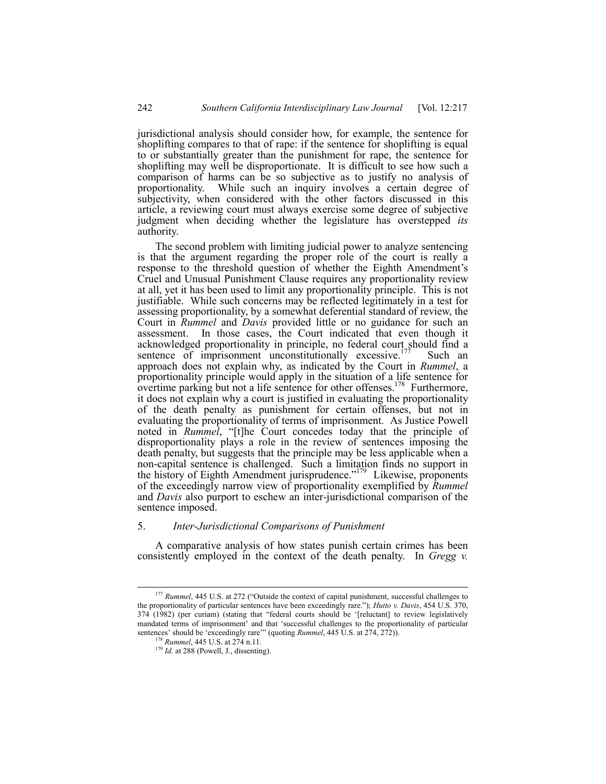jurisdictional analysis should consider how, for example, the sentence for shoplifting compares to that of rape: if the sentence for shoplifting is equal to or substantially greater than the punishment for rape, the sentence for shoplifting may well be disproportionate. It is difficult to see how such a comparison of harms can be so subjective as to justify no analysis of proportionality. While such an inquiry involves a certain degree of subjectivity, when considered with the other factors discussed in this article, a reviewing court must always exercise some degree of subjective judgment when deciding whether the legislature has overstepped *its* authority.

The second problem with limiting judicial power to analyze sentencing is that the argument regarding the proper role of the court is really a response to the threshold question of whether the Eighth Amendment's Cruel and Unusual Punishment Clause requires any proportionality review at all, yet it has been used to limit any proportionality principle. This is not justifiable. While such concerns may be reflected legitimately in a test for assessing proportionality, by a somewhat deferential standard of review, the Court in *Rummel* and *Davis* provided little or no guidance for such an assessment. In those cases, the Court indicated that even though it acknowledged proportionality in principle, no federal court should find a sentence of imprisonment unconstitutionally excessive.<sup>177</sup> Such an approach does not explain why, as indicated by the Court in *Rummel*, a proportionality principle would apply in the situation of a life sentence for overtime parking but not a life sentence for other offenses.<sup>178</sup> Furthermore, it does not explain why a court is justified in evaluating the proportionality of the death penalty as punishment for certain offenses, but not in evaluating the proportionality of terms of imprisonment. As Justice Powell noted in *Rummel*, "[t]he Court concedes today that the principle of disproportionality plays a role in the review of sentences imposing the death penalty, but suggests that the principle may be less applicable when a non-capital sentence is challenged. Such a limitation finds no support in the history of Eighth Amendment jurisprudence.<sup> $179$ </sup> Likewise, proponents of the exceedingly narrow view of proportionality exemplified by *Rummel* and *Davis* also purport to eschew an inter-jurisdictional comparison of the sentence imposed.

#### 5. *Inter-Jurisdictional Comparisons of Punishment*

A comparative analysis of how states punish certain crimes has been consistently employed in the context of the death penalty. In *Gregg v.*

<sup>&</sup>lt;sup>177</sup> Rummel, 445 U.S. at 272 ("Outside the context of capital punishment, successful challenges to the proportionality of particular sentences have been exceedingly rare.î); *Hutto v. Davis*, 454 U.S. 370,  $374$  (1982) (per curiam) (stating that "federal courts should be '[reluctant] to review legislatively mandated terms of imprisonment' and that 'successful challenges to the proportionality of particular sentences' should be 'exceedingly rare'" (quoting *Rummel*, 445 U.S. at 274, 272)).

<sup>178</sup> *Rummel*, 445 U.S. at 274 n.11.

<sup>&</sup>lt;sup>179</sup> *Id.* at 288 (Powell, J., dissenting).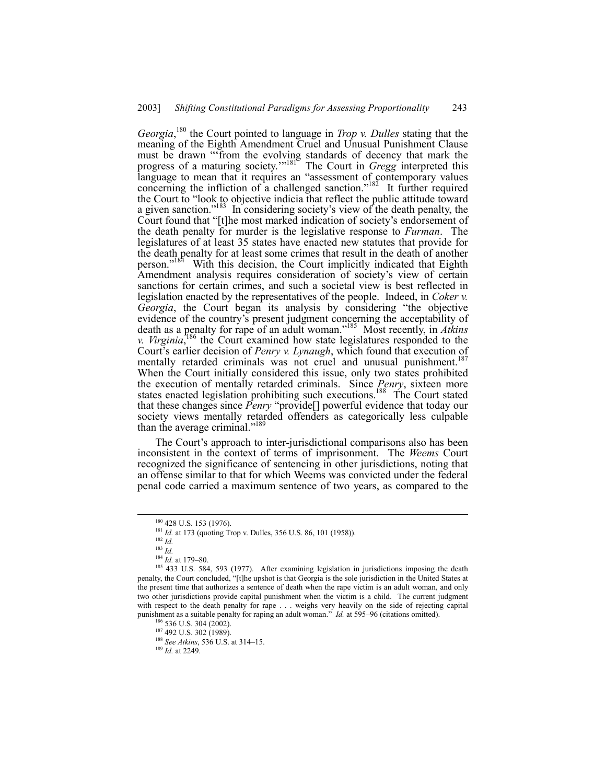Georgia,<sup>180</sup> the Court pointed to language in *Trop v. Dulles* stating that the meaning of the Eighth Amendment Cruel and Unusual Punishment Clause must be drawn "from the evolving standards of decency that mark the progress of a maturing society."<sup>181</sup> The Court in *Gregg* interpreted this language to mean that it requires an "assessment of contemporary values concerning the infliction of a challenged sanction.<sup>7182</sup> It further required the Court to "look to objective indicia that reflect the public attitude toward a given sanction.<sup>7183</sup> In considering society's view of the death penalty, the Court found that "[t]he most marked indication of society's endorsement of the death penalty for murder is the legislative response to *Furman*. The legislatures of at least 35 states have enacted new statutes that provide for the death penalty for at least some crimes that result in the death of another person.<sup> $184$ </sup> With this decision, the Court implicitly indicated that Eighth Amendment analysis requires consideration of society's view of certain sanctions for certain crimes, and such a societal view is best reflected in legislation enacted by the representatives of the people. Indeed, in *Coker v. Georgia*, the Court began its analysis by considering "the objective evidence of the country's present judgment concerning the acceptability of death as a penalty for rape of an adult woman.<sup>7185</sup> Most recently, in *Atkins v. Virginia*<sup>186</sup>, the Court examined how state legislatures responded to the Court's earlier decision of *Penry v. Lynaugh*, which found that execution of mentally retarded criminals was not cruel and unusual punishment.<sup>187</sup> When the Court initially considered this issue, only two states prohibited the execution of mentally retarded criminals. Since *Penry*, sixteen more states enacted legislation prohibiting such executions.<sup>188</sup> The Court stated that these changes since *Penry* "provide<sup>[]</sup> powerful evidence that today our society views mentally retarded offenders as categorically less culpable than the average criminal."<sup>189</sup>

The Court's approach to inter-jurisdictional comparisons also has been inconsistent in the context of terms of imprisonment. The *Weems* Court recognized the significance of sentencing in other jurisdictions, noting that an offense similar to that for which Weems was convicted under the federal penal code carried a maximum sentence of two years, as compared to the

<sup>188</sup> *See Atkins*, 536 U.S. at 314–15.

<sup>&</sup>lt;sup>180</sup> 428 U.S. 153 (1976).

<sup>&</sup>lt;sup>181</sup> *Id.* at 173 (quoting Trop v. Dulles, 356 U.S. 86, 101 (1958)).

<sup>182</sup> *Id.*

<sup>183</sup> *Id.*

 $184$  *Id.* at 179–80.

<sup>&</sup>lt;sup>185</sup> 433 U.S. 584, 593 (1977). After examining legislation in jurisdictions imposing the death penalty, the Court concluded, "[t]he upshot is that Georgia is the sole jurisdiction in the United States at the present time that authorizes a sentence of death when the rape victim is an adult woman, and only two other jurisdictions provide capital punishment when the victim is a child. The current judgment with respect to the death penalty for rape . . . weighs very heavily on the side of rejecting capital punishment as a suitable penalty for raping an adult woman.<sup>37</sup> *Id.* at 595–96 (citations omitted).

 $186$  536 U.S. 304 (2002).

<sup>187 492</sup> U.S. 302 (1989).

<sup>189</sup> *Id.* at 2249.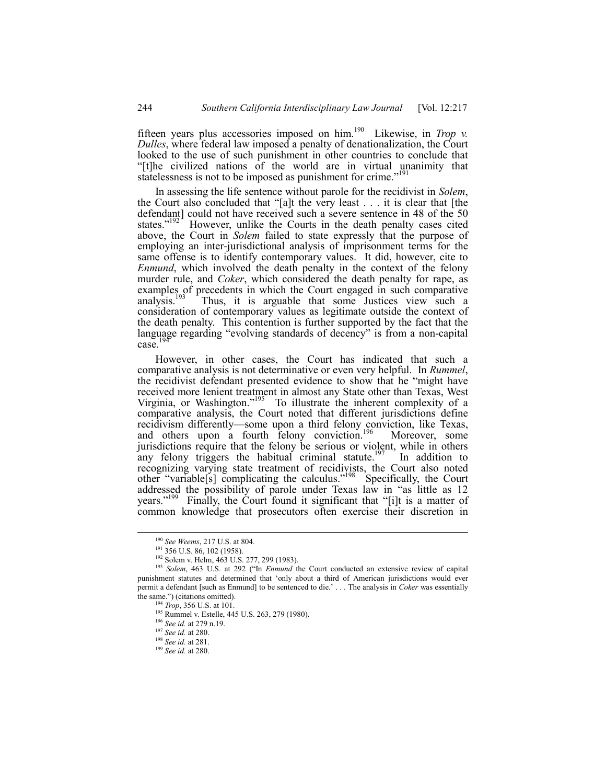fifteen years plus accessories imposed on him.190 Likewise, in *Trop v. Dulles*, where federal law imposed a penalty of denationalization, the Court looked to the use of such punishment in other countries to conclude that ì[t]he civilized nations of the world are in virtual unanimity that statelessness is not to be imposed as punishment for crime.<sup>"191</sup>

In assessing the life sentence without parole for the recidivist in *Solem*, the Court also concluded that "[a]t the very least . . . it is clear that [the defendant] could not have received such a severe sentence in 48 of the 50 states. $192$  However, unlike the Courts in the death penalty cases cited above, the Court in *Solem* failed to state expressly that the purpose of employing an inter-jurisdictional analysis of imprisonment terms for the same offense is to identify contemporary values. It did, however, cite to *Enmund*, which involved the death penalty in the context of the felony murder rule, and *Coker*, which considered the death penalty for rape, as examples of precedents in which the Court engaged in such comparative analysis.<sup>193</sup> Thus, it is arguable that some Justices view such a consideration of contemporary values as legitimate outside the context of the death penalty. This contention is further supported by the fact that the language regarding "evolving standards of decency" is from a non-capital  $case^{19}$ 

However, in other cases, the Court has indicated that such a comparative analysis is not determinative or even very helpful. In *Rummel*, the recidivist defendant presented evidence to show that he "might have received more lenient treatment in almost any State other than Texas, West Virginia, or Washington."<sup>195</sup> To illustrate the inherent complexity of a comparative analysis, the Court noted that different jurisdictions define recidivism differently—some upon a third felony conviction, like Texas, and others upon a fourth felony conviction.<sup>196</sup> Moreover, some jurisdictions require that the felony be serious or violent, while in others any felony triggers the habitual criminal statute.<sup>197</sup> In addition to recognizing varying state treatment of recidivists, the Court also noted other "variable<sup>[s]</sup> complicating the calculus.<sup> $198$ </sup> Specifically, the Court addressed the possibility of parole under Texas law in "as little as 12 years.<sup> $199$ </sup> Finally, the Court found it significant that "[i]t is a matter of common knowledge that prosecutors often exercise their discretion in

 <sup>190</sup> *See Weems*, 217 U.S. at 804.

<sup>&</sup>lt;sup>191</sup> 356 U.S. 86, 102 (1958).

<sup>&</sup>lt;sup>192</sup> Solem v. Helm, 463 U.S. 277, 299 (1983).

<sup>&</sup>lt;sup>193</sup> Solem, 463 U.S. at 292 ("In *Enmund* the Court conducted an extensive review of capital punishment statutes and determined that ëonly about a third of American jurisdictions would ever permit a defendant [such as Enmund] to be sentenced to die.<sup>'</sup> . . . The analysis in *Coker* was essentially the same.") (citations omitted).

<sup>194</sup> *Trop*, 356 U.S. at 101.

<sup>&</sup>lt;sup>195</sup> Rummel v. Estelle, 445 U.S. 263, 279 (1980).

<sup>196</sup> *See id.* at 279 n.19.

<sup>197</sup> *See id.* at 280.

<sup>198</sup> *See id.* at 281.

<sup>199</sup> *See id.* at 280.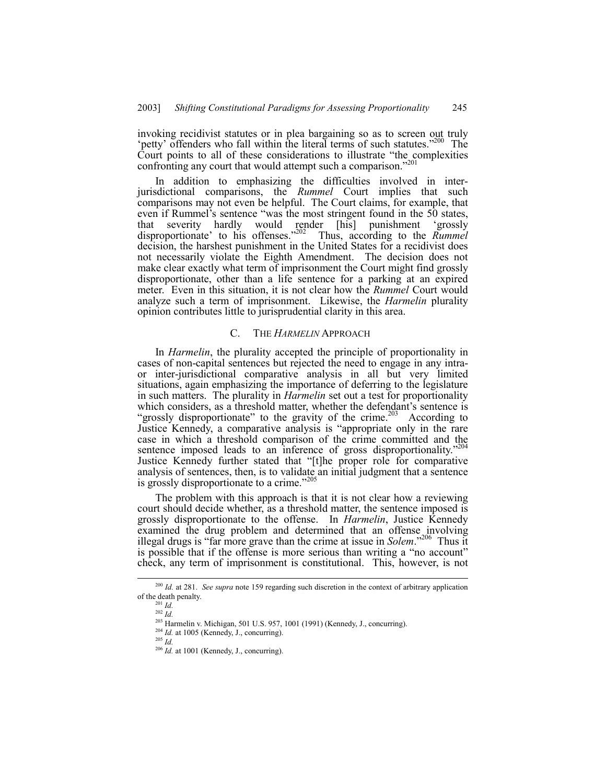invoking recidivist statutes or in plea bargaining so as to screen out truly 'petty' offenders who fall within the literal terms of such statutes.<sup> $200$ </sup> The Court points to all of these considerations to illustrate "the complexities" confronting any court that would attempt such a comparison.<sup>7201</sup>

In addition to emphasizing the difficulties involved in interjurisdictional comparisons, the *Rummel* Court implies that such comparisons may not even be helpful. The Court claims, for example, that even if Rummel's sentence "was the most stringent found in the 50 states, that severity hardly would render [his] punishment 'grossly that severity hardly would render [his] punishment ëgrossly disproportionate' to his offenses.<sup>3202</sup> Thus, according to the *Rummel* decision, the harshest punishment in the United States for a recidivist does not necessarily violate the Eighth Amendment. The decision does not make clear exactly what term of imprisonment the Court might find grossly disproportionate, other than a life sentence for a parking at an expired meter. Even in this situation, it is not clear how the *Rummel* Court would analyze such a term of imprisonment. Likewise, the *Harmelin* plurality opinion contributes little to jurisprudential clarity in this area.

#### C. THE *HARMELIN* APPROACH

In *Harmelin*, the plurality accepted the principle of proportionality in cases of non-capital sentences but rejected the need to engage in any intraor inter-jurisdictional comparative analysis in all but very limited situations, again emphasizing the importance of deferring to the legislature in such matters. The plurality in *Harmelin* set out a test for proportionality which considers, as a threshold matter, whether the defendant's sentence is "grossly disproportionate" to the gravity of the crime.<sup>203</sup> According to Justice Kennedy, a comparative analysis is "appropriate only in the rare case in which a threshold comparison of the crime committed and the sentence imposed leads to an inference of gross disproportionality.<sup>7204</sup> Justice Kennedy further stated that "[t]he proper role for comparative analysis of sentences, then, is to validate an initial judgment that a sentence is grossly disproportionate to a crime.<sup> $20$ </sup>

The problem with this approach is that it is not clear how a reviewing court should decide whether, as a threshold matter, the sentence imposed is grossly disproportionate to the offense. In *Harmelin*, Justice Kennedy examined the drug problem and determined that an offense involving illegal drugs is "far more grave than the crime at issue in *Solem*.<sup>206</sup> Thus it is possible that if the offense is more serious than writing a "no account" check, any term of imprisonment is constitutional. This, however, is not

 <sup>200</sup> *Id.* at 281. *See supra* note 159 regarding such discretion in the context of arbitrary application of the death penalty.

<sup>201</sup> *Id.*

<sup>202</sup> *Id.*

<sup>203</sup> Harmelin v. Michigan, 501 U.S. 957, 1001 (1991) (Kennedy, J., concurring).

 $^{204}$  *Id.* at 1005 (Kennedy, J., concurring).

<sup>205</sup> *Id.*

<sup>206</sup> *Id.* at 1001 (Kennedy, J., concurring).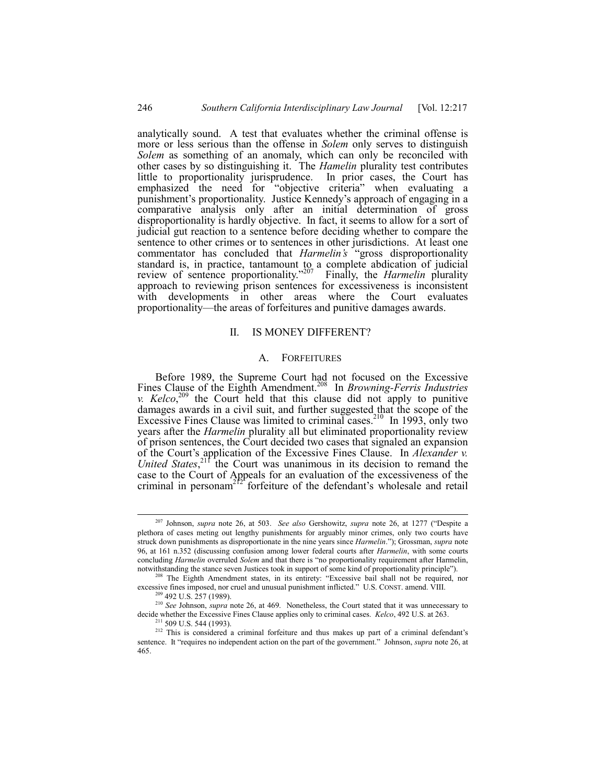analytically sound. A test that evaluates whether the criminal offense is more or less serious than the offense in *Solem* only serves to distinguish *Solem* as something of an anomaly, which can only be reconciled with other cases by so distinguishing it. The *Hamelin* plurality test contributes little to proportionality jurisprudence. In prior cases, the Court has emphasized the need for "objective criteria" when evaluating a punishment's proportionality. Justice Kennedy's approach of engaging in a comparative analysis only after an initial determination of gross disproportionality is hardly objective. In fact, it seems to allow for a sort of judicial gut reaction to a sentence before deciding whether to compare the sentence to other crimes or to sentences in other jurisdictions. At least one commentator has concluded that *Harmelin's* "gross disproportionality" standard is, in practice, tantamount to a complete abdication of judicial review of sentence proportionality.<sup>207</sup> Finally, the *Harmelin* plurality approach to reviewing prison sentences for excessiveness is inconsistent with developments in other areas where the Court evaluates proportionality—the areas of forfeitures and punitive damages awards.

# II. IS MONEY DIFFERENT?

## A. FORFEITURES

Before 1989, the Supreme Court had not focused on the Excessive Fines Clause of the Eighth Amendment.<sup>208</sup> In *Browning-Ferris Industries v. Kelco*,  $^{209}$  the Court held that this clause did not apply to punitive damages awards in a civil suit, and further suggested that the scope of the Excessive Fines Clause was limited to criminal cases.<sup>210</sup> In 1993, only two years after the *Harmelin* plurality all but eliminated proportionality review of prison sentences, the Court decided two cases that signaled an expansion of the Court's application of the Excessive Fines Clause. In *Alexander v.* United States,<sup>211</sup> the Court was unanimous in its decision to remand the case to the Court of Appeals for an evaluation of the excessiveness of the criminal in personam<sup>212</sup> forfeiture of the defendant's wholesale and retail

<sup>&</sup>lt;sup>207</sup> Johnson, *supra* note 26, at 503. *See also* Gershowitz, *supra* note 26, at 1277 ("Despite a plethora of cases meting out lengthy punishments for arguably minor crimes, only two courts have struck down punishments as disproportionate in the nine years since *Harmelin*.î); Grossman, *supra* note 96, at 161 n.352 (discussing confusion among lower federal courts after *Harmelin*, with some courts concluding *Harmelin* overruled *Solem* and that there is "no proportionality requirement after Harmelin, notwithstanding the stance seven Justices took in support of some kind of proportionality principle").

 $208$  The Eighth Amendment states, in its entirety: "Excessive bail shall not be required, nor excessive fines imposed, nor cruel and unusual punishment inflicted." U.S. CONST. amend. VIII.

<sup>&</sup>lt;sup>2</sup> 492 U.S. 257 (1989).

<sup>&</sup>lt;sup>210</sup> *See* Johnson, *supra* note 26, at 469. Nonetheless, the Court stated that it was unnecessary to decide whether the Excessive Fines Clause applies only to criminal cases. *Kelco*, 492 U.S. at 263.

<sup>211 509</sup> U.S. 544 (1993).

<sup>&</sup>lt;sup>212</sup> This is considered a criminal forfeiture and thus makes up part of a criminal defendant's sentence. It "requires no independent action on the part of the government." Johnson, *supra* note 26, at 465.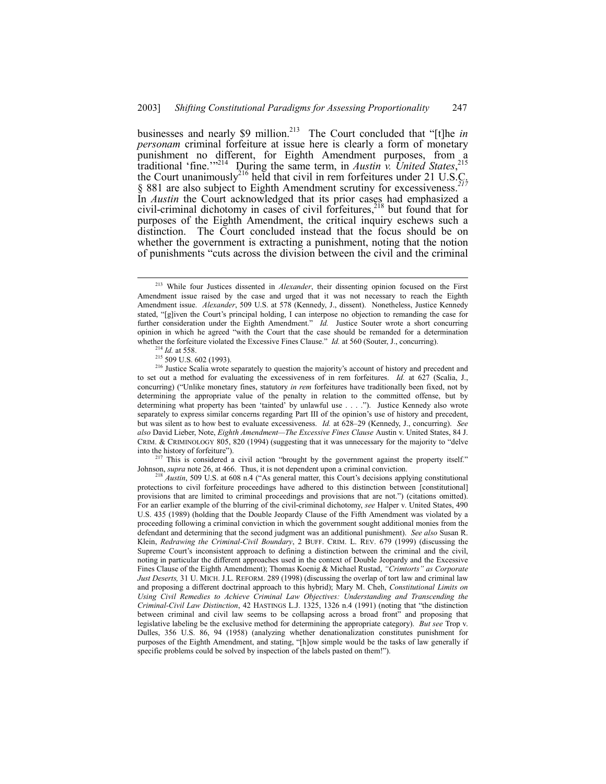businesses and nearly \$9 million.<sup>213</sup> The Court concluded that "[t]he *in personam* criminal forfeiture at issue here is clearly a form of monetary punishment no different, for Eighth Amendment purposes, from a traditional 'fine.'<sup>7214</sup> During the same term, in *Austin v. United States*,<sup>215</sup> the Court unanimously<sup>216</sup> held that civil in rem forfeitures under 21 U.S.C. ß 881 are also subject to Eighth Amendment scrutiny for excessiveness.*<sup>217</sup>* In *Austin* the Court acknowledged that its prior cases had emphasized a civil-criminal dichotomy in cases of civil forfeitures, $^{218}$  but found that for purposes of the Eighth Amendment, the critical inquiry eschews such a distinction. The Court concluded instead that the focus should be on whether the government is extracting a punishment, noting that the notion of punishments "cuts across the division between the civil and the criminal

This is considered a civil action "brought by the government against the property itself." Johnson, *supra* note 26, at 466. Thus, it is not dependent upon a criminal conviction.

 <sup>213</sup> While four Justices dissented in *Alexander*, their dissenting opinion focused on the First Amendment issue raised by the case and urged that it was not necessary to reach the Eighth Amendment issue. *Alexander*, 509 U.S. at 578 (Kennedy, J., dissent). Nonetheless, Justice Kennedy stated, "[g]iven the Court's principal holding, I can interpose no objection to remanding the case for further consideration under the Eighth Amendment.<sup>n</sup> *Id.* Justice Souter wrote a short concurring opinion in which he agreed "with the Court that the case should be remanded for a determination whether the forfeiture violated the Excessive Fines Clause.<sup>7</sup> *Id.* at 560 (Souter, J., concurring).

*Id.* at 558.

<sup>&</sup>lt;sup>215</sup> 509 U.S. 602 (1993).

<sup>&</sup>lt;sup>216</sup> Justice Scalia wrote separately to question the majority's account of history and precedent and to set out a method for evaluating the excessiveness of in rem forfeitures. *Id.* at 627 (Scalia, J., concurring) ("Unlike monetary fines, statutory *in rem* forfeitures have traditionally been fixed, not by determining the appropriate value of the penalty in relation to the committed offense, but by determining what property has been 'tainted' by unlawful use . . . ."). Justice Kennedy also wrote separately to express similar concerns regarding Part III of the opinion's use of history and precedent, but was silent as to how best to evaluate excessiveness. *Id.* at 628–29 (Kennedy, J., concurring). *See* also David Lieber, Note, *Eighth Amendment—The Excessive Fines Clause* Austin v. United States, 84 J. CRIM. & CRIMINOLOGY 805, 820 (1994) (suggesting that it was unnecessary for the majority to "delve into the history of forfeiture").

<sup>&</sup>lt;sup>218</sup> *Austin*, 509 U.S. at 608 n.4 ("As general matter, this Court's decisions applying constitutional protections to civil forfeiture proceedings have adhered to this distinction between [constitutional] provisions that are limited to criminal proceedings and provisions that are not.") (citations omitted). For an earlier example of the blurring of the civil-criminal dichotomy, *see* Halper v. United States, 490 U.S. 435 (1989) (holding that the Double Jeopardy Clause of the Fifth Amendment was violated by a proceeding following a criminal conviction in which the government sought additional monies from the defendant and determining that the second judgment was an additional punishment). *See also* Susan R. Klein, *Redrawing the Criminal-Civil Boundary*, 2 BUFF. CRIM. L. REV. 679 (1999) (discussing the Supreme Court's inconsistent approach to defining a distinction between the criminal and the civil, noting in particular the different approaches used in the context of Double Jeopardy and the Excessive Fines Clause of the Eighth Amendment); Thomas Koenig & Michael Rustad, *"Crimtorts" as Corporate Just Deserts,* 31 U. MICH. J.L. REFORM. 289 (1998) (discussing the overlap of tort law and criminal law and proposing a different doctrinal approach to this hybrid); Mary M. Cheh, *Constitutional Limits on Using Civil Remedies to Achieve Criminal Law Objectives: Understanding and Transcending the Criminal-Civil Law Distinction*, 42 HASTINGS L.J. 1325, 1326 n.4 (1991) (noting that "the distinction between criminal and civil law seems to be collapsing across a broad front" and proposing that legislative labeling be the exclusive method for determining the appropriate category). *But see* Trop v. Dulles, 356 U.S. 86, 94 (1958) (analyzing whether denationalization constitutes punishment for purposes of the Eighth Amendment, and stating, "[h]ow simple would be the tasks of law generally if specific problems could be solved by inspection of the labels pasted on them!").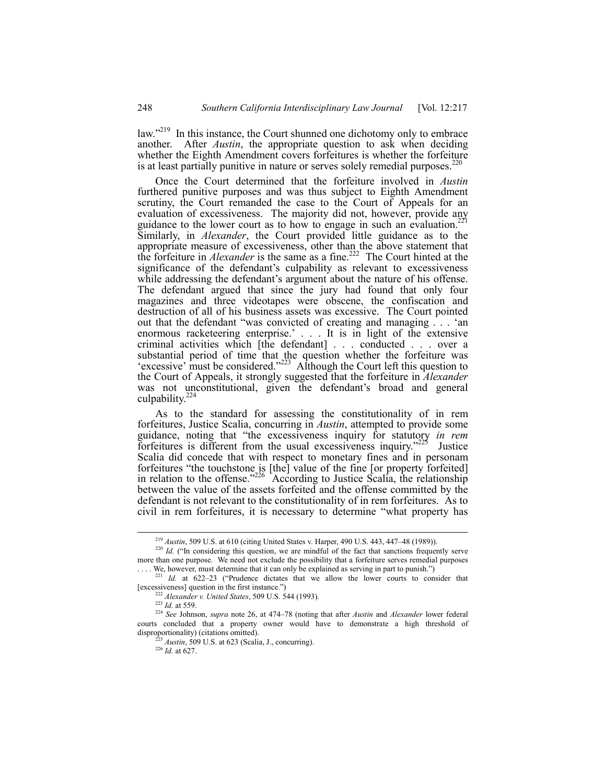law.<sup> $219$ </sup> In this instance, the Court shunned one dichotomy only to embrace another. After *Austin*, the appropriate question to ask when deciding whether the Eighth Amendment covers forfeitures is whether the forfeiture is at least partially punitive in nature or serves solely remedial purposes.<sup>2</sup>

Once the Court determined that the forfeiture involved in *Austin* furthered punitive purposes and was thus subject to Eighth Amendment scrutiny, the Court remanded the case to the Court of Appeals for an evaluation of excessiveness. The majority did not, however, provide any guidance to the lower court as to how to engage in such an evaluation.<sup>221</sup> Similarly, in *Alexander*, the Court provided little guidance as to the appropriate measure of excessiveness, other than the above statement that the forfeiture in *Alexander* is the same as a fine.222 The Court hinted at the significance of the defendant's culpability as relevant to excessiveness while addressing the defendant's argument about the nature of his offense. The defendant argued that since the jury had found that only four magazines and three videotapes were obscene, the confiscation and destruction of all of his business assets was excessive. The Court pointed out that the defendant "was convicted of creating and managing . . . 'an enormous racketeering enterprise.<sup>7</sup> . . . It is in light of the extensive criminal activities which [the defendant] . . . conducted . . . over a substantial period of time that the question whether the forfeiture was 'excessive' must be considered.<sup>223</sup> Although the Court left this question to the Court of Appeals, it strongly suggested that the forfeiture in *Alexander* was not unconstitutional, given the defendant's broad and general culpability. $2^2$ 

As to the standard for assessing the constitutionality of in rem forfeitures, Justice Scalia, concurring in *Austin*, attempted to provide some guidance, noting that "the excessiveness inquiry for statutory *in rem* forfeitures is different from the usual excessiveness inquiry.<sup> $225$ </sup> Justice Scalia did concede that with respect to monetary fines and in personam forfeitures "the touchstone is [the] value of the fine [or property forfeited] in relation to the offense.<sup> $226$ </sup> According to Justice Scalia, the relationship between the value of the assets forfeited and the offense committed by the defendant is not relevant to the constitutionality of in rem forfeitures. As to civil in rem forfeitures, it is necessary to determine "what property has

<sup>&</sup>lt;sup>219</sup> *Austin*, 509 U.S. at 610 (citing United States v. Harper, 490 U.S. 443, 447–48 (1989)).

<sup>&</sup>lt;sup>220</sup> *Id.* ("In considering this question, we are mindful of the fact that sanctions frequently serve more than one purpose. We need not exclude the possibility that a forfeiture serves remedial purposes . . . . We, however, must determine that it can only be explained as serving in part to punish.")

 $221$  *Id.* at 622-23 ("Prudence dictates that we allow the lower courts to consider that [excessiveness] question in the first instance.")

<sup>222</sup> *Alexander v. United States*, 509 U.S. 544 (1993).

<sup>223</sup> *Id.* at 559.

<sup>&</sup>lt;sup>224</sup> See Johnson, *supra* note 26, at 474-78 (noting that after *Austin* and *Alexander* lower federal courts concluded that a property owner would have to demonstrate a high threshold of disproportionality) (citations omitted).

 $^{225}$  *Austin*, 509 U.S. at 623 (Scalia, J., concurring).

<sup>226</sup> *Id.* at 627.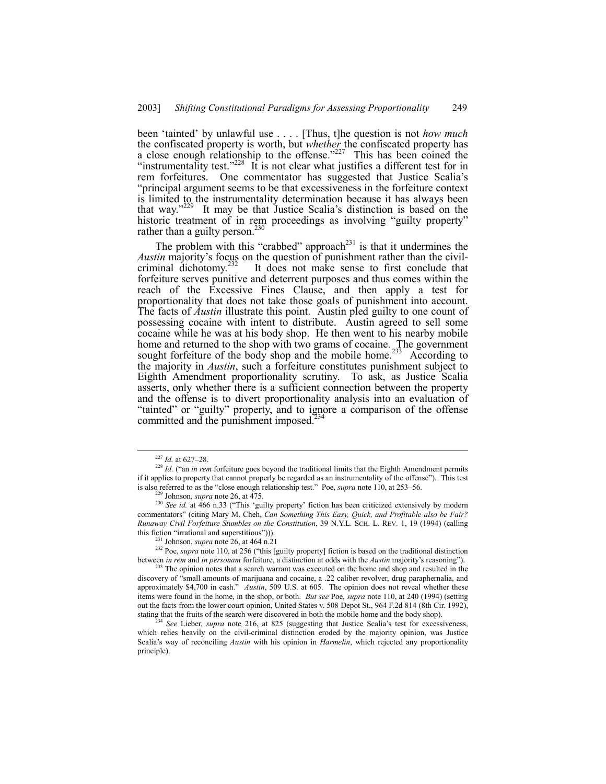been 'tainted' by unlawful use . . . . [Thus, t]he question is not *how much* the confiscated property is worth, but *whether* the confiscated property has a close enough relationship to the offense.<sup> $227$ </sup> This has been coined the "instrumentality test. $1228$  It is not clear what justifies a different test for in rem forfeitures. One commentator has suggested that Justice Scalia's ìprincipal argument seems to be that excessiveness in the forfeiture context is limited to the instrumentality determination because it has always been that way.<sup>229</sup> It may be that Justice Scalia's distinction is based on the historic treatment of in rem proceedings as involving "guilty property" rather than a guilty person.<sup>230</sup>

The problem with this "crabbed" approach<sup>231</sup> is that it undermines the *Austin* majority's focus on the question of punishment rather than the civil-<br>criminal dichotomy.<sup>232</sup> It does not make sense to first conclude that It does not make sense to first conclude that forfeiture serves punitive and deterrent purposes and thus comes within the reach of the Excessive Fines Clause, and then apply a test for proportionality that does not take those goals of punishment into account. The facts of *Austin* illustrate this point. Austin pled guilty to one count of possessing cocaine with intent to distribute. Austin agreed to sell some cocaine while he was at his body shop. He then went to his nearby mobile home and returned to the shop with two grams of cocaine. The government sought forfeiture of the body shop and the mobile home.<sup>233</sup> According to the majority in *Austin*, such a forfeiture constitutes punishment subject to Eighth Amendment proportionality scrutiny. To ask, as Justice Scalia asserts, only whether there is a sufficient connection between the property and the offense is to divert proportionality analysis into an evaluation of "tainted" or "guilty" property, and to ignore a comparison of the offense committed and the punishment imposed.<sup>2</sup>

 $227$  *Id.* at 627–28.

<sup>&</sup>lt;sup>228</sup> *Id.* ("an *in rem* forfeiture goes beyond the traditional limits that the Eighth Amendment permits if it applies to property that cannot properly be regarded as an instrumentality of the offense"). This test is also referred to as the "close enough relationship test." Poe, *supra* note 110, at 253–56.

Johnson, *supra* note 26, at 475.

<sup>&</sup>lt;sup>230</sup> *See id.* at 466 n.33 ("This 'guilty property' fiction has been criticized extensively by modern commentatorsî (citing Mary M. Cheh, *Can Something This Easy, Quick, and Profitable also be Fair? Runaway Civil Forfeiture Stumbles on the Constitution*, 39 N.Y.L. SCH. L. REV. 1, 19 (1994) (calling this fiction "irrational and superstitious"))).

<sup>231</sup> Johnson, *supra* note 26, at 464 n.21

<sup>&</sup>lt;sup>232</sup> Poe, *supra* note 110, at 256 ("this [guilty property] fiction is based on the traditional distinction between *in rem* and *in personam* forfeiture, a distinction at odds with the *Austin* majority's reasoning").

<sup>&</sup>lt;sup>233</sup> The opinion notes that a search warrant was executed on the home and shop and resulted in the discovery of "small amounts of marijuana and cocaine, a .22 caliber revolver, drug paraphernalia, and approximately \$4,700 in cash." *Austin*, 509 U.S. at 605. The opinion does not reveal whether these items were found in the home, in the shop, or both. *But see* Poe, *supra* note 110, at 240 (1994) (setting out the facts from the lower court opinion, United States v. 508 Depot St., 964 F.2d 814 (8th Cir. 1992), stating that the fruits of the search were discovered in both the mobile home and the body shop).

<sup>234</sup> *See* Lieber, *supra* note 216, at 825 (suggesting that Justice Scaliaís test for excessiveness, which relies heavily on the civil-criminal distinction eroded by the majority opinion, was Justice Scaliaís way of reconciling *Austin* with his opinion in *Harmelin*, which rejected any proportionality principle).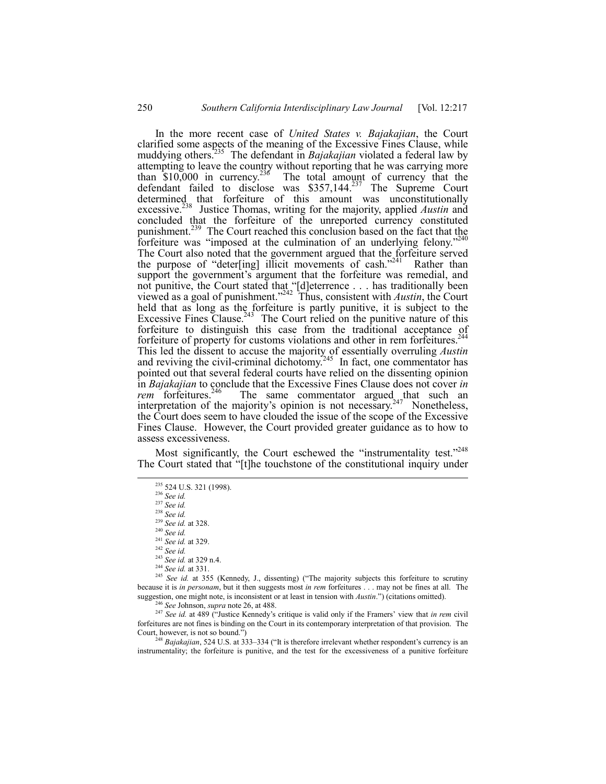In the more recent case of *United States v. Bajakajian*, the Court clarified some aspects of the meaning of the Excessive Fines Clause, while muddying others.235 The defendant in *Bajakajian* violated a federal law by attempting to leave the country without reporting that he was carrying more than  $$10,000$  in currency.<sup>236</sup> The total amount of currency that the defendant failed to disclose was  $$357,144.^{237}$  The Supreme Court determined that forfeiture of this amount was unconstitutionally excessive.<sup>238</sup> Justice Thomas, writing for the majority, applied *Austin* and concluded that the forfeiture of the unreported currency constituted punishment.<sup>239</sup> The Court reached this conclusion based on the fact that the forfeiture was "imposed at the culmination of an underlying felony." The Court also noted that the government argued that the forfeiture served the purpose of "deter[ing] illicit movements of cash."<sup>241</sup> Rather than support the government's argument that the forfeiture was remedial, and not punitive, the Court stated that "[d]eterrence . . . has traditionally been viewed as a goal of punishment.<sup>2242</sup> Thus, consistent with *Austin*, the Court held that as long as the forfeiture is partly punitive, it is subject to the Excessive Fines Clause.<sup>243</sup> The Court relied on the punitive nature of this forfeiture to distinguish this case from the traditional acceptance of forfeiture of property for customs violations and other in rem forfeitures.244 This led the dissent to accuse the majority of essentially overruling *Austin* and reviving the civil-criminal dichotomy.<sup>245</sup> In fact, one commentator has pointed out that several federal courts have relied on the dissenting opinion in *Bajakajian* to conclude that the Excessive Fines Clause does not cover *in rem* forfeitures.<sup>246</sup> The same commentator argued that such an interpretation of the majority's opinion is not necessary.<sup>247</sup> Nonetheless, the Court does seem to have clouded the issue of the scope of the Excessive Fines Clause. However, the Court provided greater guidance as to how to assess excessiveness.

Most significantly, the Court eschewed the "instrumentality test."<sup>248</sup> The Court stated that "[t]he touchstone of the constitutional inquiry under

235 524 U.S. 321 (1998).

<sup>236</sup> *See id.*

<sup>237</sup> *See id.*

<sup>238</sup> *See id.*

<sup>239</sup> *See id.* at 328.

<sup>240</sup> *See id.* <sup>241</sup> *See id.* at 329.

<sup>242</sup> *See id.*

<sup>243</sup> *See id.* at 329 n.4.

<sup>244</sup> *See id.* at 331.

<sup>245</sup> See id. at 355 (Kennedy, J., dissenting) ("The majority subjects this forfeiture to scrutiny because it is *in personam*, but it then suggests most *in rem* forfeitures . . . may not be fines at all. The suggestion, one might note, is inconsistent or at least in tension with *Austin*.") (citations omitted).

<sup>246</sup> *See* Johnson, *supra* note 26, at 488.

<sup>247</sup> See id. at 489 ("Justice Kennedy's critique is valid only if the Framers' view that *in rem* civil forfeitures are not fines is binding on the Court in its contemporary interpretation of that provision. The Court, however, is not so bound.")

 $^{248}$  *Bajakajian*, 524 U.S. at 333–334 ("It is therefore irrelevant whether respondent's currency is an instrumentality; the forfeiture is punitive, and the test for the excessiveness of a punitive forfeiture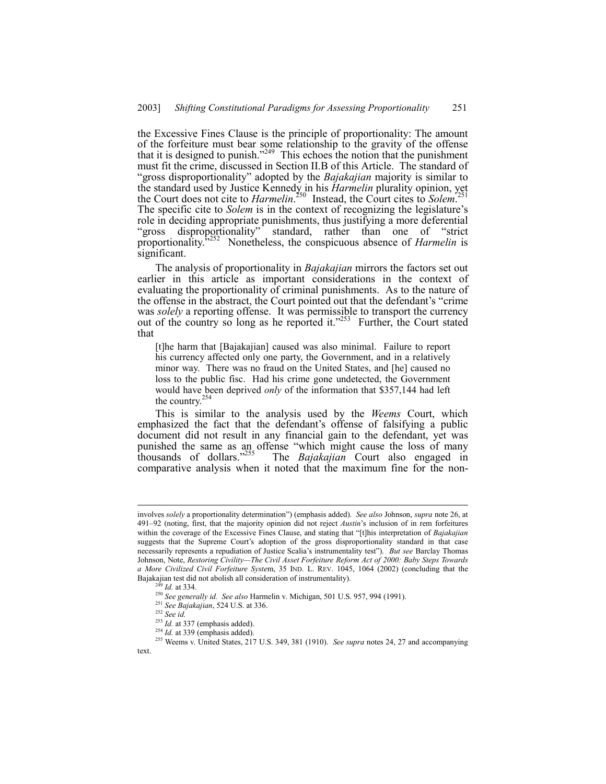the Excessive Fines Clause is the principle of proportionality: The amount of the forfeiture must bear some relationship to the gravity of the offense that it is designed to punish.<sup> $249$ </sup> This echoes the notion that the punishment must fit the crime, discussed in Section II.B of this Article. The standard of ìgross disproportionalityî adopted by the *Bajakajian* majority is similar to the standard used by Justice Kennedy in his *Harmelin* plurality opinion, yet the Court does not cite to *Harmelin*. 250 Instead, the Court cites to *Solem*. 251 The specific cite to *Solem* is in the context of recognizing the legislature's role in deciding appropriate punishments, thus justifying a more deferential "gross disproportionality" standard, rather than one of "strict" proportionality.î252 Nonetheless, the conspicuous absence of *Harmelin* is significant.

The analysis of proportionality in *Bajakajian* mirrors the factors set out earlier in this article as important considerations in the context of evaluating the proportionality of criminal punishments. As to the nature of the offense in the abstract, the Court pointed out that the defendant's "crime was *solely* a reporting offense. It was permissible to transport the currency out of the country so long as he reported it.<sup> $253$ </sup> Further, the Court stated that

[t]he harm that [Bajakajian] caused was also minimal. Failure to report his currency affected only one party, the Government, and in a relatively minor way. There was no fraud on the United States, and [he] caused no loss to the public fisc. Had his crime gone undetected, the Government would have been deprived *only* of the information that \$357,144 had left the country.<sup>254</sup>

This is similar to the analysis used by the *Weems* Court, which emphasized the fact that the defendant's offense of falsifying a public document did not result in any financial gain to the defendant, yet was punished the same as an offense "which might cause the loss of many thousands of dollars."<sup>255</sup> The *Bajakajian* Court also engaged in The *Bajakajian* Court also engaged in comparative analysis when it noted that the maximum fine for the non-

involves *solely* a proportionality determinationî) (emphasis added). *See also* Johnson, *supra* note 26, at 491-92 (noting, first, that the majority opinion did not reject *Austin*'s inclusion of in rem forfeitures within the coverage of the Excessive Fines Clause, and stating that "[t]his interpretation of *Bajakajian* suggests that the Supreme Court's adoption of the gross disproportionality standard in that case necessarily represents a repudiation of Justice Scaliaís instrumentality testî). *But see* Barclay Thomas Johnson, Note, *Restoring Civility-The Civil Asset Forfeiture Reform Act of 2000: Baby Steps Towards a More Civilized Civil Forfeiture Syste*m, 35 IND. L. REV. 1045, 1064 (2002) (concluding that the Bajakajian test did not abolish all consideration of instrumentality).

*Id.* at 334.

<sup>250</sup> *See generally id. See also* Harmelin v. Michigan, 501 U.S. 957, 994 (1991).

<sup>251</sup> *See Bajakajian*, 524 U.S. at 336.

<sup>252</sup> *See id.*

<sup>&</sup>lt;sup>253</sup> *Id.* at 337 (emphasis added).

 $^{254}$  *Id.* at 339 (emphasis added).

<sup>255</sup> Weems v. United States, 217 U.S. 349, 381 (1910). *See supra* notes 24, 27 and accompanying text.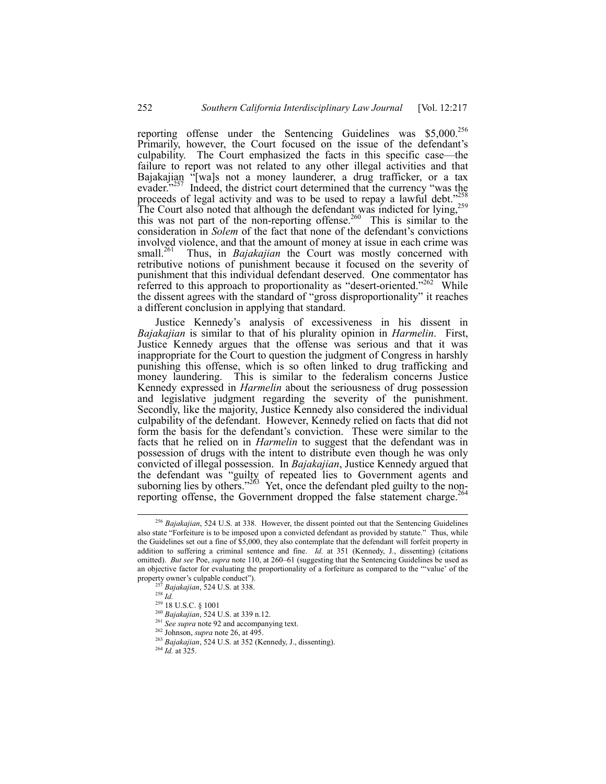reporting offense under the Sentencing Guidelines was  $$5,000.<sup>256</sup>$ Primarily, however, the Court focused on the issue of the defendant's culpability. The Court emphasized the facts in this specific case—the failure to report was not related to any other illegal activities and that Bajakajian <sup>"</sup>[wa]s not a money launderer, a drug trafficker, or a tax evader.<sup> $257$ </sup> Indeed, the district court determined that the currency "was the proceeds of legal activity and was to be used to repay a lawful debt.<sup> $258$ 8</sup> The Court also noted that although the defendant was indicted for lying, $^{259}$ this was not part of the non-reporting offense.<sup>260</sup> This is similar to the consideration in *Solem* of the fact that none of the defendant's convictions involved violence, and that the amount of money at issue in each crime was small.<sup>261</sup> Thus, in *Bajakajian* the Court was mostly concerned with Thus, in *Bajakajian* the Court was mostly concerned with retributive notions of punishment because it focused on the severity of punishment that this individual defendant deserved. One commentator has referred to this approach to proportionality as "desert-oriented.<sup> $262$ </sup> While the dissent agrees with the standard of "gross disproportionality" it reaches a different conclusion in applying that standard.

Justice Kennedyís analysis of excessiveness in his dissent in *Bajakajian* is similar to that of his plurality opinion in *Harmelin*. First, Justice Kennedy argues that the offense was serious and that it was inappropriate for the Court to question the judgment of Congress in harshly punishing this offense, which is so often linked to drug trafficking and money laundering. This is similar to the federalism concerns Justice Kennedy expressed in *Harmelin* about the seriousness of drug possession and legislative judgment regarding the severity of the punishment. Secondly, like the majority, Justice Kennedy also considered the individual culpability of the defendant. However, Kennedy relied on facts that did not form the basis for the defendant's conviction. These were similar to the facts that he relied on in *Harmelin* to suggest that the defendant was in possession of drugs with the intent to distribute even though he was only convicted of illegal possession. In *Bajakajian*, Justice Kennedy argued that the defendant was "guilty of repeated lies to Government agents and suborning lies by others.<sup> $263$ </sup> Yet, once the defendant pled guilty to the nonreporting offense, the Government dropped the false statement charge.<sup>2</sup>

 <sup>256</sup> *Bajakajian*, 524 U.S. at 338. However, the dissent pointed out that the Sentencing Guidelines also state "Forfeiture is to be imposed upon a convicted defendant as provided by statute." Thus, while the Guidelines set out a fine of \$5,000, they also contemplate that the defendant will forfeit property in addition to suffering a criminal sentence and fine. *Id.* at 351 (Kennedy, J., dissenting) (citations omitted). *But see* Poe, *supra* note 110, at 260-61 (suggesting that the Sentencing Guidelines be used as an objective factor for evaluating the proportionality of a forfeiture as compared to the "value' of the property owner's culpable conduct").

<sup>257</sup> *Bajakajian*, 524 U.S. at 338.

 $\frac{258}{10}$ 

<sup>259 18</sup> U.S.C. ß 1001

<sup>260</sup> *Bajakajian*, 524 U.S. at 339 n.12.

<sup>&</sup>lt;sup>261</sup> See supra note 92 and accompanying text.

<sup>262</sup> Johnson, *supra* note 26, at 495.

<sup>263</sup> *Bajakajian*, 524 U.S. at 352 (Kennedy, J., dissenting).

<sup>264</sup> *Id.* at 325.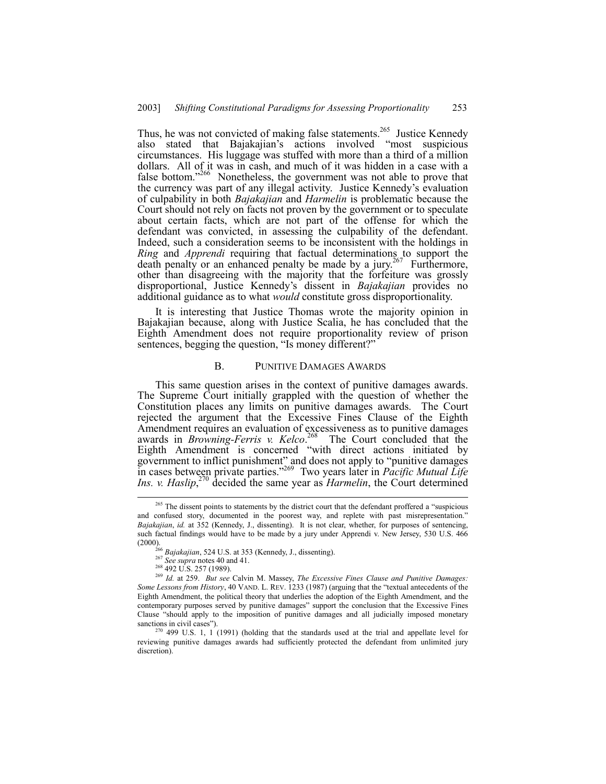Thus, he was not convicted of making false statements.<sup>265</sup> Justice Kennedy also stated that Bajakajian's actions involved "most suspicious circumstances. His luggage was stuffed with more than a third of a million dollars. All of it was in cash, and much of it was hidden in a case with a false bottom.<sup>7266</sup> Nonetheless, the government was not able to prove that the currency was part of any illegal activity. Justice Kennedy's evaluation of culpability in both *Bajakajian* and *Harmelin* is problematic because the Court should not rely on facts not proven by the government or to speculate about certain facts, which are not part of the offense for which the defendant was convicted, in assessing the culpability of the defendant. Indeed, such a consideration seems to be inconsistent with the holdings in *Ring* and *Apprendi* requiring that factual determinations to support the death penalty or an enhanced penalty be made by a jury.<sup>267</sup> Furthermore, other than disagreeing with the majority that the forfeiture was grossly disproportional, Justice Kennedyís dissent in *Bajakajian* provides no additional guidance as to what *would* constitute gross disproportionality.

It is interesting that Justice Thomas wrote the majority opinion in Bajakajian because, along with Justice Scalia, he has concluded that the Eighth Amendment does not require proportionality review of prison sentences, begging the question, "Is money different?"

#### B. PUNITIVE DAMAGES AWARDS

This same question arises in the context of punitive damages awards. The Supreme Court initially grappled with the question of whether the Constitution places any limits on punitive damages awards. The Court rejected the argument that the Excessive Fines Clause of the Eighth Amendment requires an evaluation of excessiveness as to punitive damages awards in *Browning-Ferris v. Kelco*. 268 The Court concluded that the Eighth Amendment is concerned "with direct actions initiated by government to inflict punishment" and does not apply to "punitive damages in cases between private parties.<sup>3269</sup> Two years later in *Pacific Mutual Life Ins. v. Haslip*, 270 decided the same year as *Harmelin*, the Court determined

<sup>&</sup>lt;sup>265</sup> The dissent points to statements by the district court that the defendant proffered a "suspicious and confused story, documented in the poorest way, and replete with past misrepresentation." *Bajakajian*, *id.* at 352 (Kennedy, J., dissenting). It is not clear, whether, for purposes of sentencing, such factual findings would have to be made by a jury under Apprendi v. New Jersey, 530 U.S. 466 (2000).

<sup>&</sup>lt;sup>266</sup> *Bajakajian*, 524 U.S. at 353 (Kennedy, J., dissenting).<br><sup>267</sup> *See supra* notes 40 and 41.<br><sup>268</sup> 492 U.S. 257 (1989).

<sup>269</sup> *Id.* at 259. *But see* Calvin M. Massey, *The Excessive Fines Clause and Punitive Damages: Some Lessons from History*, 40 VAND. L. REV. 1233 (1987) (arguing that the "textual antecedents of the Eighth Amendment, the political theory that underlies the adoption of the Eighth Amendment, and the contemporary purposes served by punitive damages" support the conclusion that the Excessive Fines Clause "should apply to the imposition of punitive damages and all judicially imposed monetary sanctions in civil cases").

 $270$  499 U.S. 1, 1 (1991) (holding that the standards used at the trial and appellate level for reviewing punitive damages awards had sufficiently protected the defendant from unlimited jury discretion).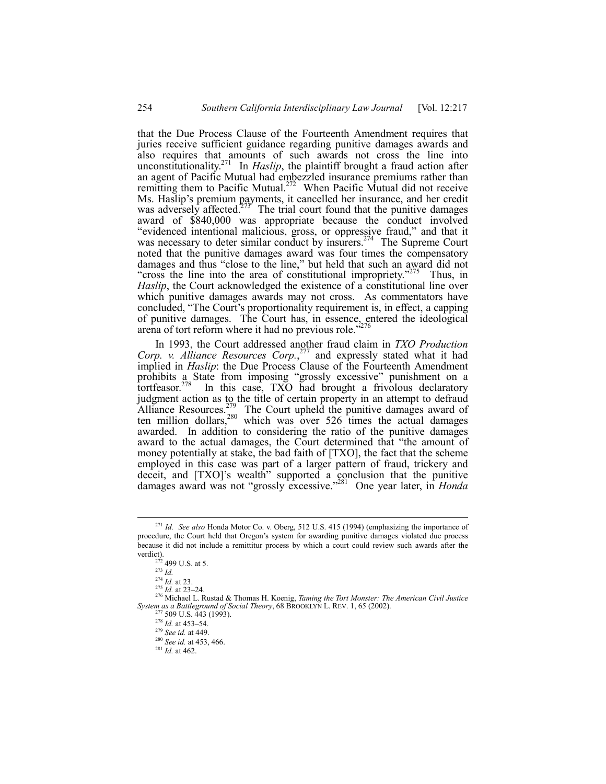that the Due Process Clause of the Fourteenth Amendment requires that juries receive sufficient guidance regarding punitive damages awards and also requires that amounts of such awards not cross the line into unconstitutionality.<sup>271</sup> In *Haslip*, the plaintiff brought a fraud action after an agent of Pacific Mutual had embezzled insurance premiums rather than remitting them to Pacific Mutual.<sup>272</sup> When Pacific Mutual did not receive Ms. Haslip's premium payments, it cancelled her insurance, and her credit was adversely affected. $273$  The trial court found that the punitive damages award of \$840,000 was appropriate because the conduct involved "evidenced intentional malicious, gross, or oppressive fraud," and that it was necessary to deter similar conduct by insurers.<sup>274</sup> The Supreme Court noted that the punitive damages award was four times the compensatory damages and thus "close to the line," but held that such an award did not "cross the line into the area of constitutional impropriety. $275$  Thus, in *Haslip*, the Court acknowledged the existence of a constitutional line over which punitive damages awards may not cross. As commentators have concluded, "The Court's proportionality requirement is, in effect, a capping of punitive damages. The Court has, in essence, entered the ideological arena of tort reform where it had no previous role.<sup>7</sup>

In 1993, the Court addressed another fraud claim in *TXO Production Corp. v. Alliance Resources Corp.*, 277 and expressly stated what it had implied in *Haslip*: the Due Process Clause of the Fourteenth Amendment prohibits a State from imposing "grossly excessive" punishment on a tortfeasor.<sup>278</sup> In this case, TXO had brought a frivolous declaratory judgment action as to the title of certain property in an attempt to defraud Alliance Resources.<sup>279</sup> The Court upheld the punitive damages award of ten million dollars,<sup>280</sup> which was over 526 times the actual damages awarded. In addition to considering the ratio of the punitive damages award to the actual damages, the Court determined that "the amount of money potentially at stake, the bad faith of [TXO], the fact that the scheme employed in this case was part of a larger pattern of fraud, trickery and deceit, and [TXO]'s wealth<sup>"</sup> supported a conclusion that the punitive damages award was not "grossly excessive."<sup>281</sup> One year later, in *Honda* 

 <sup>271</sup> *Id. See also* Honda Motor Co. v. Oberg, 512 U.S. 415 (1994) (emphasizing the importance of procedure, the Court held that Oregon's system for awarding punitive damages violated due process because it did not include a remittitur process by which a court could review such awards after the verdict).

 $272$  499 U.S. at 5.

 $\frac{273}{274}$  *Id.* at 23.

<sup>275</sup> *Id.* at 23.<br><sup>275</sup> *Id.* at 23–24.<br><sup>276</sup> Michael L. Rustad & Thomas H. Koenig, *Taming the Tort Monster: The American Civil Justice System as a Battleground of Social Theory*, 68 BROOKLYN L. REV. 1, 65 (2002). <sup>277</sup> 509 U.S. 443 (1993).

 $^{278}$  *Id.* at 453–54.

<sup>279</sup> *See id.* at 449.

<sup>280</sup> *See id.* at 453, 466.

<sup>281</sup> *Id.* at 462.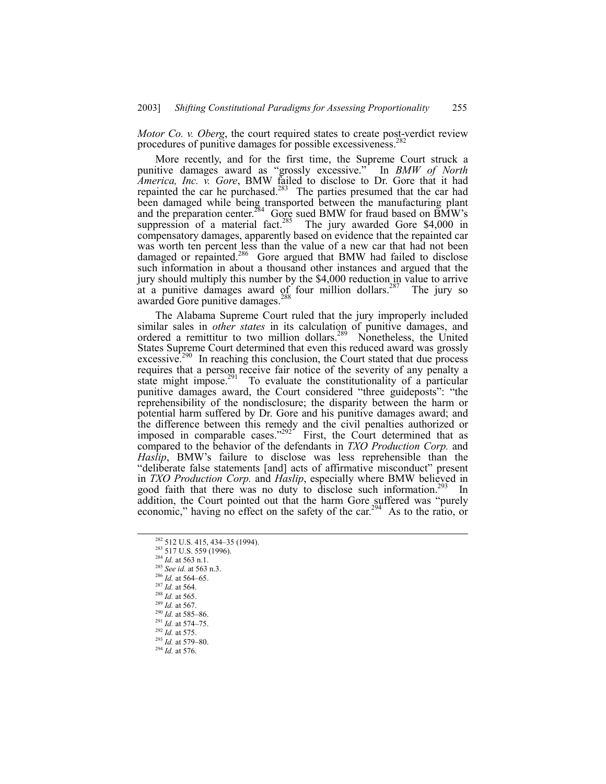*Motor Co. v. Oberg*, the court required states to create post-verdict review procedures of punitive damages for possible excessiveness.<sup>2</sup>

More recently, and for the first time, the Supreme Court struck a punitive damages award as "grossly excessive." In *BMW of North America, Inc. v. Gore*, BMW failed to disclose to Dr. Gore that it had repainted the car he purchased.<sup>283</sup> The parties presumed that the car had been damaged while being transported between the manufacturing plant and the preparation center.<sup>284</sup> Gore sued BMW for fraud based on BMW's suppression of a material fact.<sup>285</sup> The jury awarded Gore  $$4,000$  in compensatory damages, apparently based on evidence that the repainted car was worth ten percent less than the value of a new car that had not been damaged or repainted.<sup>286</sup> Gore argued that BMW had failed to disclose such information in about a thousand other instances and argued that the jury should multiply this number by the \$4,000 reduction in value to arrive at a punitive damages award of four million dollars.<sup>287</sup> The jury so awarded Gore punitive damages.<sup>2</sup>

The Alabama Supreme Court ruled that the jury improperly included similar sales in *other states* in its calculation of punitive damages, and ordered a remittitur to two million dollars.<sup>289</sup> Nonetheless, the United States Supreme Court determined that even this reduced award was grossly  $excessive<sup>290</sup>$  In reaching this conclusion, the Court stated that due process requires that a person receive fair notice of the severity of any penalty a state might impose.<sup>291</sup> To evaluate the constitutionality of a particular punitive damages award, the Court considered "three guideposts": "the reprehensibility of the nondisclosure; the disparity between the harm or potential harm suffered by Dr. Gore and his punitive damages award; and the difference between this remedy and the civil penalties authorized or imposed in comparable cases.<sup> $292$ </sup> First, the Court determined that as compared to the behavior of the defendants in *TXO Production Corp.* and *Haslip*, BMWís failure to disclose was less reprehensible than the "deliberate false statements [and] acts of affirmative misconduct" present in *TXO Production Corp.* and *Haslip*, especially where BMW believed in good faith that there was no duty to disclose such information.<sup>293</sup> In addition, the Court pointed out that the harm Gore suffered was "purely economic," having no effect on the safety of the car.<sup>294</sup> As to the ratio, or

- <sup>282</sup> 512 U.S. 415, 434–35 (1994).<br><sup>283</sup> 517 U.S. 559 (1996).
- 
- <sup>284</sup> *Id.* at 563 n.1.
- <sup>285</sup> *See id.* at 563 n.3.
- $286$  *Id.* at 564–65.
- <sup>287</sup> *Id.* at 564.
- <sup>288</sup> *Id.* at 565.
- <sup>289</sup> *Id.* at 567.
- $^{290}$  *Id.* at 585–86.
- $^{291}$  *Id.* at 574–75.
- <sup>292</sup> *Id.* at 575.
- <sup>293</sup> *Id.* at 579-80.
- <sup>294</sup> *Id.* at 576.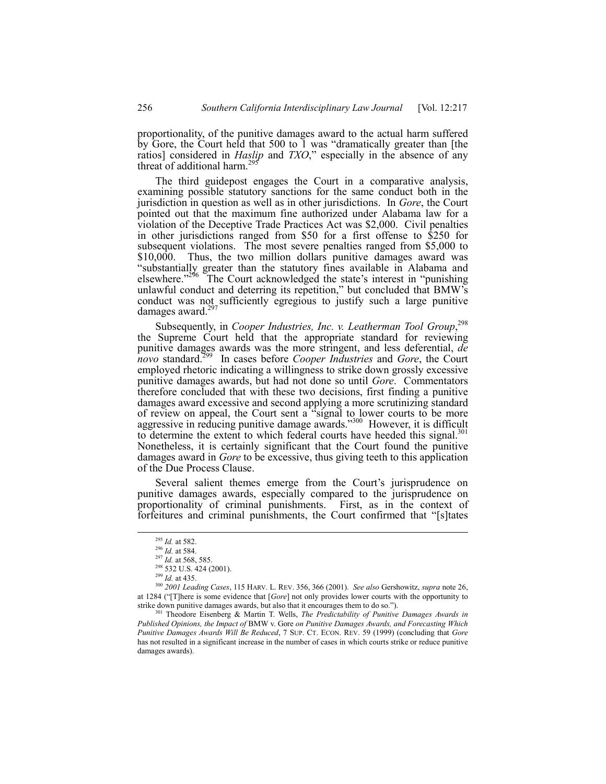proportionality, of the punitive damages award to the actual harm suffered by Gore, the Court held that 500 to  $\bar{1}$  was "dramatically greater than [the ratios] considered in *Haslip* and *TXO*," especially in the absence of any threat of additional harm.<sup>29</sup>

The third guidepost engages the Court in a comparative analysis, examining possible statutory sanctions for the same conduct both in the jurisdiction in question as well as in other jurisdictions. In *Gore*, the Court pointed out that the maximum fine authorized under Alabama law for a violation of the Deceptive Trade Practices Act was \$2,000. Civil penalties in other jurisdictions ranged from \$50 for a first offense to \$250 for subsequent violations. The most severe penalties ranged from \$5,000 to \$10,000. Thus, the two million dollars punitive damages award was "substantially greater than the statutory fines available in Alabama and elsewhere.<sup>7296</sup> The Court acknowledged the state's interest in "punishing" unlawful conduct and deterring its repetition," but concluded that BMW's conduct was not sufficiently egregious to justify such a large punitive damages award. $297$ 

Subsequently, in *Cooper Industries, Inc. v. Leatherman Tool Group*,<sup>298</sup> the Supreme Court held that the appropriate standard for reviewing punitive damages awards was the more stringent, and less deferential, *de novo* standard.299 In cases before *Cooper Industries* and *Gore*, the Court employed rhetoric indicating a willingness to strike down grossly excessive punitive damages awards, but had not done so until *Gore*. Commentators therefore concluded that with these two decisions, first finding a punitive damages award excessive and second applying a more scrutinizing standard of review on appeal, the Court sent a "signal to lower courts to be more aggressive in reducing punitive damage awards.<sup>3300</sup> However, it is difficult to determine the extent to which federal courts have heeded this signal.<sup>301</sup> Nonetheless, it is certainly significant that the Court found the punitive damages award in *Gore* to be excessive, thus giving teeth to this application of the Due Process Clause.

Several salient themes emerge from the Court's jurisprudence on punitive damages awards, especially compared to the jurisprudence on proportionality of criminal punishments. First, as in the context of forfeitures and criminal punishments, the Court confirmed that "[s]tates

 <sup>295</sup> *Id.* at 582.

<sup>296</sup> *Id.* at 584.

<sup>297</sup> *Id.* at 568, 585.

<sup>&</sup>lt;sup>298</sup> 532 U.S. 424 (2001).

<sup>299</sup> *Id.* at 435.

<sup>300</sup> *2001 Leading Cases*, 115 HARV. L. REV. 356, 366 (2001). *See also* Gershowitz, *supra* note 26, at 1284 ("[T]here is some evidence that [*Gore*] not only provides lower courts with the opportunity to strike down punitive damages awards, but also that it encourages them to do so.").

<sup>301</sup> Theodore Eisenberg & Martin T. Wells, *The Predictability of Punitive Damages Awards in Published Opinions, the Impact of* BMW v. Gore *on Punitive Damages Awards, and Forecasting Which Punitive Damages Awards Will Be Reduced*, 7 SUP. CT. ECON. REV. 59 (1999) (concluding that *Gore* has not resulted in a significant increase in the number of cases in which courts strike or reduce punitive damages awards).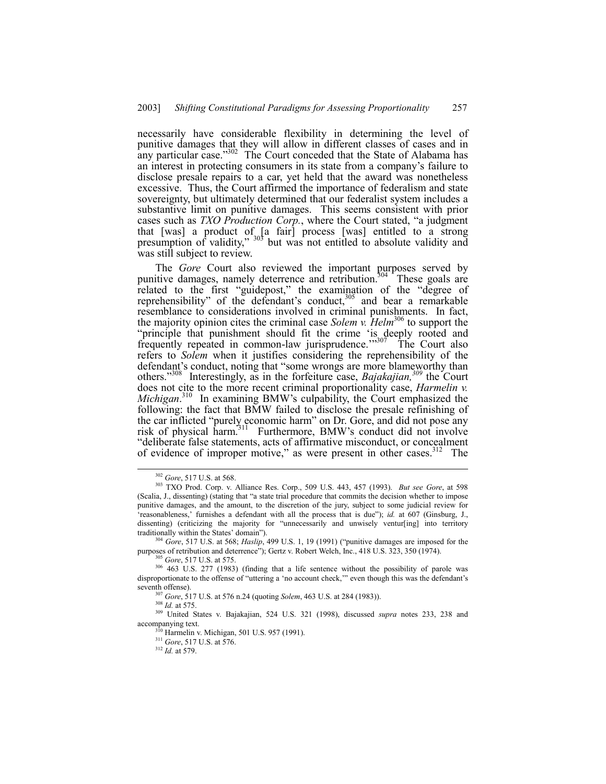necessarily have considerable flexibility in determining the level of punitive damages that they will allow in different classes of cases and in any particular case.<sup> $302$ </sup> The Court conceded that the State of Alabama has an interest in protecting consumers in its state from a company's failure to disclose presale repairs to a car, yet held that the award was nonetheless excessive. Thus, the Court affirmed the importance of federalism and state sovereignty, but ultimately determined that our federalist system includes a substantive limit on punitive damages. This seems consistent with prior cases such as *TXO Production Corp.*, where the Court stated, "a judgment that [was] a product of [a fair] process [was] entitled to a strong presumption of validity,"  $303$  but was not entitled to absolute validity and was still subject to review.

The *Gore* Court also reviewed the important purposes served by punitive damages, namely deterrence and retribution.<sup>304</sup> These goals are related to the first "guidepost," the examination of the "degree of reprehensibility" of the defendant's conduct,  $305$  and bear a remarkable resemblance to considerations involved in criminal punishments. In fact, the majority opinion cites the criminal case *Solem v. Helm*306 to support the "principle that punishment should fit the crime 'is deeply rooted and frequently repeated in common-law jurisprudence.<sup>77307</sup> The Court also refers to *Solem* when it justifies considering the reprehensibility of the defendant's conduct, noting that "some wrongs are more blameworthy than others.<sup>3308</sup> Interestingly, as in the forfeiture case, *Bajakajian*,<sup>309</sup> the Court does not cite to the more recent criminal proportionality case, *Harmelin v.* Michigan.<sup>310</sup> In examining BMW's culpability, the Court emphasized the following: the fact that BMW failed to disclose the presale refinishing of the car inflicted "purely economic harm" on Dr. Gore, and did not pose any risk of physical harm.<sup>311</sup> Furthermore, BMW's conduct did not involve ìdeliberate false statements, acts of affirmative misconduct, or concealment of evidence of improper motive," as were present in other cases. $312$  The

<sup>305</sup> *Gore*, 517 U.S. at 575.

 <sup>302</sup> *Gore*, 517 U.S. at 568.

<sup>303</sup> TXO Prod. Corp. v. Alliance Res. Corp., 509 U.S. 443, 457 (1993). *But see Gore*, at 598 (Scalia, J., dissenting) (stating that "a state trial procedure that commits the decision whether to impose punitive damages, and the amount, to the discretion of the jury, subject to some judicial review for 'reasonableness,' furnishes a defendant with all the process that is due"); *id.* at 607 (Ginsburg, J., dissenting) (criticizing the majority for "unnecessarily and unwisely ventur[ing] into territory traditionally within the States' domain").

<sup>&</sup>lt;sup>304</sup> *Gore*, 517 U.S. at 568; *Haslip*, 499 U.S. 1, 19 (1991) ("punitive damages are imposed for the purposes of retribution and deterrence"); Gertz v. Robert Welch, Inc., 418 U.S. 323, 350 (1974).

<sup>306 463</sup> U.S. 277 (1983) (finding that a life sentence without the possibility of parole was disproportionate to the offense of "uttering a 'no account check," even though this was the defendant's seventh offense).

<sup>307</sup> *Gore*, 517 U.S. at 576 n.24 (quoting *Solem*, 463 U.S. at 284 (1983)).

<sup>308</sup> *Id.* at 575.

<sup>309</sup> United States v. Bajakajian, 524 U.S. 321 (1998), discussed *supra* notes 233, 238 and  $\arccos$ <sub>310</sub> $\arccos$ <sub>310</sub> $\arccos$ <sub>310</sub> $\arccos$ <sub>310</sub> $\arccos$ <sub>310</sub> $\arccos$ <sub>310</sub> $\arccos$ <sub>310</sub> $\arccos$ <sub>310</sub> $\arccos$ <sub>310</sub> $\arccos$ <sub>310</sub> $\arccos$ <sub>310</sub> $\arccos$ <sub>310</sub> $\arccos$ <sub>310</sub> $\arccos$ <sub>310</sub> $\arccos$ <sub>310</sub> $\arccos$ <sub>310</sub> $\arccos$ <sub>310</sub> $\arccos$ <sub>310</sub> $\arccos$ <sub>310</sub> $\arccos$ <sub>310</sub>

<sup>&</sup>lt;sup>3</sup> Harmelin v. Michigan, 501 U.S. 957 (1991).

<sup>311</sup> *Gore*, 517 U.S. at 576.

<sup>312</sup> *Id.* at 579.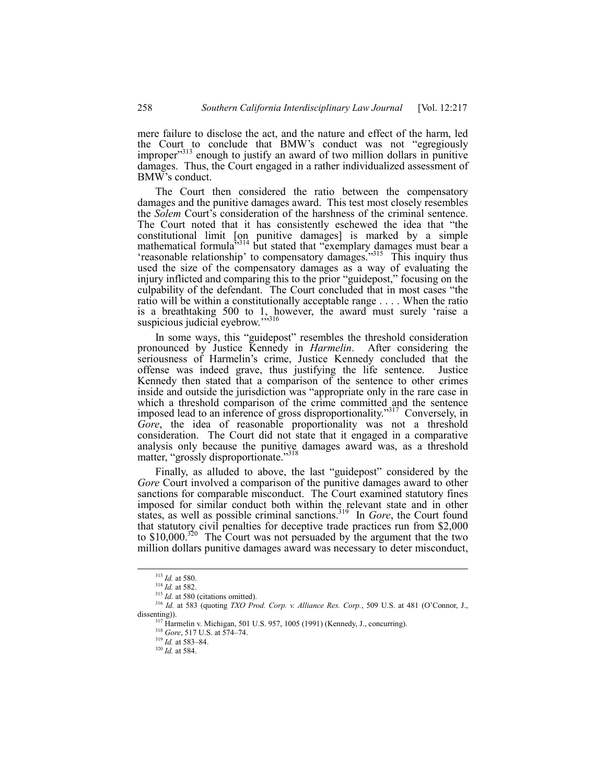mere failure to disclose the act, and the nature and effect of the harm, led the Court to conclude that BMW's conduct was not "egregiously improper<sup>313</sup> enough to justify an award of two million dollars in punitive damages. Thus, the Court engaged in a rather individualized assessment of BMW's conduct.

The Court then considered the ratio between the compensatory damages and the punitive damages award. This test most closely resembles the *Solem* Court's consideration of the harshness of the criminal sentence. The Court noted that it has consistently eschewed the idea that "the constitutional limit [on punitive damages] is marked by a simple mathematical formula<sup> $5314$ </sup> but stated that "exemplary damages must bear a 'reasonable relationship' to compensatory damages.<sup>3315</sup> This inquiry thus used the size of the compensatory damages as a way of evaluating the injury inflicted and comparing this to the prior "guidepost," focusing on the culpability of the defendant. The Court concluded that in most cases "the ratio will be within a constitutionally acceptable range . . . . When the ratio is a breathtaking 500 to 1, however, the award must surely ëraise a suspicious judicial eyebrow.<sup>3316</sup>

In some ways, this "guidepost" resembles the threshold consideration pronounced by Justice Kennedy in *Harmelin*. After considering the seriousness of Harmelin's crime, Justice Kennedy concluded that the offense was indeed grave, thus justifying the life sentence. Justice Kennedy then stated that a comparison of the sentence to other crimes inside and outside the jurisdiction was "appropriate only in the rare case in which a threshold comparison of the crime committed and the sentence imposed lead to an inference of gross disproportionality."<sup>317</sup> Conversely, in *Gore*, the idea of reasonable proportionality was not a threshold consideration. The Court did not state that it engaged in a comparative analysis only because the punitive damages award was, as a threshold matter, "grossly disproportionate."<sup>318</sup>

Finally, as alluded to above, the last "guidepost" considered by the *Gore* Court involved a comparison of the punitive damages award to other sanctions for comparable misconduct. The Court examined statutory fines imposed for similar conduct both within the relevant state and in other states, as well as possible criminal sanctions.<sup>319</sup> In *Gore*, the Court found that statutory civil penalties for deceptive trade practices run from \$2,000 to \$10,000.<sup>320</sup> The Court was not persuaded by the argument that the two million dollars punitive damages award was necessary to deter misconduct,

 <sup>313</sup> *Id.* at 580.

<sup>314</sup> *Id.* at 582.

<sup>&</sup>lt;sup>315</sup> *Id.* at 580 (citations omitted).

<sup>&</sup>lt;sup>316</sup> *Id.* at 583 (quoting *TXO Prod. Corp. v. Alliance Res. Corp.*, 509 U.S. at 481 (O'Connor, J., dissenting)).

<sup>&</sup>lt;sup>7</sup> Harmelin v. Michigan, 501 U.S. 957, 1005 (1991) (Kennedy, J., concurring).

<sup>318</sup> *Gore*, 517 U.S. at 574–74.

 $319$  *Id.* at 583-84.

<sup>320</sup> *Id.* at 584.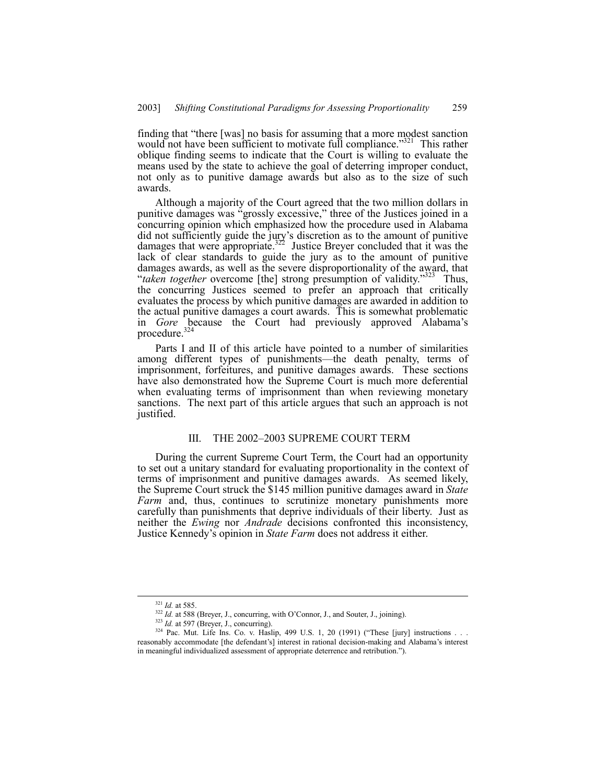finding that "there [was] no basis for assuming that a more modest sanction would not have been sufficient to motivate full compliance.<sup>3321</sup> This rather oblique finding seems to indicate that the Court is willing to evaluate the means used by the state to achieve the goal of deterring improper conduct, not only as to punitive damage awards but also as to the size of such awards.

Although a majority of the Court agreed that the two million dollars in punitive damages was "grossly excessive," three of the Justices joined in a concurring opinion which emphasized how the procedure used in Alabama did not sufficiently guide the jury's discretion as to the amount of punitive damages that were appropriate.<sup>322</sup> Justice Breyer concluded that it was the lack of clear standards to guide the jury as to the amount of punitive damages awards, as well as the severe disproportionality of the award, that *diaken together* overcome [the] strong presumption of validity.<sup>323</sup> Thus, the concurring Justices seemed to prefer an approach that critically evaluates the process by which punitive damages are awarded in addition to the actual punitive damages a court awards. This is somewhat problematic in *Gore* because the Court had previously approved Alabama's procedure.<sup>324</sup>

Parts I and II of this article have pointed to a number of similarities among different types of punishments—the death penalty, terms of imprisonment, forfeitures, and punitive damages awards. These sections have also demonstrated how the Supreme Court is much more deferential when evaluating terms of imprisonment than when reviewing monetary sanctions. The next part of this article argues that such an approach is not justified.

#### III. THE 2002–2003 SUPREME COURT TERM

During the current Supreme Court Term, the Court had an opportunity to set out a unitary standard for evaluating proportionality in the context of terms of imprisonment and punitive damages awards. As seemed likely, the Supreme Court struck the \$145 million punitive damages award in *State Farm* and, thus, continues to scrutinize monetary punishments more carefully than punishments that deprive individuals of their liberty. Just as neither the *Ewing* nor *Andrade* decisions confronted this inconsistency, Justice Kennedy's opinion in *State Farm* does not address it either.

 <sup>321</sup> *Id.* at 585.

<sup>&</sup>lt;sup>322</sup> *Id.* at 588 (Breyer, J., concurring, with O'Connor, J., and Souter, J., joining).

<sup>&</sup>lt;sup>323</sup> *Id.* at 597 (Breyer, J., concurring).

 $324$  Pac. Mut. Life Ins. Co. v. Haslip, 499 U.S. 1, 20 (1991) ("These [jury] instructions . . . reasonably accommodate [the defendant's] interest in rational decision-making and Alabama's interest in meaningful individualized assessment of appropriate deterrence and retribution.î).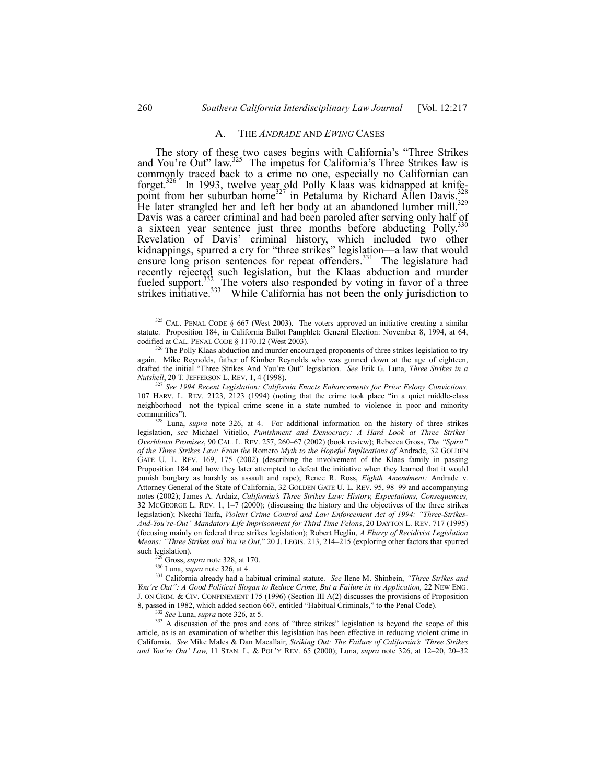#### A. THE *ANDRADE* AND *EWING* CASES

The story of these two cases begins with California's "Three Strikes and You're Out" law. $325$  The impetus for California's Three Strikes law is commonly traced back to a crime no one, especially no Californian can forget.<sup>326</sup> In 1993, twelve year old Polly Klaas was kidnapped at knifepoint from her suburban home<sup>327</sup> in Petaluma by Richard Allen Davis.<sup>328</sup> He later strangled her and left her body at an abandoned lumber mill.<sup>329</sup> Davis was a career criminal and had been paroled after serving only half of a sixteen year sentence just three months before abducting Polly.<sup>3</sup> Revelation of Davis' criminal history, which included two other kidnappings, spurred a cry for "three strikes" legislation—a law that would ensure long prison sentences for repeat offenders.<sup>331</sup> The legislature had recently rejected such legislation, but the Klaas abduction and murder fueled support.<sup>332</sup>. The voters also responded by voting in favor of a three strikes initiative.<sup>333</sup> While California has not been the only jurisdiction to

<sup>327</sup> *See 1994 Recent Legislation: California Enacts Enhancements for Prior Felony Convictions,* 107 HARV. L. REV. 2123,  $\tilde{2}123$  (1994) (noting that the crime took place "in a quiet middle-class neighborhood—not the typical crime scene in a state numbed to violence in poor and minority communities").

328 Luna, *supra* note 326, at 4. For additional information on the history of three strikes legislation, see Michael Vitiello, *Punishment and Democracy: A Hard Look at Three Strikes' Overblown Promises*, 90 CAL. L. REV. 257, 260-67 (2002) (book review); Rebecca Gross, *The "Spirit" of the Three Strikes Law: From the* Romero *Myth to the Hopeful Implications of* Andrade, 32 GOLDEN GATE U. L. REV. 169, 175 (2002) (describing the involvement of the Klaas family in passing Proposition 184 and how they later attempted to defeat the initiative when they learned that it would punish burglary as harshly as assault and rape); Renee R. Ross, *Eighth Amendment:* Andrade v. Attorney General of the State of California, 32 GOLDEN GATE U. L. REV. 95, 98-99 and accompanying notes (2002); James A. Ardaiz, *Californiaís Three Strikes Law: History, Expectations, Consequences,* 32 MCGEORGE L. REV. 1,  $1-7$  (2000); (discussing the history and the objectives of the three strikes legislation); Nkechi Taifa, Violent Crime Control and Law Enforcement Act of 1994: "Three-Strikes-*And-Youíre-Outî Mandatory Life Imprisonment for Third Time Felons*, 20 DAYTON L. REV. 717 (1995) (focusing mainly on federal three strikes legislation); Robert Heglin, *A Flurry of Recidivist Legislation Means: <sup>it</sup>Three Strikes and You're Out*," 20 J. LEGIS. 213, 214–215 (exploring other factors that spurred such legislation).

329 Gross, *supra* note 328, at 170.

330 Luna, *supra* note 326, at 4.

331 California already had a habitual criminal statute. *See* Ilene M. Shinbein, *ìThree Strikes and Youíre Outî: A Good Political Slogan to Reduce Crime, But a Failure in its Application,* 22 NEW ENG. J. ON CRIM. & CIV. CONFINEMENT 175 (1996) (Section III A(2) discusses the provisions of Proposition 8, passed in 1982, which added section 667, entitled "Habitual Criminals," to the Penal Code).

<sup>332</sup> *See* Luna, *supra* note 326, at 5.

<sup>333</sup> A discussion of the pros and cons of "three strikes" legislation is beyond the scope of this article, as is an examination of whether this legislation has been effective in reducing violent crime in California. *See* Mike Males & Dan Macallair, *Striking Out: The Failure of Californiaís ëThree Strikes and You're Out' Law, 11 STAN, L. & POL'Y REV. 65 (2000); Luna, <i>supra* note 326, at 12–20, 20–32

<sup>&</sup>lt;sup>325</sup> CAL. PENAL CODE § 667 (West 2003). The voters approved an initiative creating a similar statute. Proposition 184, in California Ballot Pamphlet: General Election: November 8, 1994, at 64, codified at CAL. PENAL CODE § 1170.12 (West 2003).

The Polly Klaas abduction and murder encouraged proponents of three strikes legislation to try again. Mike Reynolds, father of Kimber Reynolds who was gunned down at the age of eighteen, drafted the initial ìThree Strikes And Youíre Outî legislation. *See* Erik G. Luna, *Three Strikes in a Nutshell*, 20 T. JEFFERSON L. REV. 1, 4 (1998).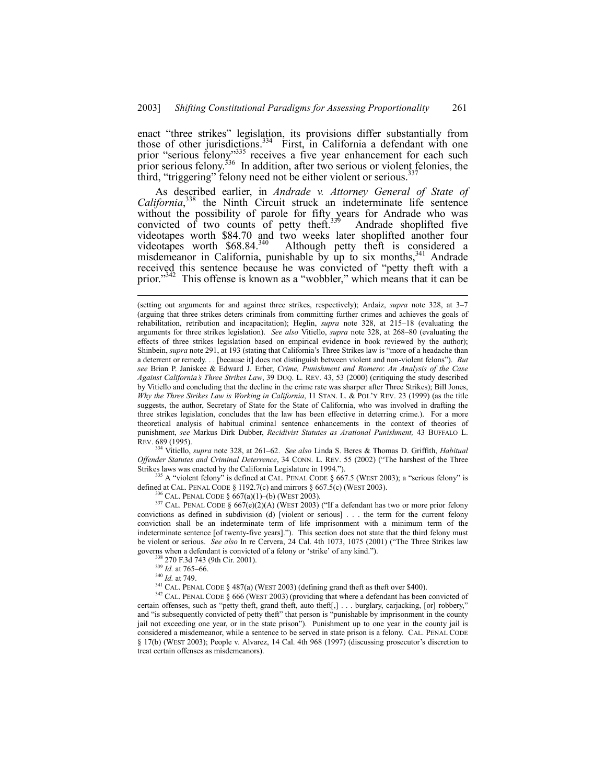enact "three strikes" legislation, its provisions differ substantially from those of other jurisdictions.<sup>334</sup> First, in California a defendant with one prior "serious felony"<sup>335</sup> receives a five year enhancement for each such prior serious felony.<sup>336</sup> In addition, after two serious or violent felonies, the third, "triggering" felony need not be either violent or serious.<sup>337</sup>

As described earlier, in *Andrade v. Attorney General of State of* California,<sup>338</sup> the Ninth Circuit struck an indeterminate life sentence without the possibility of parole for fifty years for Andrade who was convicted of two counts of petty theft. $339$  Andrade shoplifted five videotapes worth \$84.70 and two weeks later shoplifted another four videotapes worth \$68.84.<sup>340</sup> Although petty theft is considered a videotapes worth  $$68.84<sup>340</sup>$  Although petty theft is considered a misdemeanor in California, punishable by up to six months,<sup>341</sup> Andrade received this sentence because he was convicted of "petty theft with a prior.<sup>3342</sup> This offense is known as a "wobbler," which means that it can be

<sup>334</sup> Vitiello, *supra* note 328, at 261-62. *See also* Linda S. Beres & Thomas D. Griffith, *Habitual Offender Statutes and Criminal Deterrence*, 34 CONN. L. REV. 55 (2002) ("The harshest of the Three Strikes laws was enacted by the California Legislature in 1994.").

 $335$  A "violent felony" is defined at CAL. PENAL CODE § 667.5 (WEST 2003); a "serious felony" is defined at CAL. PENAL CODE  $\S$  1192.7(c) and mirrors  $\S$  667.5(c) (WEST 2003).

 $6$  Cal. Penal Code § 667(a)(1)–(b) (West 2003).

<sup>337</sup> CAL. PENAL CODE §  $667\text{e})\text{O}(2)$ (A) (WEST 2003) ("If a defendant has two or more prior felony convictions as defined in subdivision (d) [violent or serious] . . . the term for the current felony conviction shall be an indeterminate term of life imprisonment with a minimum term of the indeterminate sentence [of twenty-five years]."). This section does not state that the third felony must be violent or serious. *See also* In re Cervera, 24 Cal. 4th 1073, 1075 (2001) ("The Three Strikes law governs when a defendant is convicted of a felony or 'strike' of any kind.").

270 F.3d 743 (9th Cir. 2001).

<sup>340</sup> *Id.* at 749.

341 CAL. PENAL CODE ß 487(a) (WEST 2003) (defining grand theft as theft over \$400).

<sup>342</sup> CAL. PENAL CODE § 666 (WEST 2003) (providing that where a defendant has been convicted of certain offenses, such as "petty theft, grand theft, auto theft[,] . . . burglary, carjacking, [or] robbery," and "is subsequently convicted of petty theft" that person is "punishable by imprisonment in the county jail not exceeding one year, or in the state prisonî). Punishment up to one year in the county jail is considered a misdemeanor, while a sentence to be served in state prison is a felony. CAL. PENAL CODE § 17(b) (WEST 2003); People v. Alvarez, 14 Cal. 4th 968 (1997) (discussing prosecutor's discretion to treat certain offenses as misdemeanors).

<sup>(</sup>setting out arguments for and against three strikes, respectively); Ardaiz, *supra* note 328, at 3-7 (arguing that three strikes deters criminals from committing further crimes and achieves the goals of rehabilitation, retribution and incapacitation); Heglin, *supra* note 328, at 215-18 (evaluating the arguments for three strikes legislation). *See also* Vitiello, *supra* note 328, at 268–80 (evaluating the effects of three strikes legislation based on empirical evidence in book reviewed by the author); Shinbein, *supra* note 291, at 193 (stating that California's Three Strikes law is "more of a headache than a deterrent or remedy. . . [because it] does not distinguish between violent and non-violent felonsî). *But see* Brian P. Janiskee & Edward J. Erher, *Crime, Punishment and Romero*: *An Analysis of the Case Against Californiaís Three Strikes Law*, 39 DUQ. L. REV. 43, 53 (2000) (critiquing the study described by Vitiello and concluding that the decline in the crime rate was sharper after Three Strikes); Bill Jones, *Why the Three Strikes Law is Working in California*, 11 STAN. L. & POL'Y REV. 23 (1999) (as the title suggests, the author, Secretary of State for the State of California, who was involved in drafting the three strikes legislation, concludes that the law has been effective in deterring crime.). For a more theoretical analysis of habitual criminal sentence enhancements in the context of theories of punishment, *see* Markus Dirk Dubber, *Recidivist Statutes as Arational Punishment,* 43 BUFFALO L. REV. 689 (1995).

 $\frac{339}{Id}$ . at 765–66.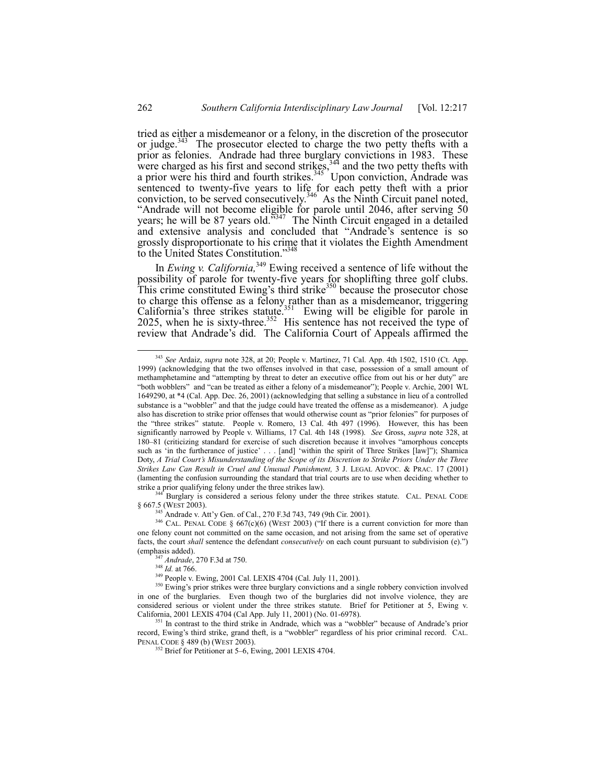tried as either a misdemeanor or a felony, in the discretion of the prosecutor or judge.<sup>343</sup> The prosecutor elected to charge the two petty thefts with a prior as felonies. Andrade had three burglary convictions in 1983. These were charged as his first and second strikes,  $344$  and the two petty thefts with a prior were his third and fourth strikes. $345$  Upon conviction, Andrade was sentenced to twenty-five years to life for each petty theft with a prior conviction, to be served consecutively.<sup>346</sup> As the Ninth Circuit panel noted, Andrade will not become eligible for parole until 2046, after serving 50 years; he will be 87 years old.<sup> $5347$ </sup> The Ninth Circuit engaged in a detailed and extensive analysis and concluded that "Andrade's sentence is so grossly disproportionate to his crime that it violates the Eighth Amendment to the United States Constitution."34

In *Ewing v. California*,<sup>349</sup> Ewing received a sentence of life without the possibility of parole for twenty-five years for shoplifting three golf clubs. This crime constituted Ewing's third strike $350$  because the prosecutor chose to charge this offense as a felony rather than as a misdemeanor, triggering California's three strikes statute.<sup>351</sup> Ewing will be eligible for parole in 2025, when he is sixty-three.<sup>352</sup> His sentence has not received the type of review that Andrade's did. The California Court of Appeals affirmed the

Burglary is considered a serious felony under the three strikes statute. CAL. PENAL CODE § 667.5 (WEST 2003).

<sup>345</sup> Andrade v. Att'y Gen. of Cal., 270 F.3d 743, 749 (9th Cir. 2001).

 $346$  CAL. PENAL CODE § 667(c)(6) (WEST 2003) ("If there is a current conviction for more than one felony count not committed on the same occasion, and not arising from the same set of operative facts, the court *shall* sentence the defendant *consecutively* on each count pursuant to subdivision (e).<sup>"</sup>) (emphasis added).

<sup>347</sup> *Andrade*, 270 F.3d at 750.

<sup>348</sup> *Id.* at 766.

<sup>349</sup> People v. Ewing, 2001 Cal. LEXIS 4704 (Cal. July 11, 2001).

<sup>350</sup> Ewing's prior strikes were three burglary convictions and a single robbery conviction involved in one of the burglaries. Even though two of the burglaries did not involve violence, they are considered serious or violent under the three strikes statute. Brief for Petitioner at 5, Ewing v. California, 2001 LEXIS 4704 (Cal App. July 11, 2001) (No. 01-6978).

<sup>351</sup> In contrast to the third strike in Andrade, which was a "wobbler" because of Andrade's prior record, Ewing's third strike, grand theft, is a "wobbler" regardless of his prior criminal record. CAL. PENAL CODE ß 489 (b) (WEST 2003).

 $352$  Brief for Petitioner at 5–6, Ewing, 2001 LEXIS 4704.

 <sup>343</sup> *See* Ardaiz, *supra* note 328, at 20; People v. Martinez, 71 Cal. App. 4th 1502, 1510 (Ct. App. 1999) (acknowledging that the two offenses involved in that case, possession of a small amount of methamphetamine and "attempting by threat to deter an executive office from out his or her duty" are "both wobblers" and "can be treated as either a felony of a misdemeanor"); People v. Archie, 2001 WL 1649290, at \*4 (Cal. App. Dec. 26, 2001) (acknowledging that selling a substance in lieu of a controlled substance is a "wobbler" and that the judge could have treated the offense as a misdemeanor). A judge also has discretion to strike prior offenses that would otherwise count as "prior felonies" for purposes of the "three strikes" statute. People v. Romero, 13 Cal. 4th 497 (1996). However, this has been significantly narrowed by People v. Williams, 17 Cal. 4th 148 (1998). *See* Gross, *supra* note 328, at 180–81 (criticizing standard for exercise of such discretion because it involves "amorphous concepts such as 'in the furtherance of justice' . . . [and] 'within the spirit of Three Strikes [law]"); Shamica Doty, *A Trial Court's Misunderstanding of the Scope of its Discretion to Strike Priors Under the Three Strikes Law Can Result in Cruel and Unusual Punishment,* 3 J. LEGAL ADVOC. & PRAC. 17 (2001) (lamenting the confusion surrounding the standard that trial courts are to use when deciding whether to strike a prior qualifying felony under the three strikes law).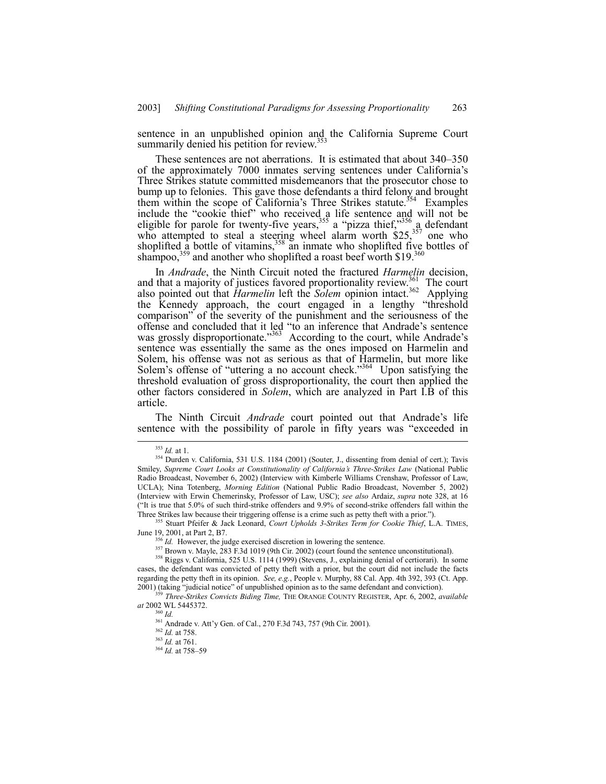sentence in an unpublished opinion and the California Supreme Court summarily denied his petition for review.<sup>35</sup>

These sentences are not aberrations. It is estimated that about 340–350 of the approximately 7000 inmates serving sentences under Californiaís Three Strikes statute committed misdemeanors that the prosecutor chose to bump up to felonies. This gave those defendants a third felony and brought them within the scope of California's Three Strikes statute.<sup>354</sup> Examples include the "cookie thief" who received a life sentence and will not be eligible for parole for twenty-five years,  $355$  a "pizza thief," $356$  a defendant who attempted to steal a steering wheel alarm worth  $$25<sub>3</sub>^{357}$  one who shoplifted a bottle of vitamins,  $358$  an inmate who shoplifted five bottles of shampoo,<sup>359</sup> and another who shoplifted a roast beef worth \$19. $360$ 

In *Andrade*, the Ninth Circuit noted the fractured *Harmelin* decision, and that a majority of justices favored proportionality review.<sup>361</sup> The court also pointed out that *Harmelin* left the *Solem* opinion intact.<sup>362</sup> Applying the Kennedy approach, the court engaged in a lengthy "threshold" comparison" of the severity of the punishment and the seriousness of the offense and concluded that it led "to an inference that Andrade's sentence was grossly disproportionate.<sup>3363</sup> According to the court, while Andrade's sentence was essentially the same as the ones imposed on Harmelin and Solem, his offense was not as serious as that of Harmelin, but more like Solem's offense of "uttering a no account check." $364$  Upon satisfying the threshold evaluation of gross disproportionality, the court then applied the other factors considered in *Solem*, which are analyzed in Part I.B of this article.

The Ninth Circuit *Andrade* court pointed out that Andrade's life sentence with the possibility of parole in fifty years was "exceeded in

 <sup>353</sup> *Id.* at 1.

<sup>&</sup>lt;sup>354</sup> Durden v. California, 531 U.S. 1184 (2001) (Souter, J., dissenting from denial of cert.); Tavis Smiley, *Supreme Court Looks at Constitutionality of Californiaís Three-Strikes Law* (National Public Radio Broadcast, November 6, 2002) (Interview with Kimberle Williams Crenshaw, Professor of Law, UCLA); Nina Totenberg, *Morning Edition* (National Public Radio Broadcast, November 5, 2002) (Interview with Erwin Chemerinsky, Professor of Law, USC); *see also* Ardaiz, *supra* note 328, at 16 (ìIt is true that 5.0% of such third-strike offenders and 9.9% of second-strike offenders fall within the Three Strikes law because their triggering offense is a crime such as petty theft with a prior.").

<sup>355</sup> Stuart Pfeifer & Jack Leonard, *Court Upholds 3-Strikes Term for Cookie Thief*, L.A. TIMES, June 19, 2001, at Part 2, B7.

<sup>&</sup>lt;sup>356</sup> *Id.* However, the judge exercised discretion in lowering the sentence.

<sup>&</sup>lt;sup>357</sup> Brown v. Mayle, 283 F.3d 1019 (9th Cir. 2002) (court found the sentence unconstitutional).

<sup>358</sup> Riggs v. California, 525 U.S. 1114 (1999) (Stevens, J., explaining denial of certiorari). In some cases, the defendant was convicted of petty theft with a prior, but the court did not include the facts regarding the petty theft in its opinion. *See, e.g.*, People v. Murphy, 88 Cal. App. 4th 392, 393 (Ct. App. 2001) (taking "judicial notice" of unpublished opinion as to the same defendant and conviction).

<sup>359</sup> *Three-Strikes Convicts Biding Time,* THE ORANGE COUNTY REGISTER, Apr. 6, 2002, *available at* 2002 WL 5445372.

<sup>360</sup> *Id.*

<sup>&</sup>lt;sup>361</sup> Andrade v. Att'y Gen. of Cal., 270 F.3d 743, 757 (9th Cir. 2001).

<sup>362</sup> *Id.* at 758.

<sup>363</sup> *Id.* at 761.

<sup>&</sup>lt;sup>364</sup> *Id.* at 758-59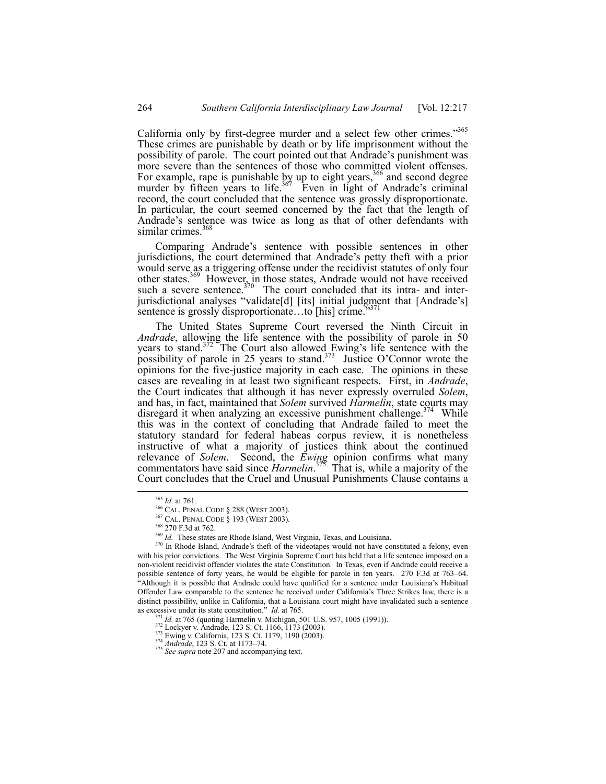California only by first-degree murder and a select few other crimes.<sup>3565</sup> These crimes are punishable by death or by life imprisonment without the possibility of parole. The court pointed out that Andrade's punishment was more severe than the sentences of those who committed violent offenses. For example, rape is punishable by up to eight years,<sup>366</sup> and second degree murder by fifteen years to life.<sup>367</sup> Even in light of Andrade's criminal record, the court concluded that the sentence was grossly disproportionate. In particular, the court seemed concerned by the fact that the length of Andrade's sentence was twice as long as that of other defendants with similar crimes. $36$ 

Comparing Andrade's sentence with possible sentences in other jurisdictions, the court determined that Andrade's petty theft with a prior would serve as a triggering offense under the recidivist statutes of only four other states.<sup>369</sup> However, in those states, Andrade would not have received such a severe sentence. $370$  The court concluded that its intra- and interjurisdictional analyses "validate[d] [its] initial judgment that [Andrade's] sentence is grossly disproportionate...to [his] crime.<sup>5371</sup>

The United States Supreme Court reversed the Ninth Circuit in *Andrade*, allowing the life sentence with the possibility of parole in 50 years to stand.<sup>372</sup> The Court also allowed Ewing's life sentence with the possibility of parole in 25 years to stand.<sup>373</sup> Justice O'Connor wrote the opinions for the five-justice majority in each case. The opinions in these cases are revealing in at least two significant respects. First, in *Andrade*, and has, in fact, maintained that *Solem* survived *Harmelin*, state courts may disregard it when analyzing an excessive punishment challenge.<sup>374</sup> While this was in the context of concluding that Andrade failed to meet the statutory standard for federal habeas corpus review, it is nonetheless instructive of what a majority of justices think about the continued relevance of *Solem*. Second, the *Ewing* opinion confirms what many commentators have said since *Harmelin*. 375 That is, while a majority of the Court concludes that the Cruel and Unusual Punishments Clause contains a

 <sup>365</sup> *Id.* at 761.

<sup>366</sup> CAL. PENAL CODE ß 288 (WEST 2003).

<sup>367</sup> CAL. PENAL CODE ß 193 (WEST 2003).

<sup>368 270</sup> F.3d at 762.

<sup>&</sup>lt;sup>369</sup> Id. These states are Rhode Island, West Virginia, Texas, and Louisiana.

<sup>&</sup>lt;sup>370</sup> In Rhode Island, Andrade's theft of the videotapes would not have constituted a felony, even with his prior convictions. The West Virginia Supreme Court has held that a life sentence imposed on a non-violent recidivist offender violates the state Constitution. In Texas, even if Andrade could receive a possible sentence of forty years, he would be eligible for parole in ten years. 270 F.3d at 763–64. ìAlthough it is possible that Andrade could have qualified for a sentence under Louisianaís Habitual Offender Law comparable to the sentence he received under Californiaís Three Strikes law, there is a distinct possibility, unlike in California, that a Louisiana court might have invalidated such a sentence as excessive under its state constitution.î *Id.* at 765.

<sup>&</sup>lt;sup>371</sup> *Id.* at 765 (quoting Harmelin v. Michigan, 501 U.S. 957, 1005 (1991)).<br><sup>372</sup> Lockyer v. Andrade, 123 S. Ct. 1166, 1173 (2003).<br><sup>373</sup> Ewing v. California, 123 S. Ct. 1179, 1190 (2003).<br><sup>374</sup> Andrade, 123 S. Ct. at 1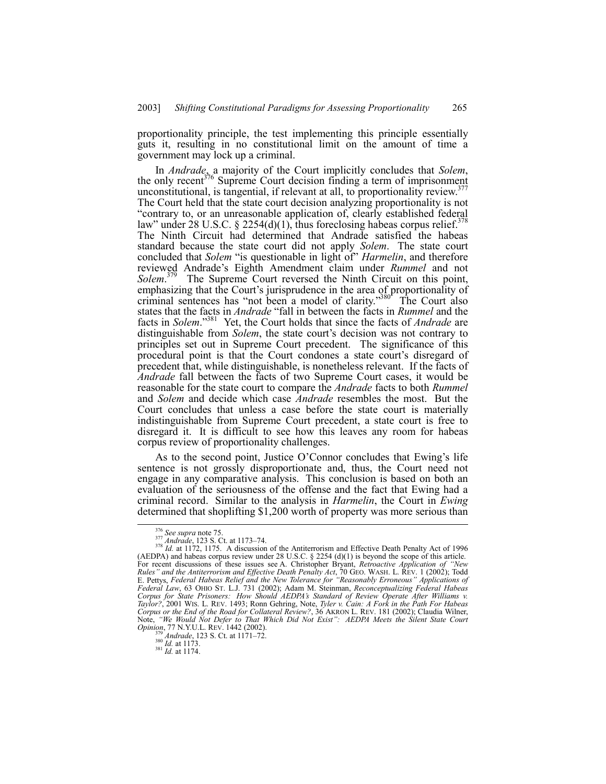proportionality principle, the test implementing this principle essentially guts it, resulting in no constitutional limit on the amount of time a government may lock up a criminal.

In *Andrade*, a majority of the Court implicitly concludes that *Solem*, the only recent<sup>376</sup> Supreme Court decision finding a term of imprisonment unconstitutional, is tangential, if relevant at all, to proportionality review.<sup>377</sup> The Court held that the state court decision analyzing proportionality is not "contrary to, or an unreasonable application of, clearly established federal law" under 28 U.S.C. § 2254(d)(1), thus foreclosing habeas corpus relief.<sup>378</sup> The Ninth Circuit had determined that Andrade satisfied the habeas standard because the state court did not apply *Solem*. The state court concluded that *Solem* "is questionable in light of" *Harmelin*, and therefore reviewed Andrade's Eighth Amendment claim under *Rummel* and not *Solem*. The Supreme Court reversed the Ninth Circuit on this point, emphasizing that the Court's jurisprudence in the area of proportionality of criminal sentences has "not been a model of clarity."<sup>380</sup> The Court also states that the facts in *Andrade* "fall in between the facts in *Rummel* and the facts in *Solem*.<sup>381</sup> Yet, the Court holds that since the facts of *Andrade* are distinguishable from *Solem*, the state court's decision was not contrary to principles set out in Supreme Court precedent. The significance of this procedural point is that the Court condones a state court's disregard of precedent that, while distinguishable, is nonetheless relevant. If the facts of *Andrade* fall between the facts of two Supreme Court cases, it would be reasonable for the state court to compare the *Andrade* facts to both *Rummel* and *Solem* and decide which case *Andrade* resembles the most. But the Court concludes that unless a case before the state court is materially indistinguishable from Supreme Court precedent, a state court is free to disregard it. It is difficult to see how this leaves any room for habeas corpus review of proportionality challenges.

As to the second point, Justice O'Connor concludes that Ewing's life sentence is not grossly disproportionate and, thus, the Court need not engage in any comparative analysis. This conclusion is based on both an evaluation of the seriousness of the offense and the fact that Ewing had a criminal record. Similar to the analysis in *Harmelin*, the Court in *Ewing* determined that shoplifting \$1,200 worth of property was more serious than

<sup>376</sup> *See supra* note 75.<br><sup>377</sup> *Andrade*, 123 S. Ct. at 1173–74.<br><sup>378</sup> *Id.* at 1172, 1175. A discussion of the Antiterrorism and Effective Death Penalty Act of 1996<br>378 *Id.* at 1172, 1175. A discussion of the Antiterrori (AEDPA) and habeas corpus review under 28 U.S.C.  $\S$  2254 (d)(1) is beyond the scope of this article. For recent discussions of these issues see A. Christopher Bryant, *Retroactive Application of "New*<br>*Rules" and the Antiterrorism and Effective Death Penalty Act*, 70 GEO. WASH. L. REV. 1 (2002); Todd E. Pettys, *Federal Habeas Relief and the New Tolerance for "Reasonably Erroneous" Applications of Federal Law*, 63 OHIO ST. L.J. 731 (2002); Adam M. Steinman, *Reconceptualizing Federal Habeas Corpus for State Prisoners: How Should AEDPAís Standard of Review Operate After Williams v. Taylor?*, 2001 WIS. L. REV. 1493; Ronn Gehring, Note, *Tyler v. Cain: A Fork in the Path For Habeas* Corpus or the End of the Road for Collateral Review?, 36 AKRON L. REV. 181 (2002); Claudia Wilner,<br>Note, *"We Would Not Defer to That Which Did Not Exist": AEDPA Meets the Silent State Court Opinion*, 77 N.Y.U.L. REV. 1442 (2002).<br><sup>379</sup> *Andrade*, 123 S. Ct. at 1171–72.<br><sup>380</sup> *Id.* at 1173.<br>*11.* at 1174.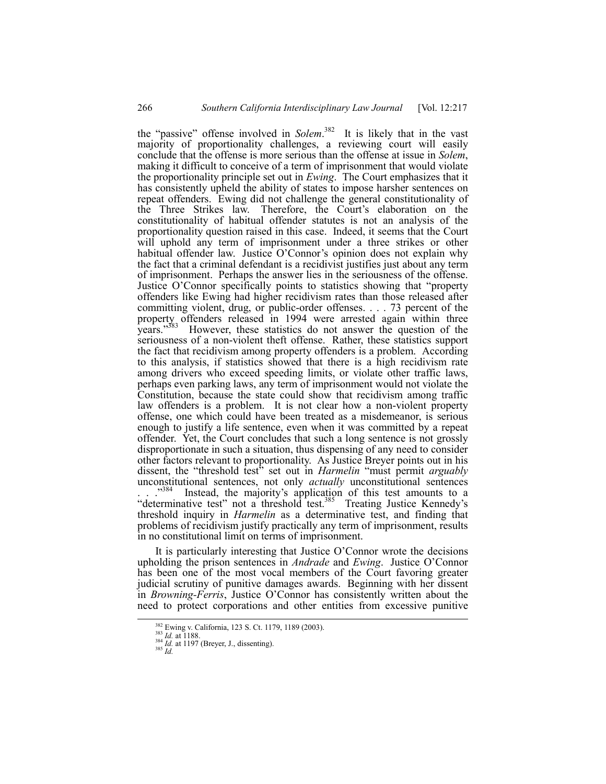the "passive" offense involved in *Solem*.<sup>382</sup> It is likely that in the vast majority of proportionality challenges, a reviewing court will easily conclude that the offense is more serious than the offense at issue in *Solem*, making it difficult to conceive of a term of imprisonment that would violate the proportionality principle set out in *Ewing*. The Court emphasizes that it has consistently upheld the ability of states to impose harsher sentences on repeat offenders. Ewing did not challenge the general constitutionality of the Three Strikes law. Therefore, the Court's elaboration on the constitutionality of habitual offender statutes is not an analysis of the proportionality question raised in this case. Indeed, it seems that the Court will uphold any term of imprisonment under a three strikes or other habitual offender law. Justice O'Connor's opinion does not explain why the fact that a criminal defendant is a recidivist justifies just about any term of imprisonment. Perhaps the answer lies in the seriousness of the offense. Justice O'Connor specifically points to statistics showing that "property offenders like Ewing had higher recidivism rates than those released after committing violent, drug, or public-order offenses. . . . 73 percent of the property offenders released in 1994 were arrested again within three years."<sup>383</sup> However, these statistics do not answer the question of the seriousness of a non-violent theft offense. Rather, these statistics support the fact that recidivism among property offenders is a problem. According to this analysis, if statistics showed that there is a high recidivism rate among drivers who exceed speeding limits, or violate other traffic laws, perhaps even parking laws, any term of imprisonment would not violate the Constitution, because the state could show that recidivism among traffic law offenders is a problem. It is not clear how a non-violent property offense, one which could have been treated as a misdemeanor, is serious enough to justify a life sentence, even when it was committed by a repeat offender. Yet, the Court concludes that such a long sentence is not grossly disproportionate in such a situation, thus dispensing of any need to consider other factors relevant to proportionality. As Justice Breyer points out in his dissent, the "threshold test<sup>5</sup>" set out in *Harmelin* "must permit *arguably* unconstitutional sentences, not only *actually* unconstitutional sentences . . .<sup>384</sup> Instead, the majority's application of this test amounts to a "determinative test" not a threshold test.<sup>385</sup> Treating Justice Kennedy's threshold inquiry in *Harmelin* as a determinative test, and finding that problems of recidivism justify practically any term of imprisonment, results in no constitutional limit on terms of imprisonment.

It is particularly interesting that Justice  $O^{\prime}$ Connor wrote the decisions upholding the prison sentences in *Andrade* and *Ewing*. Justice O'Connor has been one of the most vocal members of the Court favoring greater judicial scrutiny of punitive damages awards. Beginning with her dissent in *Browning-Ferris*, Justice O'Connor has consistently written about the need to protect corporations and other entities from excessive punitive

<sup>&</sup>lt;sup>382</sup> Ewing v. California, 123 S. Ct. 1179, 1189 (2003).<br><sup>383</sup> *Id.* at 1188.<br><sup>384</sup> *Id.* at 1197 (Breyer, J., dissenting).<br><sup>385</sup> *Id.*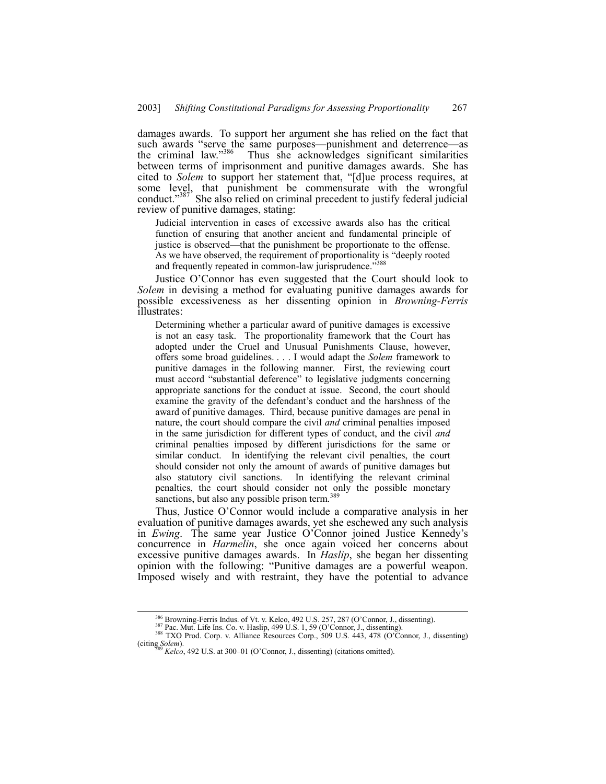damages awards. To support her argument she has relied on the fact that such awards "serve the same purposes—punishment and deterrence—as the criminal law."<sup>386</sup> Thus she acknowledges significant similarities between terms of imprisonment and punitive damages awards. She has cited to *Solem* to support her statement that, "[d]ue process requires, at some level, that punishment be commensurate with the wrongful conduct.<sup> $387$ </sup> She also relied on criminal precedent to justify federal judicial review of punitive damages, stating:

Judicial intervention in cases of excessive awards also has the critical function of ensuring that another ancient and fundamental principle of justice is observed—that the punishment be proportionate to the offense. As we have observed, the requirement of proportionality is "deeply rooted and frequently repeated in common-law jurisprudence.<sup>7588</sup>

Justice O'Connor has even suggested that the Court should look to *Solem* in devising a method for evaluating punitive damages awards for possible excessiveness as her dissenting opinion in *Browning-Ferris* illustrates:

Determining whether a particular award of punitive damages is excessive is not an easy task. The proportionality framework that the Court has adopted under the Cruel and Unusual Punishments Clause, however, offers some broad guidelines. . . . I would adapt the *Solem* framework to punitive damages in the following manner. First, the reviewing court must accord "substantial deference" to legislative judgments concerning appropriate sanctions for the conduct at issue. Second, the court should examine the gravity of the defendant's conduct and the harshness of the award of punitive damages. Third, because punitive damages are penal in nature, the court should compare the civil *and* criminal penalties imposed in the same jurisdiction for different types of conduct, and the civil *and* criminal penalties imposed by different jurisdictions for the same or similar conduct. In identifying the relevant civil penalties, the court should consider not only the amount of awards of punitive damages but also statutory civil sanctions. In identifying the relevant criminal penalties, the court should consider not only the possible monetary sanctions, but also any possible prison term.<sup>3</sup>

Thus, Justice O'Connor would include a comparative analysis in her evaluation of punitive damages awards, yet she eschewed any such analysis in *Ewing*. The same year Justice O'Connor joined Justice Kennedy's concurrence in *Harmelin*, she once again voiced her concerns about excessive punitive damages awards. In *Haslip*, she began her dissenting opinion with the following: "Punitive damages are a powerful weapon. Imposed wisely and with restraint, they have the potential to advance

<sup>&</sup>lt;sup>386</sup> Browning-Ferris Indus. of Vt. v. Kelco, 492 U.S. 257, 287 (O'Connor, J., dissenting).<br><sup>387</sup> Pac. Mut. Life Ins. Co. v. Haslip, 499 U.S. 1, 59 (O'Connor, J., dissenting).<br><sup>388</sup> TXO Prod. Corp. v. Alliance Resources C

*Kelco*, 492 U.S. at 300–01 (O'Connor, J., dissenting) (citations omitted).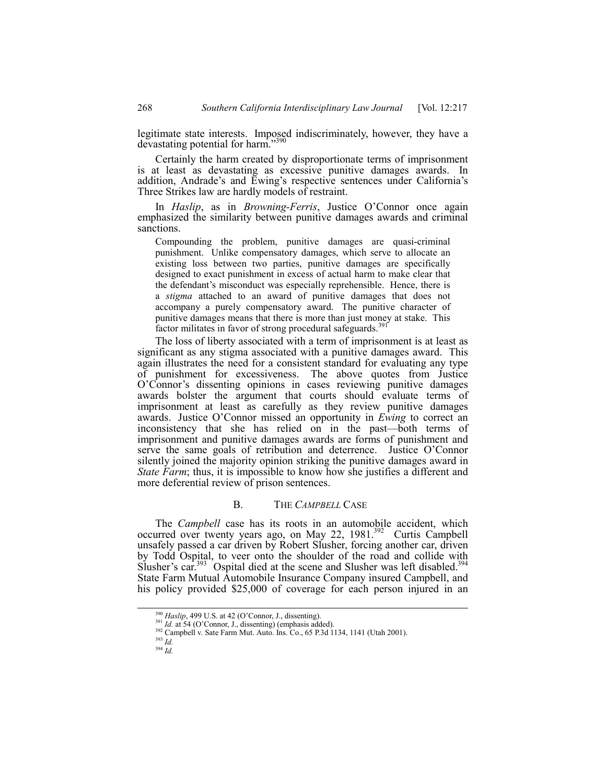legitimate state interests. Imposed indiscriminately, however, they have a devastating potential for harm.<sup>739</sup>

Certainly the harm created by disproportionate terms of imprisonment is at least as devastating as excessive punitive damages awards. In addition, Andrade's and Ewing's respective sentences under California's Three Strikes law are hardly models of restraint.

In *Haslip*, as in *Browning-Ferris*, Justice O'Connor once again emphasized the similarity between punitive damages awards and criminal sanctions.

Compounding the problem, punitive damages are quasi-criminal punishment. Unlike compensatory damages, which serve to allocate an existing loss between two parties, punitive damages are specifically designed to exact punishment in excess of actual harm to make clear that the defendant's misconduct was especially reprehensible. Hence, there is a *stigma* attached to an award of punitive damages that does not accompany a purely compensatory award. The punitive character of punitive damages means that there is more than just money at stake. This factor militates in favor of strong procedural safeguards.<sup>391</sup>

The loss of liberty associated with a term of imprisonment is at least as significant as any stigma associated with a punitive damages award. This again illustrates the need for a consistent standard for evaluating any type of punishment for excessiveness. The above quotes from Justice O'Connor's dissenting opinions in cases reviewing punitive damages awards bolster the argument that courts should evaluate terms of imprisonment at least as carefully as they review punitive damages awards. Justice O'Connor missed an opportunity in *Ewing* to correct an inconsistency that she has relied on in the past—both terms of imprisonment and punitive damages awards are forms of punishment and serve the same goals of retribution and deterrence. Justice O'Connor silently joined the majority opinion striking the punitive damages award in *State Farm*; thus, it is impossible to know how she justifies a different and more deferential review of prison sentences.

#### B. THE *CAMPBELL* CASE

The *Campbell* case has its roots in an automobile accident, which occurred over twenty years ago, on May 22,  $1981^{392}$  Curtis Campbell unsafely passed a car driven by Robert Slusher, forcing another car, driven by Todd Ospital, to veer onto the shoulder of the road and collide with Slusher's car.<sup>393</sup> Ospital died at the scene and Slusher was left disabled.<sup>394</sup> State Farm Mutual Automobile Insurance Company insured Campbell, and his policy provided \$25,000 of coverage for each person injured in an

<sup>&</sup>lt;sup>390</sup> *Haslip*, 499 U.S. at 42 (O'Connor, J., dissenting).<br><sup>391</sup> *Id.* at 54 (O'Connor, J., dissenting) (emphasis added).<br><sup>392</sup> Campbell v. Sate Farm Mut. Auto. Ins. Co., 65 P.3d 1134, 1141 (Utah 2001).

<sup>393</sup> *Id.*

 $394 \frac{100}{10}$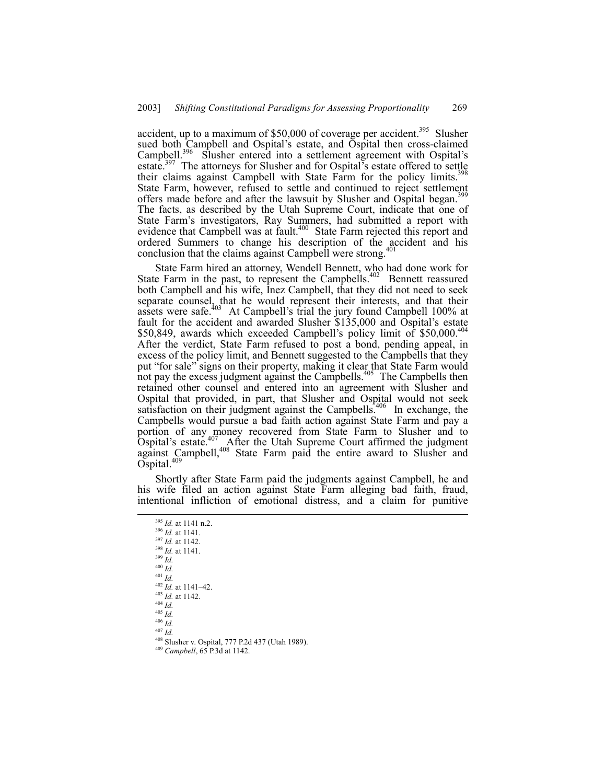accident, up to a maximum of  $$50,000$  of coverage per accident.<sup>395</sup> Slusher sued both Campbell and Ospital's estate, and Ospital then cross-claimed Campbell.<sup>396</sup> Slusher entered into a settlement agreement with Ospital's estate.<sup>397</sup> The attorneys for Slusher and for Ospital's estate offered to settle their claims against Campbell with State Farm for the policy limits.<sup>398</sup> State Farm, however, refused to settle and continued to reject settlement offers made before and after the lawsuit by Slusher and Ospital began.<sup>3</sup> The facts, as described by the Utah Supreme Court, indicate that one of State Farmís investigators, Ray Summers, had submitted a report with evidence that Campbell was at fault.<sup>400</sup> State Farm rejected this report and ordered Summers to change his description of the accident and his conclusion that the claims against Campbell were strong.<sup>4</sup>

State Farm hired an attorney, Wendell Bennett, who had done work for State Farm in the past, to represent the Campbells.<sup>402</sup> Bennett reassured both Campbell and his wife, Inez Campbell, that they did not need to seek separate counsel, that he would represent their interests, and that their assets were safe.<sup>403</sup> At Campbell's trial the jury found Campbell 100% at fault for the accident and awarded Slusher  $$135,000$  and Ospital's estate \$50,849, awards which exceeded Campbell's policy limit of  $$50,000$ .<sup>404</sup> After the verdict, State Farm refused to post a bond, pending appeal, in excess of the policy limit, and Bennett suggested to the Campbells that they put "for sale" signs on their property, making it clear that State Farm would not pay the excess judgment against the Campbells.<sup>405</sup> The Campbells then retained other counsel and entered into an agreement with Slusher and Ospital that provided, in part, that Slusher and Ospital would not seek satisfaction on their judgment against the Campbells.<sup>406</sup> In exchange, the Campbells would pursue a bad faith action against State Farm and pay a portion of any money recovered from State Farm to Slusher and to Ospital's estate.<sup>407</sup> After the Utah Supreme Court affirmed the judgment against Campbell,<sup>408</sup> State Farm paid the entire award to Slusher and  $\tilde{\mathrm{O}}$ spital.<sup>409</sup>

Shortly after State Farm paid the judgments against Campbell, he and his wife filed an action against State Farm alleging bad faith, fraud, intentional infliction of emotional distress, and a claim for punitive

 395 *Id.* at 1141 n.2. <sup>396</sup> *Id.* at 1141. <sup>397</sup> *Id.* at 1142. <sup>398</sup> *Id.* at 1141. <sup>399</sup> *Id.* <sup>400</sup> *Id.* <sup>401</sup> *Id.*  $402$  *Id.* at 1141–42. <sup>403</sup> *Id.* at 1142. <sup>404</sup> *Id.* <sup>405</sup> *Id.* <sup>406</sup> *Id.*  $^{407}$  *Id.* 408 Slusher v. Ospital, 777 P.2d 437 (Utah 1989). <sup>409</sup> *Campbell*, 65 P.3d at 1142.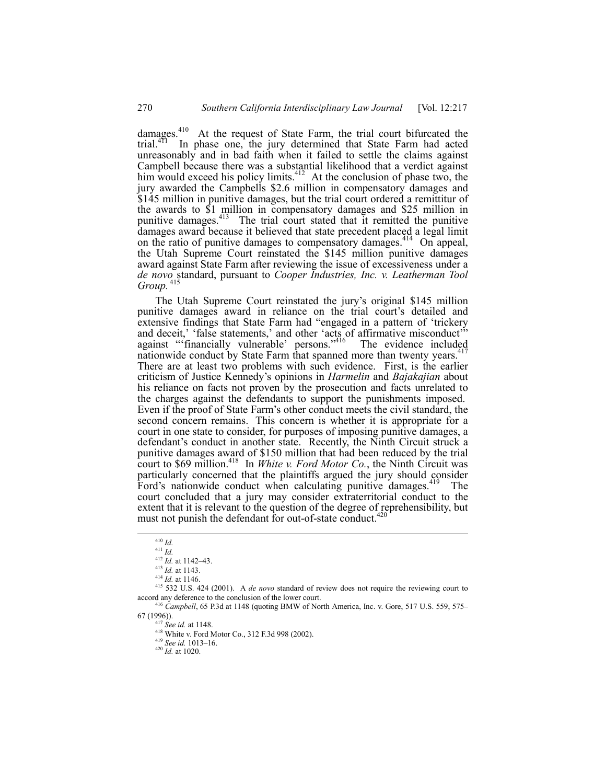damages.<sup>410</sup> At the request of State Farm, the trial court bifurcated the trial.<sup>411</sup> In phase one, the jury determined that State Farm had acted In phase one, the jury determined that State Farm had acted unreasonably and in bad faith when it failed to settle the claims against Campbell because there was a substantial likelihood that a verdict against him would exceed his policy limits.<sup>412</sup> At the conclusion of phase two, the jury awarded the Campbells \$2.6 million in compensatory damages and \$145 million in punitive damages, but the trial court ordered a remittitur of the awards to \$1 million in compensatory damages and \$25 million in punitive damages.<sup>413</sup> The trial court stated that it remitted the punitive damages award because it believed that state precedent placed a legal limit on the ratio of punitive damages to compensatory damages.<sup>414</sup> On appeal, the Utah Supreme Court reinstated the \$145 million punitive damages award against State Farm after reviewing the issue of excessiveness under a *de novo* standard, pursuant to *Cooper Industries, Inc. v. Leatherman Tool Group.*<sup>4</sup>

The Utah Supreme Court reinstated the jury's original \$145 million punitive damages award in reliance on the trial court's detailed and extensive findings that State Farm had "engaged in a pattern of 'trickery and deceit,' 'false statements,' and other 'acts of affirmative misconduct'" against "financially vulnerable' persons."<sup>416</sup> The evidence included nationwide conduct by State Farm that spanned more than twenty years.<sup>417</sup> There are at least two problems with such evidence. First, is the earlier criticism of Justice Kennedyís opinions in *Harmelin* and *Bajakajian* about his reliance on facts not proven by the prosecution and facts unrelated to the charges against the defendants to support the punishments imposed. Even if the proof of State Farmís other conduct meets the civil standard, the second concern remains. This concern is whether it is appropriate for a court in one state to consider, for purposes of imposing punitive damages, a defendant's conduct in another state. Recently, the Ninth Circuit struck a punitive damages award of \$150 million that had been reduced by the trial court to \$69 million.<sup>418</sup> In *White v. Ford Motor Co.*, the Ninth Circuit was particularly concerned that the plaintiffs argued the jury should consider Ford's nationwide conduct when calculating punitive damages.<sup>419</sup> The court concluded that a jury may consider extraterritorial conduct to the extent that it is relevant to the question of the degree of reprehensibility, but must not punish the defendant for out-of-state conduct.

 <sup>410</sup> *Id.*

<sup>411</sup> *Id.*

 $412$  *Id.* at 1142–43.

<sup>413</sup> *Id.* at 1143.

<sup>414</sup> *Id.* at 1146.

<sup>415 532</sup> U.S. 424 (2001). A *de novo* standard of review does not require the reviewing court to accord any deference to the conclusion of the lower court.

<sup>&</sup>lt;sup>416</sup> *Campbell*, 65 P.3d at 1148 (quoting BMW of North America, Inc. v. Gore, 517 U.S. 559, 575– 67 (1996)).

<sup>417</sup> *See id.* at 1148.

<sup>418</sup> White v. Ford Motor Co., 312 F.3d 998 (2002).

<sup>419</sup> *See id.* 1013–16.<br><sup>420</sup> *Id.* at 1020.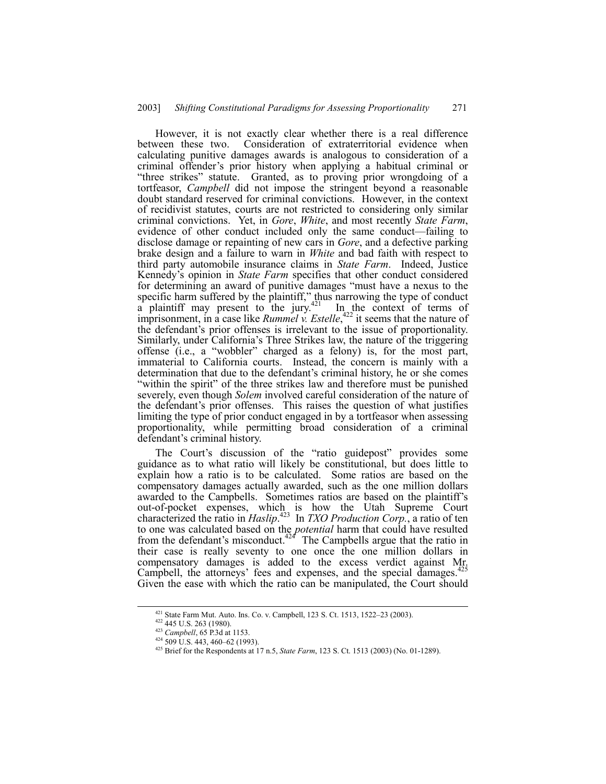However, it is not exactly clear whether there is a real difference between these two. Consideration of extraterritorial evidence when calculating punitive damages awards is analogous to consideration of a criminal offender's prior history when applying a habitual criminal or "three strikes" statute. Granted, as to proving prior wrongdoing of a tortfeasor, *Campbell* did not impose the stringent beyond a reasonable doubt standard reserved for criminal convictions. However, in the context of recidivist statutes, courts are not restricted to considering only similar criminal convictions. Yet, in *Gore*, *White*, and most recently *State Farm*, evidence of other conduct included only the same conduct—failing to disclose damage or repainting of new cars in *Gore*, and a defective parking brake design and a failure to warn in *White* and bad faith with respect to third party automobile insurance claims in *State Farm*. Indeed, Justice Kennedy's opinion in *State Farm* specifies that other conduct considered for determining an award of punitive damages "must have a nexus to the specific harm suffered by the plaintiff," thus narrowing the type of conduct a plaintiff may present to the jury. $421$  In the context of terms of imprisonment, in a case like *Rummel v. Estelle*,<sup>422</sup> it seems that the nature of the defendant's prior offenses is irrelevant to the issue of proportionality. Similarly, under California's Three Strikes law, the nature of the triggering offense (i.e., a "wobbler" charged as a felony) is, for the most part, immaterial to California courts. Instead, the concern is mainly with a determination that due to the defendant's criminal history, he or she comes ìwithin the spiritî of the three strikes law and therefore must be punished severely, even though *Solem* involved careful consideration of the nature of the defendant's prior offenses. This raises the question of what justifies limiting the type of prior conduct engaged in by a tortfeasor when assessing proportionality, while permitting broad consideration of a criminal defendant's criminal history.

The Court's discussion of the "ratio guidepost" provides some guidance as to what ratio will likely be constitutional, but does little to explain how a ratio is to be calculated. Some ratios are based on the compensatory damages actually awarded, such as the one million dollars awarded to the Campbells. Sometimes ratios are based on the plaintiff's out-of-pocket expenses, which is how the Utah Supreme Court characterized the ratio in *Haslip*. 423 In *TXO Production Corp.*, a ratio of ten to one was calculated based on the *potential* harm that could have resulted from the defendant's misconduct.<sup>424</sup> The Campbells argue that the ratio in their case is really seventy to one once the one million dollars in compensatory damages is added to the excess verdict against Mr. Campbell, the attorneys' fees and expenses, and the special damages.<sup>425</sup> Given the ease with which the ratio can be manipulated, the Court should

<sup>&</sup>lt;sup>421</sup> State Farm Mut. Auto. Ins. Co. v. Campbell, 123 S. Ct. 1513, 1522–23 (2003). <sup>422</sup> 445 U.S. 263 (1980).

<sup>423</sup> *Campbell*, 65 P.3d at 1153.

 $424$  509 U.S. 443, 460–62 (1993).

<sup>425</sup> Brief for the Respondents at 17 n.5, *State Farm*, 123 S. Ct. 1513 (2003) (No. 01-1289).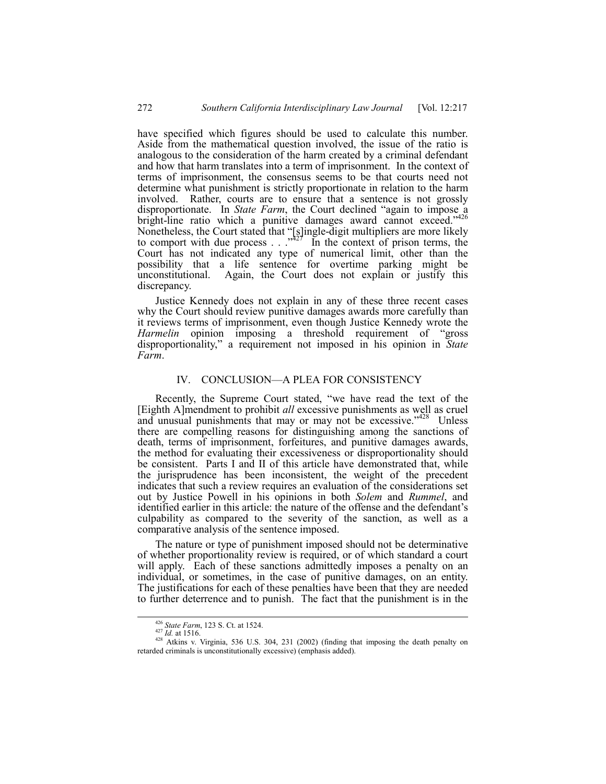have specified which figures should be used to calculate this number. Aside from the mathematical question involved, the issue of the ratio is analogous to the consideration of the harm created by a criminal defendant and how that harm translates into a term of imprisonment. In the context of terms of imprisonment, the consensus seems to be that courts need not determine what punishment is strictly proportionate in relation to the harm involved. Rather, courts are to ensure that a sentence is not grossly disproportionate. In *State Farm*, the Court declined "again to impose a bright-line ratio which a punitive damages award cannot exceed."<sup>426</sup> Nonetheless, the Court stated that "[s]ingle-digit multipliers are more likely to comport with due process  $\ldots$ <sup>227</sup> In the context of prison terms, the Court has not indicated any type of numerical limit, other than the possibility that a life sentence for overtime parking might be unconstitutional. Again, the Court does not explain or justify this discrepancy.

Justice Kennedy does not explain in any of these three recent cases why the Court should review punitive damages awards more carefully than it reviews terms of imprisonment, even though Justice Kennedy wrote the *Harmelin* opinion imposing a threshold requirement of "gross" disproportionality," a requirement not imposed in his opinion in *State Farm*.

## IV. CONCLUSION—A PLEA FOR CONSISTENCY

Recently, the Supreme Court stated, "we have read the text of the [Eighth A]mendment to prohibit *all* excessive punishments as well as cruel and unusual punishments that may or may not be excessive."<sup>428</sup> Unless there are compelling reasons for distinguishing among the sanctions of death, terms of imprisonment, forfeitures, and punitive damages awards, the method for evaluating their excessiveness or disproportionality should be consistent. Parts I and II of this article have demonstrated that, while the jurisprudence has been inconsistent, the weight of the precedent indicates that such a review requires an evaluation of the considerations set out by Justice Powell in his opinions in both *Solem* and *Rummel*, and identified earlier in this article: the nature of the offense and the defendant's culpability as compared to the severity of the sanction, as well as a comparative analysis of the sentence imposed.

The nature or type of punishment imposed should not be determinative of whether proportionality review is required, or of which standard a court will apply. Each of these sanctions admittedly imposes a penalty on an individual, or sometimes, in the case of punitive damages, on an entity. The justifications for each of these penalties have been that they are needed to further deterrence and to punish. The fact that the punishment is in the

<sup>&</sup>lt;sup>426</sup> *State Farm*, 123 S. Ct. at 1524.<br><sup>427</sup> *Id.* at 1516. 428 Atkins v. Virginia, 536 U.S. 304, 231 (2002) (finding that imposing the death penalty on retarded criminals is unconstitutionally excessive) (emphasis added).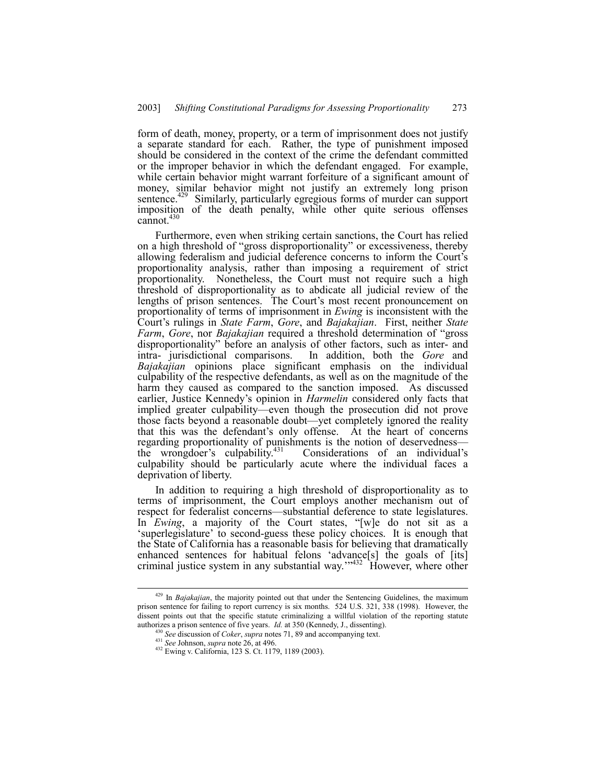form of death, money, property, or a term of imprisonment does not justify a separate standard for each. Rather, the type of punishment imposed should be considered in the context of the crime the defendant committed or the improper behavior in which the defendant engaged. For example, while certain behavior might warrant forfeiture of a significant amount of money, similar behavior might not justify an extremely long prison sentence.<sup>429</sup> Similarly, particularly egregious forms of murder can support imposition of the death penalty, while other quite serious offenses cannot. $4$ 

Furthermore, even when striking certain sanctions, the Court has relied on a high threshold of "gross disproportionality" or excessiveness, thereby allowing federalism and judicial deference concerns to inform the Court's proportionality analysis, rather than imposing a requirement of strict proportionality. Nonetheless, the Court must not require such a high threshold of disproportionality as to abdicate all judicial review of the lengths of prison sentences. The Court's most recent pronouncement on proportionality of terms of imprisonment in *Ewing* is inconsistent with the Court's rulings in *State Farm*, *Gore*, and *Bajakajian*. First, neither *State Farm, Gore, nor Bajakajian* required a threshold determination of "gross" disproportionality" before an analysis of other factors, such as inter- and intra- jurisdictional comparisons. In addition, both the *Gore* and *Bajakajian* opinions place significant emphasis on the individual culpability of the respective defendants, as well as on the magnitude of the harm they caused as compared to the sanction imposed. As discussed earlier, Justice Kennedy's opinion in *Harmelin* considered only facts that implied greater culpability—even though the prosecution did not prove those facts beyond a reasonable doubt—yet completely ignored the reality that this was the defendant's only offense. At the heart of concerns regarding proportionality of punishments is the notion of deservedness—<br>the wrongdoer's culpability.<sup>431</sup> Considerations of an individual's the wrongdoer's culpability. $431$ culpability should be particularly acute where the individual faces a deprivation of liberty.

In addition to requiring a high threshold of disproportionality as to terms of imprisonment, the Court employs another mechanism out of respect for federalist concerns—substantial deference to state legislatures. In *Ewing*, a majority of the Court states, "[w]e do not sit as a 'superlegislature' to second-guess these policy choices. It is enough that the State of California has a reasonable basis for believing that dramatically enhanced sentences for habitual felons 'advance<sup>[s]</sup> the goals of [its] criminal justice system in any substantial way."<sup>432</sup> However, where other

 <sup>429</sup> In *Bajakajian*, the majority pointed out that under the Sentencing Guidelines, the maximum prison sentence for failing to report currency is six months. 524 U.S. 321, 338 (1998). However, the dissent points out that the specific statute criminalizing a willful violation of the reporting statute authorizes a prison sentence of five years. *Id.* at 350 (Kennedy, J., dissenting).

<sup>430</sup> *See* discussion of *Coker*, *supra* notes 71, 89 and accompanying text.

<sup>431</sup> *See* Johnson, *supra* note 26, at 496. 432 Ewing v. California, 123 S. Ct. 1179, 1189 (2003).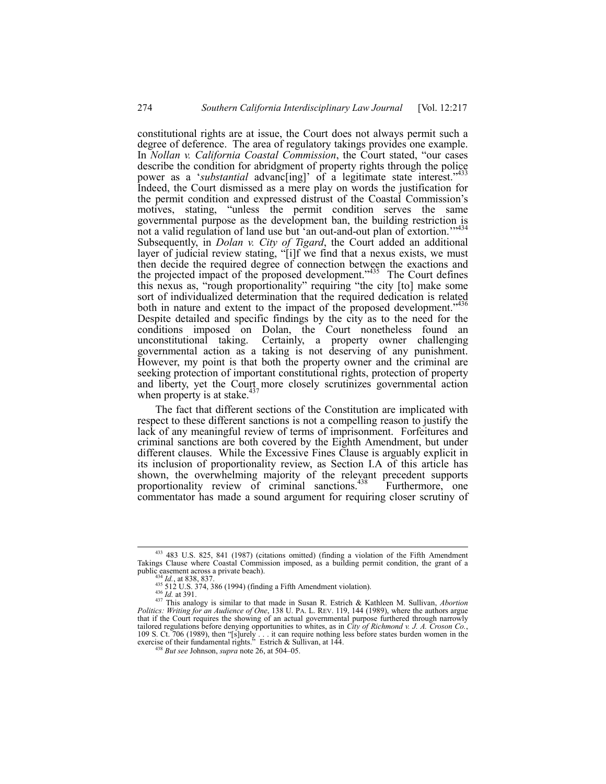constitutional rights are at issue, the Court does not always permit such a degree of deference. The area of regulatory takings provides one example. In *Nollan v. California Coastal Commission*, the Court stated, "our cases" describe the condition for abridgment of property rights through the police power as a 'substantial advanc[ing]' of a legitimate state interest."<sup>433</sup> Indeed, the Court dismissed as a mere play on words the justification for the permit condition and expressed distrust of the Coastal Commission's motives, stating, "unless the permit condition serves the same governmental purpose as the development ban, the building restriction is not a valid regulation of land use but 'an out-and-out plan of extortion." Subsequently, in *Dolan v. City of Tigard*, the Court added an additional layer of judicial review stating, "[i]f we find that a nexus exists, we must then decide the required degree of connection between the exactions and the projected impact of the proposed development.<sup>435</sup> The Court defines this nexus as, "rough proportionality" requiring "the city [to] make some sort of individualized determination that the required dedication is related both in nature and extent to the impact of the proposed development.<sup>3436</sup> Despite detailed and specific findings by the city as to the need for the conditions imposed on Dolan, the Court nonetheless found an unconstitutional taking. Certainly, a property owner challenging governmental action as a taking is not deserving of any punishment. However, my point is that both the property owner and the criminal are seeking protection of important constitutional rights, protection of property and liberty, yet the Court more closely scrutinizes governmental action when property is at stake.<sup>4</sup>

The fact that different sections of the Constitution are implicated with respect to these different sanctions is not a compelling reason to justify the lack of any meaningful review of terms of imprisonment. Forfeitures and criminal sanctions are both covered by the Eighth Amendment, but under different clauses. While the Excessive Fines Clause is arguably explicit in its inclusion of proportionality review, as Section I.A of this article has shown, the overwhelming majority of the relevant precedent supports<br>proportionality review of criminal sanctions.<sup>438</sup> Furthermore, one proportionality review of criminal sanctions. $438$ commentator has made a sound argument for requiring closer scrutiny of

 <sup>433 483</sup> U.S. 825, 841 (1987) (citations omitted) (finding a violation of the Fifth Amendment Takings Clause where Coastal Commission imposed, as a building permit condition, the grant of a public easement across a private beach).

<sup>&</sup>lt;sup>434</sup> *Id.*, at 838, 837.<br><sup>435</sup> 512 U.S. 374, 386 (1994) (finding a Fifth Amendment violation).<br><sup>436</sup> *Id.* at 391.<br><sup>437</sup> This analogy is similar to that made in Susan R. Estrich & Kathleen M. Sullivan, *Abortion Politics: Writing for an Audience of One*, 138 U. PA. L. REV. 119, 144 (1989), where the authors argue that if the Court requires the showing of an actual governmental purpose furthered through narrowly tailored regulations before denying opportunities to whites, as in *City of Richmond v. J. A. Croson Co.*, 109 S. Ct. 706 (1989), then "[s]urely... it can require nothing less before states burden women in the exercise of their fundamental rights." Estrich & Sullivan, at 144.<br><sup>438</sup> *But see Johnson, supra* note 26, at 504–05.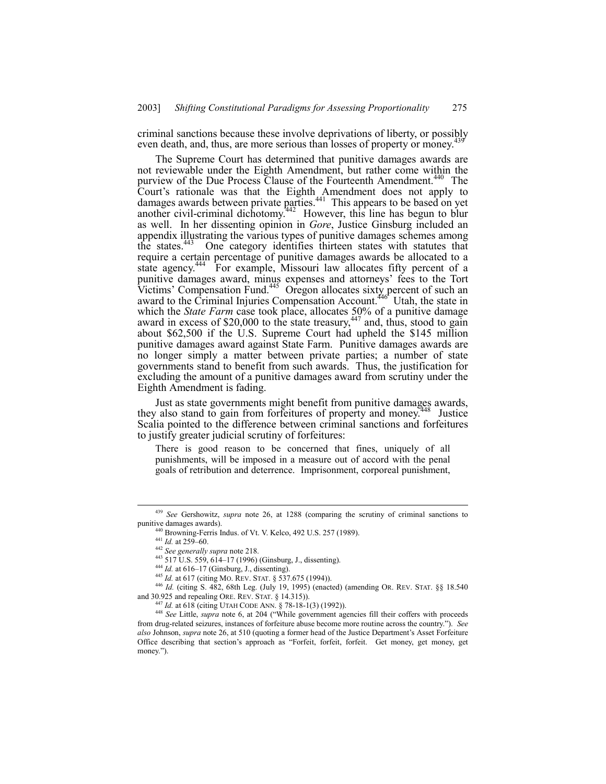criminal sanctions because these involve deprivations of liberty, or possibly even death, and, thus, are more serious than losses of property or money.<sup>4</sup>

The Supreme Court has determined that punitive damages awards are not reviewable under the Eighth Amendment, but rather come within the purview of the Due Process Clause of the Fourteenth Amendment.<sup>440</sup> The Court's rationale was that the Eighth Amendment does not apply to damages awards between private parties.<sup>441</sup> This appears to be based on yet another civil-criminal dichotomy.<sup>442</sup> However, this line has begun to blur as well. In her dissenting opinion in *Gore*, Justice Ginsburg included an appendix illustrating the various types of punitive damages schemes among the states.<sup>443</sup> One category identifies thirteen states with statutes that require a certain percentage of punitive damages awards be allocated to a state agency.<sup>444</sup> For example, Missouri law allocates fifty percent of a punitive damages award, minus expenses and attorneys' fees to the Tort Victims' Compensation Fund. $445$  Oregon allocates sixty percent of such an award to the Criminal Injuries Compensation Account.<sup>446</sup> Utah, the state in which the *State Farm* case took place, allocates 50% of a punitive damage award in excess of \$20,000 to the state treasury, $447$  and, thus, stood to gain about \$62,500 if the U.S. Supreme Court had upheld the \$145 million punitive damages award against State Farm. Punitive damages awards are no longer simply a matter between private parties; a number of state governments stand to benefit from such awards. Thus, the justification for excluding the amount of a punitive damages award from scrutiny under the Eighth Amendment is fading.

Just as state governments might benefit from punitive damages awards, they also stand to gain from forfeitures of property and money.<sup>448</sup> Justice Scalia pointed to the difference between criminal sanctions and forfeitures to justify greater judicial scrutiny of forfeitures:

There is good reason to be concerned that fines, uniquely of all punishments, will be imposed in a measure out of accord with the penal goals of retribution and deterrence. Imprisonment, corporeal punishment,

 <sup>439</sup> *See* Gershowitz, *supra* note 26, at 1288 (comparing the scrutiny of criminal sanctions to punitive damages awards).

Browning-Ferris Indus. of Vt. V. Kelco, 492 U.S. 257 (1989).

 $441$  *Id.* at 259–60.

<sup>442</sup> *See generally supra* note 218.

<sup>443 517</sup> U.S. 559, 614-17 (1996) (Ginsburg, J., dissenting).

<sup>444</sup> *Id.* at 616-17 (Ginsburg, J., dissenting).

<sup>445</sup> *Id.* at 617 (citing MO. REV. STAT. ß 537.675 (1994)).

<sup>446</sup> *Id.* (citing S. 482, 68th Leg. (July 19, 1995) (enacted) (amending OR. REV. STAT. ßß 18.540 and 30.925 and repealing ORE. REV. STAT. ß 14.315)).

<sup>447</sup> *Id.* at 618 (citing UTAH CODE ANN. ß 78-18-1(3) (1992)).

<sup>&</sup>lt;sup>448</sup> See Little, *supra* note 6, at 204 ("While government agencies fill their coffers with proceeds from drug-related seizures, instances of forfeiture abuse become more routine across the country.î). *See* also Johnson, *supra* note 26, at 510 (quoting a former head of the Justice Department's Asset Forfeiture Office describing that section's approach as "Forfeit, forfeit, forfeit. Get money, get money, get money.").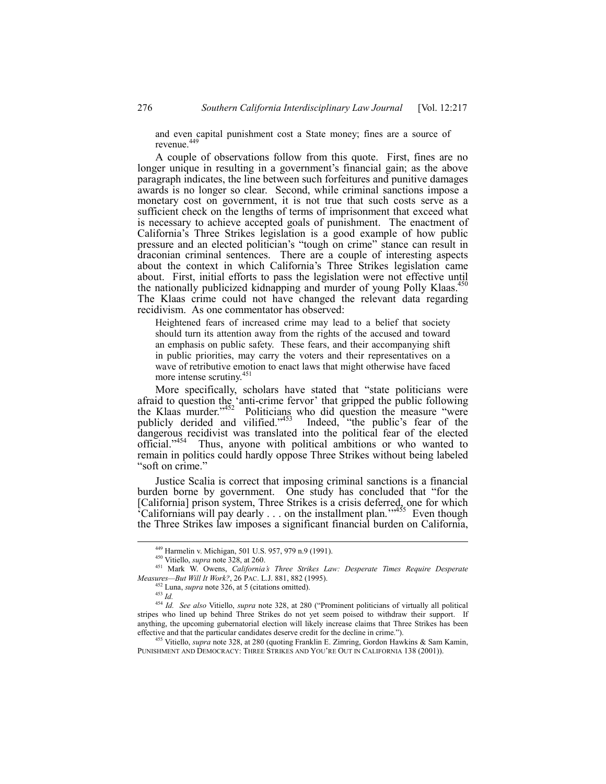and even capital punishment cost a State money; fines are a source of revenue.<sup>449</sup>

A couple of observations follow from this quote. First, fines are no longer unique in resulting in a government's financial gain; as the above paragraph indicates, the line between such forfeitures and punitive damages awards is no longer so clear. Second, while criminal sanctions impose a monetary cost on government, it is not true that such costs serve as a sufficient check on the lengths of terms of imprisonment that exceed what is necessary to achieve accepted goals of punishment. The enactment of Californiaís Three Strikes legislation is a good example of how public pressure and an elected politician's "tough on crime" stance can result in draconian criminal sentences. There are a couple of interesting aspects about the context in which California's Three Strikes legislation came about. First, initial efforts to pass the legislation were not effective until the nationally publicized kidnapping and murder of young Polly Klaas.<sup>450</sup> The Klaas crime could not have changed the relevant data regarding recidivism. As one commentator has observed:

Heightened fears of increased crime may lead to a belief that society should turn its attention away from the rights of the accused and toward an emphasis on public safety. These fears, and their accompanying shift in public priorities, may carry the voters and their representatives on a wave of retributive emotion to enact laws that might otherwise have faced more intense scrutiny.<sup>45</sup>

More specifically, scholars have stated that "state politicians were afraid to question the 'anti-crime fervor' that gripped the public following the Klaas murder. $1452$  Politicians who did question the measure "were publicly derided and vilified.<sup> $453$ </sup> Indeed, <sup>1</sup> the public's fear of the dangerous recidivist was translated into the political fear of the elected official.<sup>7454</sup> Thus, anyone with political ambitions or who wanted to remain in politics could hardly oppose Three Strikes without being labeled "soft on crime."

Justice Scalia is correct that imposing criminal sanctions is a financial burden borne by government. One study has concluded that "for the [California] prison system, Three Strikes is a crisis deferred, one for which  ${}^{\circ}$ Californians will pay dearly . . . on the installment plan.<sup>77455</sup> Even though the Three Strikes law imposes a significant financial burden on California,

 <sup>449</sup> Harmelin v. Michigan, 501 U.S. 957, 979 n.9 (1991).

<sup>450</sup> Vitiello, *supra* note 328, at 260.

<sup>451</sup> Mark W. Owens, *Californiaís Three Strikes Law: Desperate Times Require Desperate Measures-But Will It Work?*, 26 PAC. L.J. 881, 882 (1995).

<sup>452</sup> Luna, *supra* note 326, at 5 (citations omitted).

<sup>453</sup> *Id.*

<sup>&</sup>lt;sup>454</sup> *Id. See also* Vitiello, *supra* note 328, at 280 ("Prominent politicians of virtually all political stripes who lined up behind Three Strikes do not yet seem poised to withdraw their support. If anything, the upcoming gubernatorial election will likely increase claims that Three Strikes has been effective and that the particular candidates deserve credit for the decline in crime.").

<sup>455</sup> Vitiello, *supra* note 328, at 280 (quoting Franklin E. Zimring, Gordon Hawkins & Sam Kamin, PUNISHMENT AND DEMOCRACY: THREE STRIKES AND YOU'RE OUT IN CALIFORNIA 138 (2001)).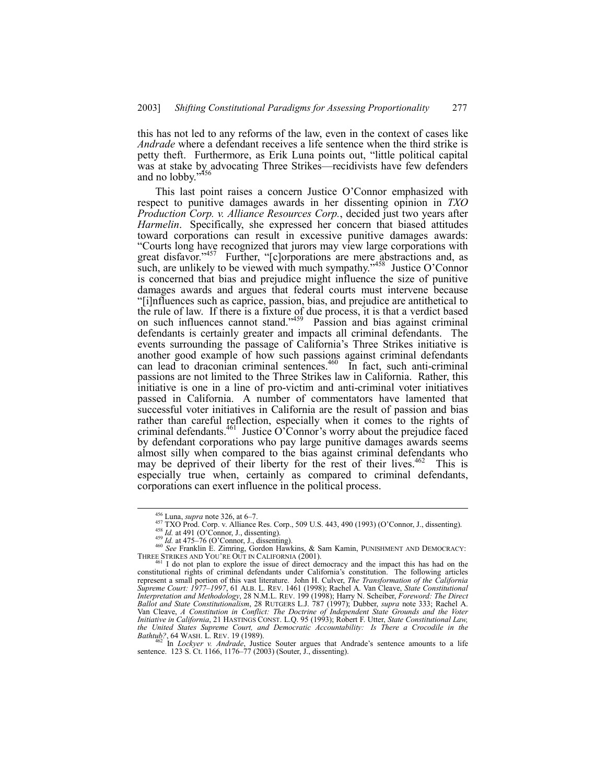this has not led to any reforms of the law, even in the context of cases like *Andrade* where a defendant receives a life sentence when the third strike is petty theft. Furthermore, as Erik Luna points out, "little political capital was at stake by advocating Three Strikes—recidivists have few defenders and no lobby." $456$ 

This last point raises a concern Justice O'Connor emphasized with respect to punitive damages awards in her dissenting opinion in *TXO Production Corp. v. Alliance Resources Corp.*, decided just two years after *Harmelin*. Specifically, she expressed her concern that biased attitudes toward corporations can result in excessive punitive damages awards: ìCourts long have recognized that jurors may view large corporations with great disfavor.<sup> $3457$ </sup> Further, "[c]orporations are mere abstractions and, as such, are unlikely to be viewed with much sympathy."<sup>458</sup> Justice O'Connor is concerned that bias and prejudice might influence the size of punitive damages awards and argues that federal courts must intervene because ì[i]nfluences such as caprice, passion, bias, and prejudice are antithetical to the rule of law. If there is a fixture of due process, it is that a verdict based on such influences cannot stand.<sup>3459</sup> Passion and bias against criminal defendants is certainly greater and impacts all criminal defendants. The events surrounding the passage of California's Three Strikes initiative is another good example of how such passions against criminal defendants can lead to draconian criminal sentences.<sup>460</sup> In fact, such anti-criminal passions are not limited to the Three Strikes law in California. Rather, this initiative is one in a line of pro-victim and anti-criminal voter initiatives passed in California. A number of commentators have lamented that successful voter initiatives in California are the result of passion and bias rather than careful reflection, especially when it comes to the rights of criminal defendants.<sup>461</sup> Justice O'Connor's worry about the prejudice faced by defendant corporations who pay large punitive damages awards seems almost silly when compared to the bias against criminal defendants who may be deprived of their liberty for the rest of their lives.<sup>462</sup> This is especially true when, certainly as compared to criminal defendants, corporations can exert influence in the political process.

<sup>&</sup>lt;sup>456</sup> Luna, *supra* note 326, at 6–7.<br><sup>457</sup> TXO Prod. Corp. v. Alliance Res. Corp., 509 U.S. 443, 490 (1993) (O'Connor, J., dissenting).<br><sup>458</sup> *Id.* at 491 (O'Connor, J., dissenting).<br><sup>459</sup> *Id.* at 475–76 (O'Connor, J.,

constitutional rights of criminal defendants under Californiaís constitution. The following articles represent a small portion of this vast literature. John H. Culver, *The Transformation of the California Supreme Court: 1977ñ1997*, 61 ALB. L. REV. 1461 (1998); Rachel A. Van Cleave, *State Constitutional Interpretation and Methodology*, 28 N.M.L. REV. 199 (1998); Harry N. Scheiber, *Foreword: The Direct Ballot and State Constitutionalism*, 28 RUTGERS L.J. 787 (1997); Dubber, *supra* note 333; Rachel A. Van Cleave, *A Constitution in Conflict: The Doctrine of Independent State Grounds and the Voter Initiative in California*, 21 HASTINGS CONST. L.Q. 95 (1993); Robert F. Utter, *State Constitutional Law, the United States Supreme Court, and Democratic Accountability: Is There a Crocodile in the*

*Bathtub?*, 64 WASH. L. REV. 19 (1989).<br><sup>462</sup> In *Lockyer v. Andrade*, Justice Souter argues that Andrade's sentence amounts to a life sentence. 123 S. Ct. 1166, 1176–77 (2003) (Souter, J., dissenting).